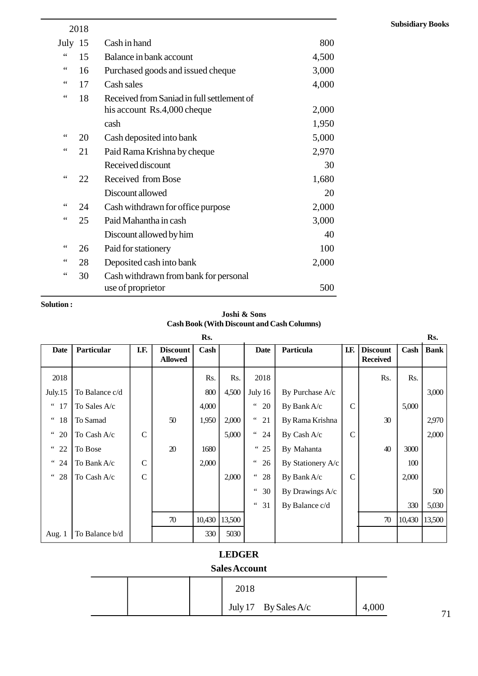|                 | 2018 |                                            |       |
|-----------------|------|--------------------------------------------|-------|
| July 15         |      | Cash in hand                               | 800   |
| $\zeta$ $\zeta$ | 15   | Balance in bank account                    | 4,500 |
| $\zeta$ $\zeta$ | 16   | Purchased goods and issued cheque          | 3,000 |
| 66              | 17   | Cash sales                                 | 4,000 |
| $\mbox{\bf 6}$  | 18   | Received from Saniad in full settlement of |       |
|                 |      | his account Rs.4,000 cheque                | 2,000 |
|                 |      | cash                                       | 1,950 |
| 66              | 20   | Cash deposited into bank                   | 5,000 |
| $\zeta$ $\zeta$ | 21   | Paid Rama Krishna by cheque                | 2,970 |
|                 |      | Received discount                          | 30    |
| 66              | 22   | Received from Bose                         | 1,680 |
|                 |      | Discount allowed                           | 20    |
| 66              | 24   | Cash withdrawn for office purpose          | 2,000 |
| 66              | 25   | Paid Mahantha in cash                      | 3,000 |
|                 |      | Discount allowed by him                    | 40    |
| $\leq$ $\leq$   | 26   | Paid for stationery                        | 100   |
| 66              | 28   | Deposited cash into bank                   | 2,000 |
| $\zeta$ $\zeta$ | 30   | Cash withdrawn from bank for personal      |       |
|                 |      | use of proprietor                          | 500   |

#### **Solution :**

**Joshi & Sons Cash Book (With Discount and Cash Columns)**

| <b>Solution:</b>               |                |              |                                   |        |              |              |                                                   |               |                                    |        |             |
|--------------------------------|----------------|--------------|-----------------------------------|--------|--------------|--------------|---------------------------------------------------|---------------|------------------------------------|--------|-------------|
|                                |                |              |                                   |        | Joshi & Sons |              | <b>Cash Book (With Discount and Cash Columns)</b> |               |                                    |        |             |
|                                |                |              |                                   | Rs.    |              |              |                                                   |               |                                    |        | Rs.         |
| Date                           | Particular     | I.F.         | <b>Discount</b><br><b>Allowed</b> | Cash   |              | Date         | Particula                                         | I.F.          | <b>Discount</b><br><b>Received</b> | Cash   | <b>Bank</b> |
| 2018                           |                |              |                                   | Rs.    | Rs.          | 2018         |                                                   |               | Rs.                                | Rs.    |             |
| July.15                        | To Balance c/d |              |                                   | 800    | 4,500        | July 16      | By Purchase A/c                                   |               |                                    |        | 3,000       |
| $\epsilon\,\epsilon$<br>17     | To Sales A/c   |              |                                   | 4,000  |              | $66$<br>20   | By Bank A/c                                       | $\mathcal{C}$ |                                    | 5,000  |             |
| $\textsf{c}\,\textsf{c}$<br>18 | To Samad       |              | 50                                | 1,950  | 2,000        | $\lq\lq$ 21  | By Rama Krishna                                   |               | 30                                 |        | 2,970       |
| $\lq\lq$ 20                    | To Cash A/c    | $\mathbf C$  |                                   |        | 5,000        | $\degree$ 24 | By Cash A/c                                       | $\mathcal{C}$ |                                    |        | 2,000       |
| $\degree$ 22                   | To Bose        |              | 20                                | 1680   |              | " 25         | By Mahanta                                        |               | 40                                 | 3000   |             |
| $\degree$ 24                   | To Bank A/c    | $\mathbf C$  |                                   | 2,000  |              | 66<br>26     | By Stationery A/c                                 |               |                                    | 100    |             |
| " 28                           | To Cash A/c    | $\mathsf{C}$ |                                   |        | 2,000        | $\lq\lq$ 28  | By Bank A/c                                       | $\mathcal{C}$ |                                    | 2,000  |             |
|                                |                |              |                                   |        |              | $66 -$<br>30 | By Drawings A/c                                   |               |                                    |        | 500         |
|                                |                |              |                                   |        |              | " 31         | By Balance c/d                                    |               |                                    | 330    | 5,030       |
|                                |                |              | 70                                | 10,430 | 13,500       |              |                                                   |               | $70\,$                             | 10,430 | 13,500      |
| Aug. 1                         | To Balance b/d |              |                                   | 330    | 5030         |              |                                                   |               |                                    |        |             |

# **LEDGER**

### **Sales Account**

|  | <b>LEDGER</b><br><b>Sales Account</b> |                        |       |
|--|---------------------------------------|------------------------|-------|
|  | 2018                                  |                        |       |
|  |                                       | July 17 By Sales $A/c$ | 4,000 |

24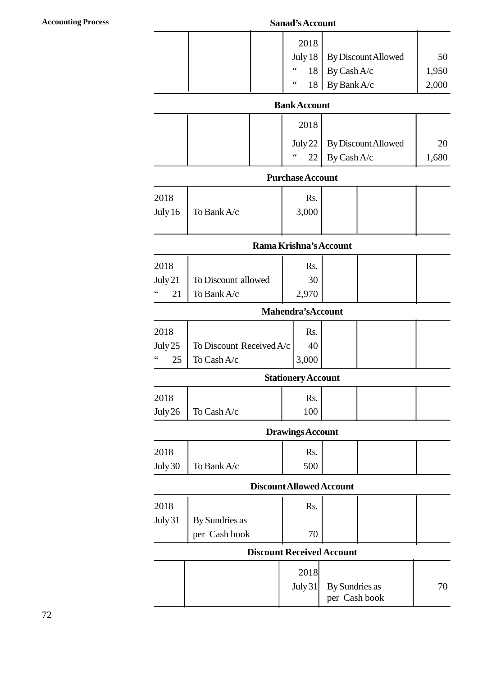#### **Accounting Process Sanad's Account**

|  | Sanad's Account |                     |       |
|--|-----------------|---------------------|-------|
|  | 2018            |                     |       |
|  | July 18         | By Discount Allowed | 50    |
|  | 66<br>18        | By Cash A/c         | 1,950 |
|  | 66<br>18        | By Bank A/c         | 2,000 |

#### **Bank Account**

| $10 \mid DY$ Dall $A/C$<br>2,000 |  |                     |                               |       |  |
|----------------------------------|--|---------------------|-------------------------------|-------|--|
|                                  |  | <b>Bank Account</b> |                               |       |  |
|                                  |  | 2018                |                               |       |  |
|                                  |  |                     | July 22   By Discount Allowed | 20    |  |
|                                  |  | $\,$ 6 6 $\,$<br>22 | By Cash A/c                   | 1,680 |  |

#### **Purchase Account**

|         |             | $\,66$<br>22            | By Cash A/c | 1,680 |
|---------|-------------|-------------------------|-------------|-------|
|         |             | <b>Purchase Account</b> |             |       |
| 2018    |             | Rs.                     |             |       |
| July 16 | To Bank A/c | 3,000                   |             |       |
|         |             |                         |             |       |

#### **Rama Krishna's Account**

|                     |                     | Rama Krishna's Account |  |  |
|---------------------|---------------------|------------------------|--|--|
| 2018                |                     | Rs.                    |  |  |
| July 21             | To Discount allowed | 30                     |  |  |
| $\leq$ $\leq$<br>21 | To Bank A/c         | 2.970                  |  |  |

#### **Mahendra'sAccount**

| 66   | 21        | To Bank A/c                | 2,970                     |  |  |
|------|-----------|----------------------------|---------------------------|--|--|
|      |           |                            | <b>Mahendra's Account</b> |  |  |
| 2018 |           |                            | Rs.                       |  |  |
|      | July $25$ | To Discount Received $A/c$ | 40                        |  |  |
| 66   | 25        | To Cash A/c                | 3,000                     |  |  |

# **Stationery Account**

| 66      | 25 | To Cash A/c                  | 3,000                     |  |  |
|---------|----|------------------------------|---------------------------|--|--|
|         |    |                              | <b>Stationery Account</b> |  |  |
| 2018    |    |                              | Rs.                       |  |  |
| July 26 |    | To $\operatorname{Cash} A/c$ | 100                       |  |  |
|         |    |                              | Drowings Account          |  |  |

# **Drawings Account**

| July 26 | To Cash A/c |                          | 100 |  |  |
|---------|-------------|--------------------------|-----|--|--|
|         |             | <b>Drawings Account</b>  |     |  |  |
| 2018    |             |                          | Rs. |  |  |
| July 30 | To Bank A/c |                          | 500 |  |  |
|         |             | Discount Allowed Account |     |  |  |

#### **Discount Allowed Account**

| To Bank A/c | 500                             |                                     |                                                                     |
|-------------|---------------------------------|-------------------------------------|---------------------------------------------------------------------|
|             |                                 |                                     |                                                                     |
|             | Rs.                             |                                     |                                                                     |
|             |                                 |                                     |                                                                     |
|             | 70                              |                                     |                                                                     |
|             |                                 |                                     |                                                                     |
|             | 2018                            |                                     |                                                                     |
|             |                                 |                                     | 70                                                                  |
|             | By Sundries as<br>per Cash book | Discount Allowed Account<br>July 31 | <b>Discount Received Account</b><br>By Sundries as<br>per Cash book |

25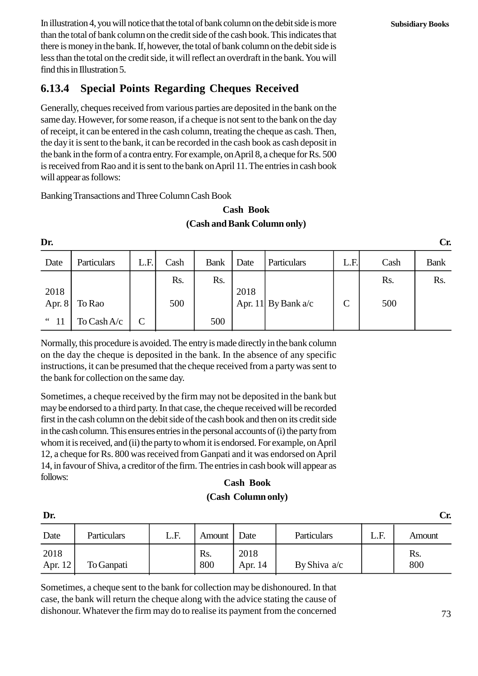In illustration 4, you will notice that the total of bank column on the debit side is more than the total of bank column on the credit side of the cash book. This indicates that there is money in the bank. If, however, the total of bank column on the debit side is less than the total on the credit side, it will reflect an overdraft in the bank. You will find this in Illustration 5.

# **1.13.4 Special Points Regarding Cheques Received**

Generally, cheques received from various parties are deposited in the bank on the same day. However, for some reason, if a cheque is not sent to the bank on the day of receipt, it can be entered in the cash column, treating the cheque as cash. Then, the day it is sent to the bank, it can be recorded in the cash book as cash deposit in the bank in the form of a contra entry. For example, on April 8, a cheque for Rs. 500 is received from Rao and it is sent to the bank on April 11. The entries in cash book will appear as follows:

Banking Transactions and Three Column Cash Book

### **Cash Book (Cash and Bank Column only)**

| <b>Cash Book</b><br>(Cash and Bank Column only) |             |               |      |             |      |                       |             |      |             |
|-------------------------------------------------|-------------|---------------|------|-------------|------|-----------------------|-------------|------|-------------|
| Dr.                                             |             |               |      |             |      |                       |             |      | Cr.         |
| Date                                            | Particulars | L.F.          | Cash | <b>Bank</b> | Date | Particulars           | L.F.        | Cash | <b>Bank</b> |
| 2018                                            |             |               | Rs.  | Rs.         | 2018 |                       |             | Rs.  | Rs.         |
| Apr. 8                                          | To Rao      |               | 500  |             |      | Apr. 11 By Bank $a/c$ | $\mathbf C$ | 500  |             |
| $\lq$ 11                                        | To Cash A/c | $\mathcal{C}$ |      | 500         |      |                       |             |      |             |

Normally, this procedure is avoided. The entry is made directly in the bank column on the day the cheque is deposited in the bank. In the absence of any specific instructions, it can be presumed that the cheque received from a party was sent to the bank for collection on the same day.

Sometimes, a cheque received by the firm may not be deposited in the bank but may be endorsed to a third party. In that case, the cheque received will be recorded first in the cash column on the debit side of the cash book and then on its credit side in the cash column. This ensures entries in the personal accounts of (i) the party from whom it is received, and (ii) the party to whom it is endorsed. For example, on April 12, a cheque for Rs. 800 was received from Ganpati and it was endorsed on April 14, in favour of Shiva, a creditor of the firm. The entries in cash book will appear as follows:

### **Cash Book (Cash Column only)**

| TOIIOWS:<br><b>Cash Book</b><br>(Cash Column only) |                                                                                                                                                                                                                                                                                          |      |            |                 |                                        |      |            |  |  |
|----------------------------------------------------|------------------------------------------------------------------------------------------------------------------------------------------------------------------------------------------------------------------------------------------------------------------------------------------|------|------------|-----------------|----------------------------------------|------|------------|--|--|
| Dr.                                                |                                                                                                                                                                                                                                                                                          |      |            |                 |                                        |      | Cr.        |  |  |
| Date                                               | Particulars                                                                                                                                                                                                                                                                              | L.F. | Amount     | Date            | Particulars                            | L.F. | Amount     |  |  |
| 2018<br>Apr. 12                                    | To Ganpati                                                                                                                                                                                                                                                                               |      | Rs.<br>800 | 2018<br>Apr. 14 | By Shiva a/c                           |      | Rs.<br>800 |  |  |
| $\sim$ $\sim$                                      | $\mathbf{1}$ , and $\mathbf{1}$ , and $\mathbf{1}$ , and $\mathbf{1}$ , and $\mathbf{1}$ , and $\mathbf{1}$ , and $\mathbf{1}$ , and $\mathbf{1}$ , and $\mathbf{1}$ , and $\mathbf{1}$ , and $\mathbf{1}$ , and $\mathbf{1}$ , and $\mathbf{1}$ , and $\mathbf{1}$ , and $\mathbf{1}$ , |      |            |                 | $\mathbf{1}$ $\mathbf{1}$ $\mathbf{1}$ |      |            |  |  |

Sometimes, a cheque sent to the bank for collection may be dishonoured. In that case, the bank will return the cheque along with the advice stating the cause of dishonour. Whatever the firm may do to realise its payment from the concerned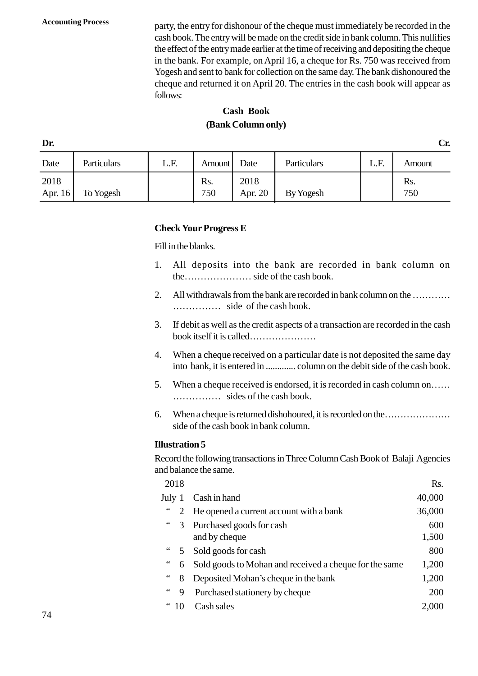**Accounting Process** party, the entry for dishonour of the cheque must immediately be recorded in the cash book. The entry will be made on the credit side in bank column. This nullifies the effect of the entry made earlier at the time of receiving and depositing the cheque in the bank. For example, on April 16, a cheque for Rs. 750 was received from Yogesh and sent to bank for collection on the same day. The bank dishonoured the cheque and returned it on April 20. The entries in the cash book will appear as follows:

# **Cash Book (Bank Column only)**

| <b>Cash Book</b><br>(Bank Column only) |             |      |                     |                 |             |      |            |  |  |  |
|----------------------------------------|-------------|------|---------------------|-----------------|-------------|------|------------|--|--|--|
| Dr.<br>Cr.                             |             |      |                     |                 |             |      |            |  |  |  |
| Date                                   | Particulars | L.F. | Amount <sup>'</sup> | Date            | Particulars | L.F. | Amount     |  |  |  |
| 2018<br>Apr. 16                        | To Yogesh   |      | Rs.<br>750          | 2018<br>Apr. 20 | By Yogesh   |      | Rs.<br>750 |  |  |  |

#### **Check Your Progress E**

Fill in the blanks.

- 1. All deposits into the bank are recorded in bank column on the………………… side of the cash book.
- 2. All withdrawals from the bank are recorded in bank column on the ………… …………… side of the cash book.
- 3. If debit as well as the credit aspects of a transaction are recorded in the cash book itself it is called…………………
- 4. When a cheque received on a particular date is not deposited the same day into bank, it is entered in ............. column on the debit side of the cash book.
- 5. When a cheque received is endorsed, it is recorded in cash column on…… …………… sides of the cash book.
- 6. When a cheque is returned dishohoured, it is recorded on the………………… side of the cash book in bank column.

#### **Illustration 5**

| 2018   |                                                        | Rs.                                       |                                                                               |
|--------|--------------------------------------------------------|-------------------------------------------|-------------------------------------------------------------------------------|
| July 1 | Cash in hand                                           | 40,000                                    |                                                                               |
|        | He opened a current account with a bank                | 36,000                                    |                                                                               |
| 3      | Purchased goods for cash                               | 600                                       |                                                                               |
|        | and by cheque                                          | 1,500                                     |                                                                               |
|        | Sold goods for cash                                    | 800                                       |                                                                               |
| 6      | Sold goods to Mohan and received a cheque for the same | 1,200                                     |                                                                               |
| 8      | Deposited Mohan's cheque in the bank                   | 1,200                                     |                                                                               |
| 9      | Purchased stationery by cheque                         | 200                                       |                                                                               |
| 10     | Cash sales                                             | 2,000                                     |                                                                               |
|        |                                                        | lustration 5<br>nd balance the same.<br>5 | ecord the following transactions in Three Column Cash Book of Balaji Agencies |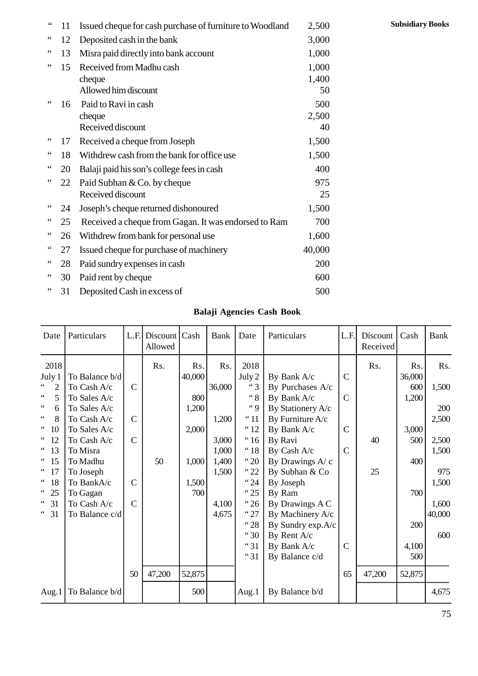|                 |    | Rolaii Agangias Cosh Rook                                |              |
|-----------------|----|----------------------------------------------------------|--------------|
| $\zeta$ $\zeta$ | 31 | Deposited Cash in excess of                              | 500          |
| $\zeta$ $\zeta$ | 30 | Paid rent by cheque                                      | 600          |
| $\zeta$ $\zeta$ | 28 | Paid sundry expenses in cash                             | 200          |
| $\zeta$ $\zeta$ | 27 | Issued cheque for purchase of machinery                  | 40,000       |
| $\zeta$ $\zeta$ | 26 | Withdrew from bank for personal use                      | 1,600        |
| $\zeta$ $\zeta$ | 25 | Received a cheque from Gagan. It was endorsed to Ram     | 700          |
| $\zeta$ $\zeta$ | 24 | Joseph's cheque returned dishonoured                     | 1,500        |
| $\zeta$ $\zeta$ | 22 | Paid Subhan & Co. by cheque<br>Received discount         | 975<br>25    |
| $\zeta$ $\zeta$ | 20 | Balaji paid his son's college fees in cash               | 400          |
| $\zeta$ $\zeta$ | 18 | Withdrew cash from the bank for office use               | 1,500        |
| $\mbox{\bf 6}$  | 17 | Received a cheque from Joseph                            | 1,500        |
|                 |    | Received discount                                        | 40           |
|                 | 16 | Paid to Ravi in cash<br>cheque                           | 500<br>2,500 |
| $\zeta$ $\zeta$ |    | Allowed him discount                                     | 50           |
|                 |    | cheque                                                   | 1,400        |
| $\zeta$ $\zeta$ | 15 | Received from Madhu cash                                 | 1,000        |
| $\zeta$ $\zeta$ | 13 | Misra paid directly into bank account                    | 1,000        |
| $\zeta$ $\zeta$ | 12 | Deposited cash in the bank                               | 3,000        |
| $\mbox{\bf 6}$  | 11 | Issued cheque for cash purchase of furniture to Woodland | 2,500        |

### **Balaji Agencies Cash Book**

| $\zeta$ $\zeta$<br>Deposited Cash in excess of<br>31                                                                                                                                                                                                                                     |                                                                                                                                                                                           |                                                                           |                     |                                                                 | 500                                                                 |                                                                                                                          |                                                                                                                                                                                                                  |                                                                 |                      |                                                             |                                                                         |
|------------------------------------------------------------------------------------------------------------------------------------------------------------------------------------------------------------------------------------------------------------------------------------------|-------------------------------------------------------------------------------------------------------------------------------------------------------------------------------------------|---------------------------------------------------------------------------|---------------------|-----------------------------------------------------------------|---------------------------------------------------------------------|--------------------------------------------------------------------------------------------------------------------------|------------------------------------------------------------------------------------------------------------------------------------------------------------------------------------------------------------------|-----------------------------------------------------------------|----------------------|-------------------------------------------------------------|-------------------------------------------------------------------------|
|                                                                                                                                                                                                                                                                                          |                                                                                                                                                                                           |                                                                           |                     |                                                                 |                                                                     |                                                                                                                          | <b>Balaji Agencies Cash Book</b>                                                                                                                                                                                 |                                                                 |                      |                                                             |                                                                         |
| Date                                                                                                                                                                                                                                                                                     | Particulars                                                                                                                                                                               | L.F.                                                                      | Discount<br>Allowed | Cash                                                            | Bank                                                                | Date                                                                                                                     | Particulars                                                                                                                                                                                                      | L.F.                                                            | Discount<br>Received | Cash                                                        | <b>Bank</b>                                                             |
| 2018<br>July 1<br>$\zeta\,\zeta$<br>$\overline{2}$<br>$\,$ 6 $\,$<br>5<br>$\zeta$ $\zeta$<br>6<br>8<br>10<br>$\zeta\,\zeta$<br>12<br>$\leftrightsquigarrow$<br>13<br>$\zeta\,\zeta$<br>15<br>$\leftrightsquigarrow$<br>17<br>$\,$ 6 $\,$<br>18<br>$\,$ 6 $\,$<br>25<br>31<br>$\,$ 6 $\,$ | To Balance b/d<br>To Cash A/c<br>To Sales A/c<br>To Sales A/c<br>To Cash A/c<br>To Sales A/c<br>To Cash A/c<br>To Misra<br>To Madhu<br>To Joseph<br>To BankA/c<br>To Gagan<br>To Cash A/c | $\mathcal{C}$<br>$\mathbf C$<br>$\mathbf C$<br>$\mathbf C$<br>$\mathbf C$ | Rs.<br>50           | Rs.<br>40,000<br>800<br>1,200<br>2,000<br>1,000<br>1,500<br>700 | Rs.<br>36,000<br>1,200<br>3,000<br>1,000<br>1,400<br>1,500<br>4,100 | 2018<br>July 2<br>"3<br>$\lq\lq 8$<br>$\lq q$<br>"11<br>"12<br>" <sup>16</sup><br>"18<br>"20<br>"22<br>"24<br>"25<br>"26 | By Bank A/c<br>By Purchases A/c<br>By Bank A/c<br>By Stationery A/c<br>By Furniture A/c<br>By Bank A/c<br>By Ravi<br>By Cash A/c<br>By Drawings A/ c<br>By Subhan & Co<br>By Joseph<br>By Ram<br>By Drawings A C | $\mathcal{C}$<br>$\mathcal{C}$<br>$\mathcal{C}$<br>$\mathsf{C}$ | Rs.<br>40<br>25      | Rs.<br>36,000<br>600<br>1,200<br>3,000<br>500<br>400<br>700 | Rs.<br>1,500<br>200<br>2,500<br>2,500<br>1,500<br>975<br>1,500<br>1,600 |
| $\,$ 6 $\,$<br>31<br>Aug.1                                                                                                                                                                                                                                                               | To Balance c/d<br>To Balance b/d                                                                                                                                                          | 50                                                                        | 47,200              | 52,875<br>500                                                   | 4,675                                                               | "27<br>"28<br>"30<br>"31<br>"31<br>Aug.1                                                                                 | By Machinery A/c<br>By Sundry exp.A/c<br>By Rent A/c<br>By Bank A/c<br>By Balance c/d<br>By Balance b/d                                                                                                          | $\mathcal{C}$<br>65                                             | 47,200               | 200<br>4,100<br>500<br>52,875                               | 40,000<br>600<br>4,675                                                  |

**Subsidiary Books**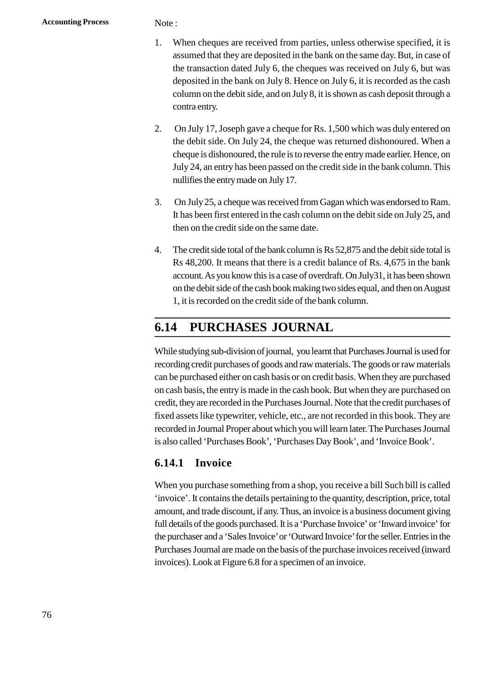- Note :<br>1. When cheques are received from parties, unless otherwise specified, it is<br>assumed that they are deposited in the bank on the same day. But, in case of assumed that they are deposited in the bank on the same day. But, in case of the transaction dated July 6, the cheques was received on July 6, but was deposited in the bank on July 8. Hence on July 6, it is recorded as the cash column on the debit side, and on July 8, it is shown as cash deposit through a contra entry. 2. Con July 17, Joseph gave a cheque for Rs. 1,500 which was duly entered on the debit side, and on July 8, it is shown as cash deposit through a contra entry.<br>
2. On July 17, Joseph gave a cheque for Rs. 1,500 which was d
- the debit side. On July 24, the cheque was returned dishonoured. When a cheque is dishonoured, the rule is to reverse the entry made earlier. Hence, on July 24, an entry has been passed on the credit side in the bank column. This nullifies the entry made on July 17. 3. Con July 25, a cheque was received from Gagan which was endorsed to Ram.<br>3. Con July 25, a cheque was received from Gagan which was endorsed to Ram.<br>3. Con July 25, a cheque was received from Gagan which was endorsed t
- It has been first entered in the cash column on the debit side on July 25, and then on the credit side on the same date. 4. Con July 25, a cheque was received from Gagan which was endorsed to Ram.<br>
1. It has been first entered in the cash column on the debit side on July 25, and<br>
1. The credit side total of the bank column is Rs 52,875 and t
- Rs 48,200. It means that there is a credit balance of Rs. 4,675 in the bank account. As you know this is a case of overdraft. On July31, it has been shown on the debit side of the cash book making two sides equal, and then on August 1, it is recorded on the credit side of the bank column.

# **1.14 PURCHASES JOURNAL**

While studying sub-division of journal, you learnt that Purchases Journal is used for recording credit purchases of goods and raw materials. The goods or raw materials can be purchased either on cash basis or on credit basis. When they are purchased on cash basis, the entry is made in the cash book. But when they are purchased on credit, they are recorded in the Purchases Journal. Note that the credit purchases of fixed assets like typewriter, vehicle, etc., are not recorded in this book. They are recorded in Journal Proper about which you will learn later. The Purchases Journal is also called 'Purchases Book', 'Purchases Day Book', and 'Invoice Book'.

# **1.14.1 Invoice**

When you purchase something from a shop, you receive a bill Such bill is called 'invoice'. It contains the details pertaining to the quantity, description, price, total amount, and trade discount, if any. Thus, an invoice is a business document giving full details of the goods purchased. It is a 'Purchase Invoice' or 'Inward invoice' for the purchaser and a 'Sales Invoice' or 'Outward Invoice' for the seller. Entries in the Purchases Journal are made on the basis of the purchase invoices received (inward invoices). Look at Figure 6.8 for a specimen of an invoice.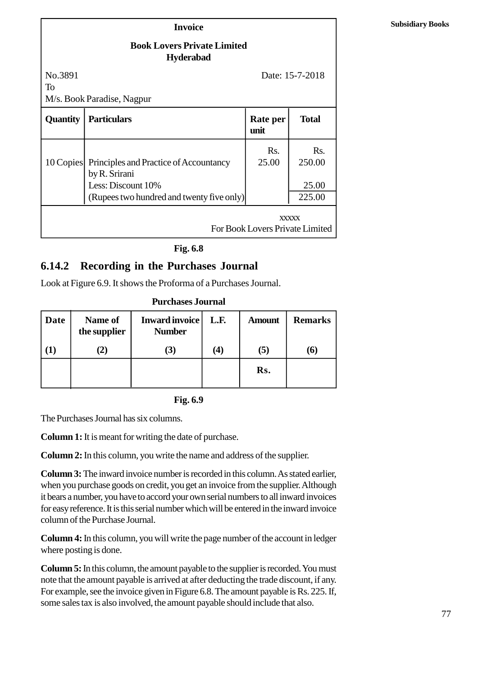#### **Book Lovers Private Limited Hyderabad**

|                 | $\mathbf{A}$ , we would                                         |                                 |                 |
|-----------------|-----------------------------------------------------------------|---------------------------------|-----------------|
| No.3891<br>To   |                                                                 |                                 | Date: 15-7-2018 |
|                 | M/s. Book Paradise, Nagpur                                      |                                 |                 |
| <b>Quantity</b> | <b>Particulars</b>                                              | Rate per<br>unit                | <b>Total</b>    |
| 10 Copies       | Principles and Practice of Accountancy<br>by R. Srirani         | Rs.<br>25.00                    | Rs.<br>250.00   |
|                 | Less: Discount 10%<br>(Rupees two hundred and twenty five only) |                                 | 25.00<br>225.00 |
|                 |                                                                 | For Book Lovers Private Limited | <b>XXXXX</b>    |

**Fig. 1.8**

# **1.14.2 Recording in the Purchases Journal** Look

| 1.14.2<br><b>Recording in the Purchases Journal Look</b>     |                                |                                        |      |               |                |  |  |  |  |  |
|--------------------------------------------------------------|--------------------------------|----------------------------------------|------|---------------|----------------|--|--|--|--|--|
| at Figure 1.9. It shows the Proforma of a Purchases Journal. |                                |                                        |      |               |                |  |  |  |  |  |
|                                                              |                                | <b>Purchases Journal</b>               |      |               |                |  |  |  |  |  |
| Date                                                         | <b>Name of</b><br>the supplier | <b>Inward invoice</b><br><b>Number</b> | L.F. | <b>Amount</b> | <b>Remarks</b> |  |  |  |  |  |
| $\bf(1)$                                                     | (2)                            | (3)                                    | (4)  | (5)           | <b>(6)</b>     |  |  |  |  |  |
|                                                              |                                |                                        |      | Rs.           |                |  |  |  |  |  |

**Purchases Journal**

**Fig. 1.9**

The Purchases Journal has six columns.

**Column 1:**It is meant for writing the date of purchase.

**Column 2:** In this column, you write the name and address of the supplier.

**Column 3:**The inward invoice number is recorded in this column. As stated earlier, when you purchase goods on credit, you get an invoice from the supplier. Although it bears a number, you have to accord your own serial numbers to all inward invoices for easy reference. It is this serial number which will be entered in the inward invoice column of the Purchase Journal.

**Column 4:**In this column, you will write the page number of the account in ledger where posting is done.

**Column 5:** In this column, the amount payable to the supplier is recorded. You must note that the amount payable is arrived at after deducting the trade discount, if any. For example, see the invoice given in Figure 1.8. The amount payable is Rs. 225. If, some sales tax is also involved, the amount payable should include that also.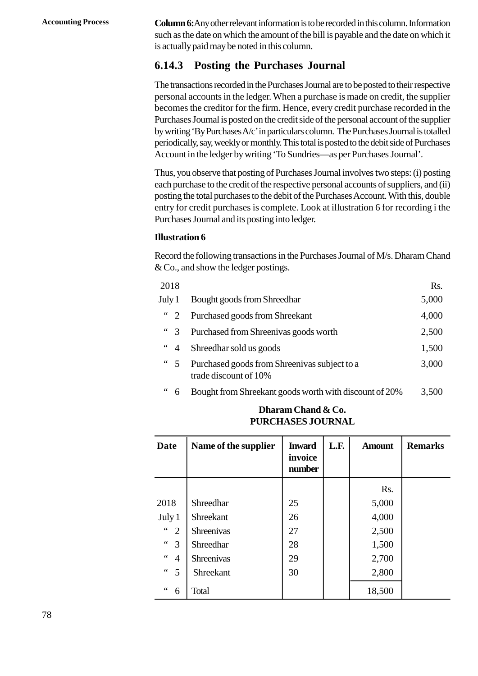**Accounting Process Column 6:**Any other relevant information is to be recorded in this column. Information such as the date on which the amount of the bill is payable and the date on which it is actually paid may be noted in this column.

# **1.14.3 Posting the Purchases Journal**

The transactions recorded in the Purchases Journal are to be posted to their respective personal accounts in the ledger. When a purchase is made on credit, the supplier becomes the creditor for the firm. Hence, every credit purchase recorded in the Purchases Journal is posted on the credit side of the personal account of the supplier by writing 'By Purchases A/c' in particulars column. The Purchases Journal is totalled periodically, say, weekly or monthly. This total is posted to the debit side of Purchases Account in the ledger by writing 'To Sundries—as per Purchases Journal'.

Thus, you observe that posting of Purchases Journal involves two steps: (i) posting each purchase to the credit of the respective personal accounts of suppliers, and (ii) posting the total purchases to the debit of the Purchases Account. With this, double entry for credit purchases is complete. Look at illustration 6 for recording i the Purchases Journal and its posting into ledger.

#### **Illustration 6**

|                                       | Record the following transactions in the Purchases Journal of M/s. Dharam Chand<br>$\&\text{Co.},\text{and show the leader positions.}$ |       |
|---------------------------------------|-----------------------------------------------------------------------------------------------------------------------------------------|-------|
| 2018                                  |                                                                                                                                         | Rs.   |
| July 1                                | Bought goods from Shreedhar                                                                                                             | 5,000 |
| $\frac{1}{2}$                         | Purchased goods from Shreekant                                                                                                          | 4,000 |
| $\degree$ 3                           | Purchased from Shreenivas goods worth                                                                                                   | 2,500 |
| $\,$ $\,$ $\,$ $\,$<br>$\overline{4}$ | Shreedhar sold us goods                                                                                                                 | 1,500 |
| $\frac{1}{2}$ 5                       | Purchased goods from Shreenivas subject to a<br>trade discount of 10%                                                                   | 3,000 |
| 66<br>6                               | Bought from Shreekant goods worth with discount of 20%                                                                                  | 3,500 |
|                                       | Dharam Chand & Co.                                                                                                                      |       |

| $\zeta$ $\zeta$<br>3,500<br>Bought from Shreekant goods worth with discount of 20%<br>6 |                      |                                    |      |               |                |  |  |  |  |  |
|-----------------------------------------------------------------------------------------|----------------------|------------------------------------|------|---------------|----------------|--|--|--|--|--|
| Dharam Chand & Co.<br><b>PURCHASES JOURNAL</b>                                          |                      |                                    |      |               |                |  |  |  |  |  |
| <b>Date</b>                                                                             | Name of the supplier | <b>Inward</b><br>invoice<br>number | L.F. | <b>Amount</b> | <b>Remarks</b> |  |  |  |  |  |
|                                                                                         |                      |                                    |      | Rs.           |                |  |  |  |  |  |
| 2018                                                                                    | Shreedhar            | 25                                 |      | 5,000         |                |  |  |  |  |  |
| July 1                                                                                  | Shreekant            | 26                                 |      | 4,000         |                |  |  |  |  |  |
| $\zeta$ $\zeta$<br>2                                                                    | <b>Shreenivas</b>    | 27                                 |      | 2,500         |                |  |  |  |  |  |
| $\,$ 6 $\,$<br>3                                                                        | Shreedhar            | 28                                 |      | 1,500         |                |  |  |  |  |  |
| $\zeta$ $\zeta$<br>$\overline{4}$                                                       | <b>Shreenivas</b>    | 29                                 |      | 2,700         |                |  |  |  |  |  |
| $\zeta$ $\zeta$<br>5                                                                    | Shreekant            | 30                                 |      | 2,800         |                |  |  |  |  |  |
| $\zeta$ $\zeta$<br>6                                                                    | Total                |                                    |      | 18,500        |                |  |  |  |  |  |

### **Dharam Chand & Co. PURCHASES JOURNAL**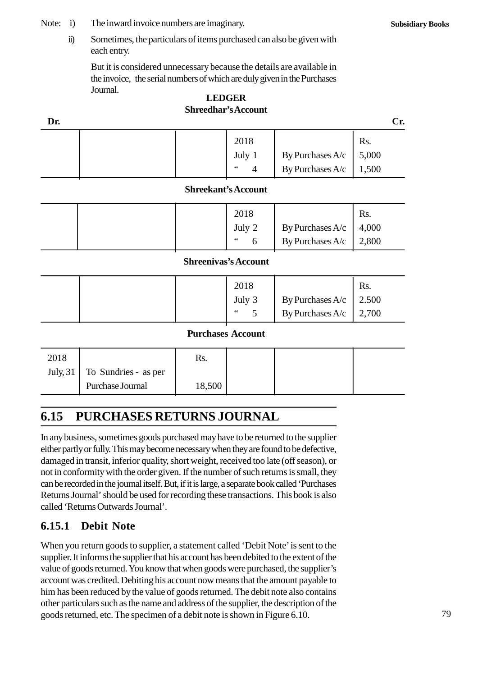Note: i) The inward invoice numbers are imaginary.<br>ii) Sometimes, the particulars of items purchased contains

i) The inward invoice numbers are imaginary.<br>
ii) Sometimes, the particulars of items purchased can also be given with<br>
each entry. each entry.

But it is considered unnecessary because the details are available in the invoice, the serial numbers of which are duly given in the Purchases Journal.

#### **LEDGER Shreedhar's Account**

| <b>LEDGER</b><br><b>Shreedhar's Account</b> |  |                                 |                                 |                                          |       |  |  |  |
|---------------------------------------------|--|---------------------------------|---------------------------------|------------------------------------------|-------|--|--|--|
| Dr.                                         |  |                                 |                                 |                                          | Cr.   |  |  |  |
|                                             |  |                                 | 2018                            |                                          | Rs.   |  |  |  |
|                                             |  |                                 | July 1                          |                                          | 5,000 |  |  |  |
|                                             |  |                                 | $\leq$ $\leq$<br>$\overline{4}$ | By Purchases $A/c$<br>By Purchases $A/c$ | 1,500 |  |  |  |
|                                             |  | $\mathbb{C}$ hrookont's Account |                                 |                                          |       |  |  |  |

#### **Shreekant's Account**

|                      |  |                            | 4                                    | $\mathbf{B}$ Purchases $\mathbf{A}/\mathbf{C}$ | UUC.1                 |  |  |  |
|----------------------|--|----------------------------|--------------------------------------|------------------------------------------------|-----------------------|--|--|--|
|                      |  | <b>Shreekant's Account</b> |                                      |                                                |                       |  |  |  |
|                      |  |                            | 2018<br>July 2<br>$\zeta \zeta$<br>6 | By Purchases $A/c$<br>By Purchases $A/c$       | Rs.<br>4,000<br>2,800 |  |  |  |
| Shroonivoe's Account |  |                            |                                      |                                                |                       |  |  |  |

#### **Shreenivas's Account**

|                          |                             | O                                                           | $\mathbf{B}$ Purchases $\mathbf{A}/\mathbf{C}$ | 2,000                 |  |  |  |  |
|--------------------------|-----------------------------|-------------------------------------------------------------|------------------------------------------------|-----------------------|--|--|--|--|
|                          | <b>Shreenivas's Account</b> |                                                             |                                                |                       |  |  |  |  |
|                          |                             | 2018<br>July 3<br>$\leq$ $\leq$<br>$\overline{\phantom{a}}$ | By Purchases $A/c$<br>By Purchases $A/c$       | Rs.<br>2.500<br>2,700 |  |  |  |  |
| <b>Durchases Account</b> |                             |                                                             |                                                |                       |  |  |  |  |

#### **Purchases Account**

|                  |                                          |        |                          | By Purchases A/C | 2,100 |
|------------------|------------------------------------------|--------|--------------------------|------------------|-------|
|                  |                                          |        | <b>Purchases Account</b> |                  |       |
| 2018             |                                          | Rs.    |                          |                  |       |
| <b>July</b> , 31 | To Sundries - as per<br>Purchase Journal |        |                          |                  |       |
|                  |                                          | 18,500 |                          |                  |       |
|                  |                                          |        |                          |                  |       |

# **1.15 PURCHASES RETURNS JOURNAL**

In any business, sometimes goods purchased may have to be returned to the supplier either partly or fully. This may become necessary when they are found to be defective, damaged in transit, inferior quality, short weight, received too late (off season), or not in conformity with the order given. If the number of such returns is small, they can be recorded in the journal itself. But, if it is large, a separate book called 'Purchases Returns Journal' should be used for recording these transactions. This book is also called 'Returns Outwards Journal'.

# **1.15.1 Debit Note**

When you return goods to supplier, a statement called 'Debit Note' is sent to the supplier. It informs the supplier that his account has been debited to the extent of the value of goods returned. You know that when goods were purchased, the supplier's account was credited. Debiting his account now means that the amount payable to him has been reduced by the value of goods returned. The debit note also contains other particulars such as the name and address of the supplier, the description of the goods returned, etc. The specimen of a debit note is shown in Figure 6.10.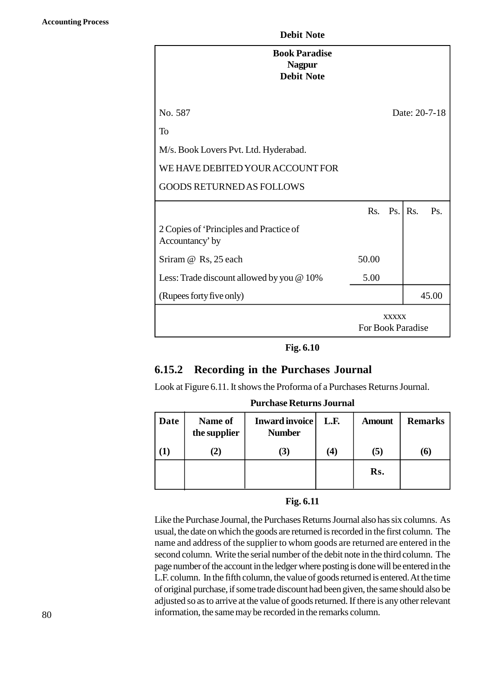| <b>Book Paradise</b><br><b>Nagpur</b><br><b>Debit Note</b> |                   |              |                |               |
|------------------------------------------------------------|-------------------|--------------|----------------|---------------|
| No. 587                                                    |                   |              |                | Date: 20-7-18 |
| To                                                         |                   |              |                |               |
| M/s. Book Lovers Pvt. Ltd. Hyderabad.                      |                   |              |                |               |
| WE HAVE DEBITED YOUR ACCOUNT FOR                           |                   |              |                |               |
| <b>GOODS RETURNED AS FOLLOWS</b>                           |                   |              |                |               |
|                                                            | Rs.               | Ps.          | R <sub>S</sub> | Ps.           |
| 2 Copies of 'Principles and Practice of<br>Accountancy' by |                   |              |                |               |
| Sriram @ Rs, 25 each                                       | 50.00             |              |                |               |
| Less: Trade discount allowed by you @ 10%                  | 5.00              |              |                |               |
| (Rupees forty five only)                                   |                   |              |                | 45.00         |
|                                                            | For Book Paradise | <b>XXXXX</b> |                |               |

**Fig. 1.10**

# **1.15.2 Recording in the Purchases Journal**

| 1.15.2   |                         | <b>Recording in the Purchases Journal</b>                         |                   |               |                |
|----------|-------------------------|-------------------------------------------------------------------|-------------------|---------------|----------------|
|          |                         | Look at Figure 1.11. It shows the Proforma of a Purchases Returns |                   |               |                |
| Journal. |                         | <b>Purchase Returns Journal</b>                                   |                   |               |                |
| Date     | Name of<br>the supplier | <b>Inward invoice</b><br><b>Number</b>                            | L.F.              | <b>Amount</b> | <b>Remarks</b> |
| (1)      | (2)                     | (3)                                                               | $\left( 4\right)$ | (5)           | (6)            |
|          |                         |                                                                   |                   | Rs.           |                |

#### **Fig. 1.11**

Like the Purchase Journal, the Purchases Returns Journal also has six columns. As usual, the date on which the goods are returned is recorded in the first column. The name and address of the supplier to whom goods are returned are entered in the second column. Write the serial number of the debit note in the third column. The page number of the account in the ledger where posting is done will be entered in the L.F. column. In the fifth column, the value of goods returned is entered. At the time of original purchase, if some trade discount had been given, the same should also be adjusted so as to arrive at the value of goods returned. If there is any other relevant information, the same may be recorded in the remarks column.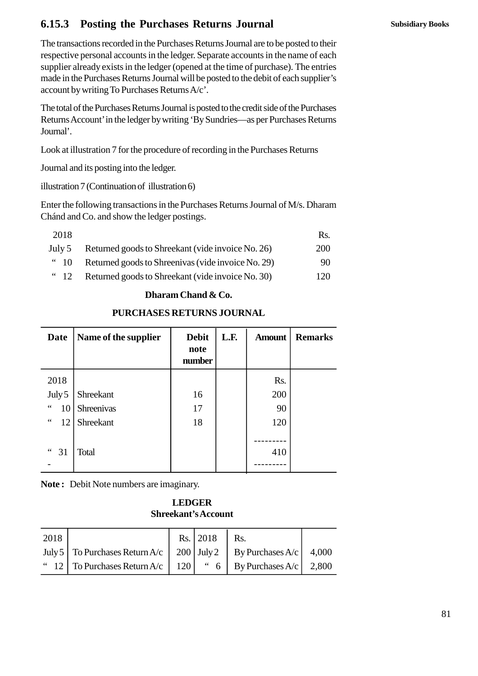# **1.15.3 Posting the Purchases Returns Journal**

The transactions recorded in the Purchases Returns Journal are to be posted to their respective personal accounts in the ledger. Separate accounts in the name of each supplier already exists in the ledger (opened at the time of purchase). The entries made in the Purchases Returns Journal will be posted to the debit of each supplier's account by writing To Purchases Returns A/c'.

The total of the Purchases Returns Journal is posted to the credit side of the Purchases Returns Account' in the ledger by writing 'By Sundries—as per Purchases Returns Journal'.

Look at illustration 7 for the procedure of recording in the Purchases Returns Journal'.<br>Look at illustration 7 for the procedure of recordi:<br>Journal and its posting into the ledger.<br>illustration 7 (Continuation of illustration 6)<br>Enter the following transactions in the Purchases

Journal and its posting into the ledger.

Enter the following transactions in the Purchases Returns Journal of M/s. Dharam Chánd and Co. and show the ledger postings.

|                            | Enter the following transactions in the Purchases Returns Journal of M/s. Dharam<br>Chánd and Co. and show the ledger postings. |            |
|----------------------------|---------------------------------------------------------------------------------------------------------------------------------|------------|
| 2018                       |                                                                                                                                 | Rs.        |
| July 5                     | Returned goods to Shreekant (vide invoice No. 26)                                                                               | <b>200</b> |
| $\ddot{\phantom{0}}$<br>10 | Returned goods to Shreenivas (vide invoice No. 29)                                                                              | 90         |
| $\degree$ 12               | Returned goods to Shreekant (vide invoice No. 30)                                                                               | 120        |
|                            | Dharam Chand & Co.                                                                                                              |            |

## **Dharam Chand & Co.**

## **PURCHASES RETURNS JOURNAL**

| $\overline{\phantom{0}}$    | <b>INCORDING GOODS TO DITINUATELY THE THY OINE IND.</b> 507 |                                |      |               | ⊥∠∪            |
|-----------------------------|-------------------------------------------------------------|--------------------------------|------|---------------|----------------|
|                             |                                                             | Dharam Chand & Co.             |      |               |                |
|                             | <b>PURCHASES RETURNS JOURNAL</b>                            |                                |      |               |                |
| <b>Date</b>                 | Name of the supplier                                        | <b>Debit</b><br>note<br>number | L.F. | <b>Amount</b> | <b>Remarks</b> |
| 2018                        |                                                             |                                |      | Rs.           |                |
| July 5                      | Shreekant                                                   | 16                             |      | 200           |                |
| $\mbox{4}$ $\mbox{4}$<br>10 | Shreenivas                                                  | 17                             |      | 90            |                |
| $\zeta$ $\zeta$<br>12       | Shreekant                                                   | 18                             |      | 120           |                |
| 31                          | Total                                                       |                                |      | 410           |                |

**Note :** Debit Note numbers are imaginary.

### **LEDGER Shreekant's Account**

| <b>LEDGER</b><br><b>Shreekant's Account</b> |                         |     |              |                  |       |  |
|---------------------------------------------|-------------------------|-----|--------------|------------------|-------|--|
| 2018                                        |                         |     | Rs. 2018     | Rs.              |       |  |
| July 5                                      | To Purchases Return A/c |     | $200$ July 2 | By Purchases A/c | 4,000 |  |
| -12                                         | To Purchases Return A/c | 120 | $\degree$ 6  | By Purchases A/c | 2,800 |  |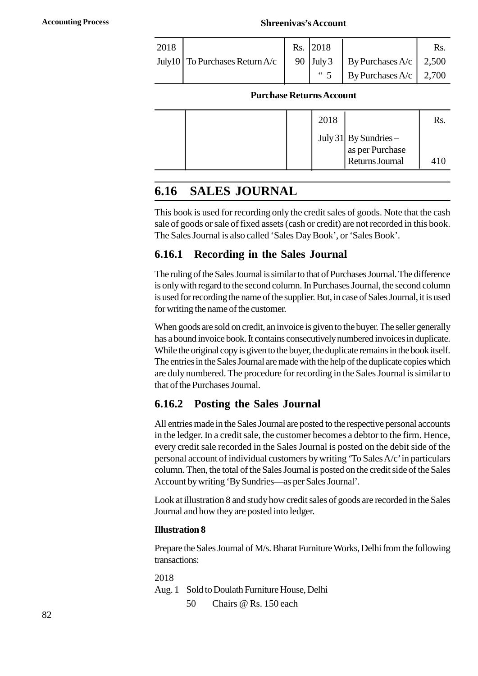#### **Accounting Process Shreenivas's Account**

|      |                                        |     | <b>Shreenivas's Account</b> |                                          |       |
|------|----------------------------------------|-----|-----------------------------|------------------------------------------|-------|
| 2018 |                                        | Rs. | 2018                        |                                          | Rs.   |
|      | July10 $\vert$ To Purchases Return A/c | 90  | July 3                      |                                          | 2,500 |
|      |                                        |     | $\lq\lq 5$                  | By Purchases $A/c$<br>By Purchases $A/c$ | 2,700 |

#### **Purchase Returns Account**

| 2018                                                        | Rs. |
|-------------------------------------------------------------|-----|
| July 31 By Sundries –<br>as per Purchase<br>Returns Journal |     |
|                                                             | 410 |

# **1.16 SALES JOURNAL**

This book is used for recording only the credit sales of goods. Note that the cash sale of goods or sale of fixed assets (cash or credit) are not recorded in this book. The Sales Journal is also called 'Sales Day Book', or 'Sales Book'.

# **1.16.1 Recording in the Sales Journal**

The ruling of the Sales Journal is similar to that of Purchases Journal. The difference is only with regard to the second column. In Purchases Journal, the second column is used for recording the name of the supplier. But, in case of Sales Journal, it is used for writing the name of the customer.

When goods are sold on credit, an invoice is given to the buyer. The seller generally has a bound invoice book. It contains consecutively numbered invoices in duplicate. While the original copy is given to the buyer, the duplicate remains in the book itself. The entries in the Sales Journal are made with the help of the duplicate copies which are duly numbered. The procedure for recording in the Sales Journal is similar to that of the Purchases Journal.

# **1.16.2 Posting the Sales Journal**

All entries made in the Sales Journal are posted to the respective personal accounts in the ledger. In a credit sale, the customer becomes a debtor to the firm. Hence, every credit sale recorded in the Sales Journal is posted on the debit side of the personal account of individual customers by writing 'To Sales A/c' in particulars column. Then, the total of the Sales Journal is posted on the credit side of the Sales Account by writing 'By Sundries—as per Sales Journal'.

Look at illustration 8 and study how credit sales of goods are recorded in the Sales Journal and how they are posted into ledger.

## **Illustration 8**

Prepare the Sales Journal of M/s. Bharat Furniture Works, Delhi from the following transactions: Frepare the Sales Journal of M/s. Bharat Furniture Word<br>transactions:<br>2018<br>Aug. 1 Sold to Doulath Furniture House, Delhi<br>50 Chairs @ Rs. 150 each

2018

Aug. 1 Sold to Doulath Furniture House, Delhi<br>50 Chairs @ Rs. 150 each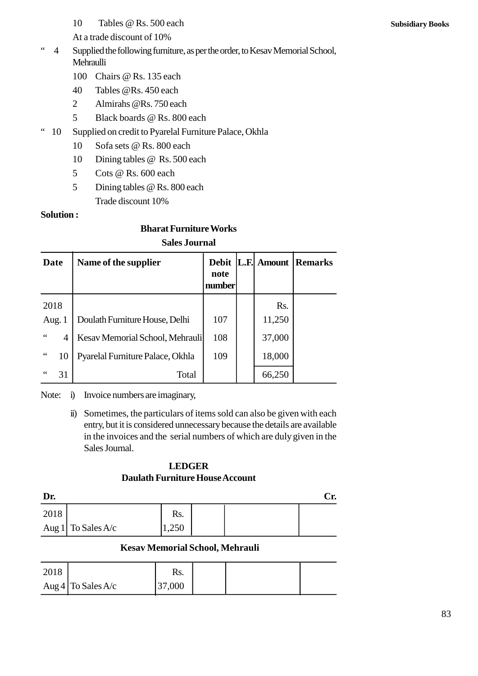10 Tables @ Rs. 500 each<br>At a trade discount of 10%

At a trade discount of 10%

- " 4 Supplied the following furniture, as per the order, to Kesav Memorial School, Mehraulli 10 Tables @ Rs. 500 each<br>At a trade discount of 10%<br>Supplied the following furniture, as per the<br>Mehraulli<br>100 Chairs @ Rs. 135 each<br>40 Tables @ Rs. 450 each At a trade discount of 10%<br>
Supplied the following furniture, as per th<br>
Mehraulli<br>
100 Chairs @ Rs. 135 each<br>
40 Tables @Rs. 450 each<br>
2 Almirahs @Rs. 750 each Supplied the following furniture, as per the only Mehraulli<br>
100 Chairs @Rs. 135 each<br>
40 Tables @Rs. 450 each<br>
2 Almirahs @Rs. 750 each<br>
5 Black boards @Rs. 800 each
	-
	-
	-
	-
- Mehraulli<br>
100 Chairs @ Rs. 135 each<br>
40 Tables @ Rs. 450 each<br>
2 Almirahs @ Rs. 750 each<br>
5 Black boards @ Rs. 800 each<br>
" 10 Supplied on credit to Pyarelal Furniture Palace, Okhla 40 Tables @ Rs. 450 each<br>
2 Almirahs @ Rs. 750 each<br>
5 Black boards @ Rs. 800 each<br>
Supplied on credit to Pyarelal Furniture Pa<br>
10 Sofa sets @ Rs. 800 each<br>
10 Dining tables @ Rs. 500 each 2 Almirahs @ Rs. 750 each<br>
5 Black boards @ Rs. 800 each<br>
Supplied on credit to Pyarelal Furniture Palace<br>
10 Sofa sets @ Rs. 800 each<br>
10 Dining tables @ Rs. 500 each<br>
5 Cots @ Rs. 600 each
	-
	-
	-
	- 5 Black boards @ Rs. 800 each<br>Supplied on credit to Pyarelal Furniture<br>10 Sofa sets @ Rs. 800 each<br>10 Dining tables @ Rs. 500 each<br>5 Cots @ Rs. 600 each<br>5 Dining tables @ Rs. 800 each Supplied on credit to Pyarelal Furniture Palace<br>
	10 Sofa sets @ Rs. 800 each<br>
	10 Dining tables @ Rs. 500 each<br>
	5 Cots @ Rs. 600 each<br>
	7 Dining tables @ Rs. 800 each<br>
	7 Trade discount 10% Trade discount 10%

#### **Solution :**

# **Bharat Furniture Works Sales Journal**

|                 |                      | Trace chocount To / 0            |                                     |  |             |                |  |
|-----------------|----------------------|----------------------------------|-------------------------------------|--|-------------|----------------|--|
|                 | <b>Solution:</b>     |                                  |                                     |  |             |                |  |
|                 |                      | <b>Bharat Furniture Works</b>    |                                     |  |             |                |  |
|                 | <b>Sales Journal</b> |                                  |                                     |  |             |                |  |
| Date            |                      | Name of the supplier             | <b>Debit</b><br>Π<br>note<br>number |  | L.F. Amount | <b>Remarks</b> |  |
| 2018            |                      |                                  |                                     |  | Rs.         |                |  |
|                 | Aug. $1$             | Doulath Furniture House, Delhi   | 107                                 |  | 11,250      |                |  |
| $\zeta$ $\zeta$ | 4                    | Kesav Memorial School, Mehrauli  | 108                                 |  | 37,000      |                |  |
| $\leq$ $\leq$   | 10                   | Pyarelal Furniture Palace, Okhla | 109                                 |  | 18,000      |                |  |
| 66              | 31                   | Total                            |                                     |  | 66,250      |                |  |

Note: i) Invoice numbers are imaginary,

ii) Sometimes, the particulars of items sold can also be given with each entry, but it is considered unnecessary because the details are available in the invoices and the serial numbers of which are duly given in the Sales Journal.

#### **LEDGER Daulath Furniture House Account**

| ------<br><b>Daulath Furniture House Account</b> |                      |      |  |     |  |
|--------------------------------------------------|----------------------|------|--|-----|--|
| Dr.                                              |                      |      |  | Cr. |  |
|                                                  |                      |      |  |     |  |
| 2018                                             |                      | Rs.  |  |     |  |
|                                                  | Aug 1 To Sales $A/c$ | .250 |  |     |  |
| Kegay Mamarial School Mahrauli                   |                      |      |  |     |  |

## **Kesav Memorial School, Mehrauli**

| Aug 1 | to Sales A/C       | 1,250                                  |  |  |
|-------|--------------------|----------------------------------------|--|--|
|       |                    | <b>Kesav Memorial School, Mehrauli</b> |  |  |
| 2018  |                    | Rs.                                    |  |  |
|       | Aug 4 To Sales A/c | 37,000                                 |  |  |
|       |                    |                                        |  |  |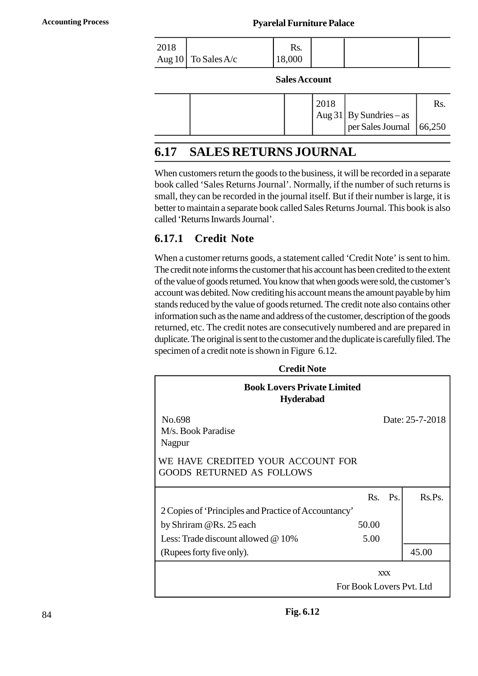#### **Accounting Process Pyarelal Furniture Palace**

| <b>Pyarelal Furniture Palace</b>                     |              |               |  |  |  |
|------------------------------------------------------|--------------|---------------|--|--|--|
| $\begin{array}{c} 2018 \\ \text{Aug 10} \end{array}$ | To Sales A/c | Rs.<br>18,000 |  |  |  |
|                                                      |              | Solos Account |  |  |  |

|  | <b>Sales Account</b> |      |                                                     |     |
|--|----------------------|------|-----------------------------------------------------|-----|
|  |                      | 2018 |                                                     | Rs. |
|  |                      |      | Aug 31 By Sundries – as<br>per Sales Journal 66,250 |     |

# **1.17 SALES RETURNS JOURNAL**

When customers return the goods to the business, it will be recorded in a separate book called 'Sales Returns Journal'. Normally, if the number of such returns is small, they can be recorded in the journal itself. But if their number is large, it is better to maintain a separate book called Sales Returns Journal. This book is also called 'Returns Inwards Journal'.

# **1.17.1 Credit Note**

When a customer returns goods, a statement called 'Credit Note' is sent to him. The credit note informs the customer that his account has been credited to the extent of the value of goods returned. You know that when goods were sold, the customer's account was debited. Now crediting his account means the amount payable by him stands reduced by the value of goods returned. The credit note also contains other information such as the name and address of the customer, description of the goods returned, etc. The credit notes are consecutively numbered and are prepared in duplicate. The original is sent to the customer and the duplicate is carefully filed. The specimen of a credit note is shown in Figure 1.12.

| <b>Book Lovers Private Limited</b><br><b>Hyderabad</b>                |            |                 |                 |
|-----------------------------------------------------------------------|------------|-----------------|-----------------|
| No.698<br>M/s. Book Paradise<br>Nagpur                                |            |                 | Date: 25-7-2018 |
| WE HAVE CREDITED YOUR ACCOUNT FOR<br><b>GOODS RETURNED AS FOLLOWS</b> |            |                 |                 |
|                                                                       |            |                 |                 |
|                                                                       | Rs.        | $\mathbf{Ps}$ . | Rs.Ps.          |
| 2 Copies of 'Principles and Practice of Accountancy'                  |            |                 |                 |
| by Shriram @Rs. 25 each                                               | 50.00      |                 |                 |
| Less: Trade discount allowed @ 10%                                    | 5.00       |                 |                 |
| (Rupees forty five only).                                             |            |                 | 45.00           |
|                                                                       | <b>XXX</b> |                 |                 |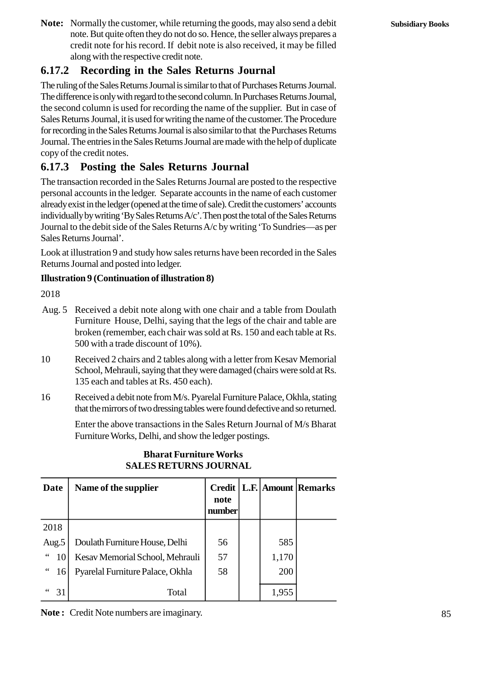**Note:** Normally the customer, while returning the goods, may also send a debit note. But quite often they do not do so. Hence, the seller always prepares a credit note for his record. If debit note is also received, it may be filled along with the respective credit note.

# **1.17.2 Recording in the Sales Returns Journal**

The ruling of the Sales Returns Journal is similar to that of Purchases Returns Journal. The difference is only with regard to the second column. In Purchases Returns Journal, the second column is used for recording the name of the supplier. But in case of Sales Returns Journal, it is used for writing the name of the customer. The Procedure for recording in the Sales Returns Journal is also similar to that the Purchases Returns Journal. The entries in the Sales Returns Journal are made with the help of duplicate copy of the credit notes.

# **1.17.3 Posting the Sales Returns Journal**

The transaction recorded in the Sales Returns Journal are posted to the respective personal accounts in the ledger. Separate accounts in the name of each customer already exist in the ledger (opened at the time of sale). Credit the customers' accounts individually by writing 'By Sales Returns A/c'. Then post the total of the Sales Returns Journal to the debit side of the Sales Returns A/c by writing 'To Sundries—as per Sales Returns Journal'.

Look at illustration 9 and study how sales returns have been recorded in the Sales Returns Journal and posted into ledger.

#### **Illustration 9 (Continuation of illustration 8)**

2018

- Look at illustration 9 and study how sales returns have been recorded in the Sales<br>Returns Journal and posted into ledger.<br>**Illustration 9 (Continuation of illustration 8)**<br>2018<br>Aug. 5 Received a debit note along with one Furniture House, Delhi, saying that the legs of the chair and table are broken (remember, each chair was sold at Rs. 150 and each table at Rs. 500 with a trade discount of 10%). 10 Aug. 5 Received a debit note along with one chair and a table from Doulath<br>
10 Furniture House, Delhi, saying that the legs of the chair and table are<br>
10 broken (remember, each chair was sold at Rs. 150 and each table
- School, Mehrauli, saying that they were damaged (chairs were sold at Rs. 135 each and tables at Rs. 450 each). 16 16 16 Solo with a trade discount of 10%).<br>
16 Received 2 chairs and 2 tables along with a letter from Kesav Memorial<br>
16 School, Mehrauli, saying that they were damaged (chairs were sold at Rs.<br>
16 Received a debit note
- that the mirrors of two dressing tables were found defective and so returned.

Enter the above transactions in the Sales Return Journal of M/s Bharat Furniture Works, Delhi, and show the ledger postings.

| Furniture Works, Delhi, and show the ledger postings.         |                                  |                                 |  |       |                            |
|---------------------------------------------------------------|----------------------------------|---------------------------------|--|-------|----------------------------|
| <b>Bharat Furniture Works</b><br><b>SALES RETURNS JOURNAL</b> |                                  |                                 |  |       |                            |
| Date                                                          | Name of the supplier             | <b>Credit</b><br>note<br>number |  |       | <b>L.F.</b> Amount Remarks |
| 2018                                                          |                                  |                                 |  |       |                            |
| Aug.5                                                         | Doulath Furniture House, Delhi   | 56                              |  | 585   |                            |
| $\,$ 6 $\,$<br>10                                             | Kesav Memorial School, Mehrauli  | 57                              |  | 1,170 |                            |
| $\,6\,6\,$<br>16                                              | Pyarelal Furniture Palace, Okhla | 58                              |  | 200   |                            |
| 31                                                            | Total                            |                                 |  | 1,955 |                            |

# **Bharat Furniture Works SALES RETURNS JOURNAL**

**Note :** Credit Note numbers are imaginary.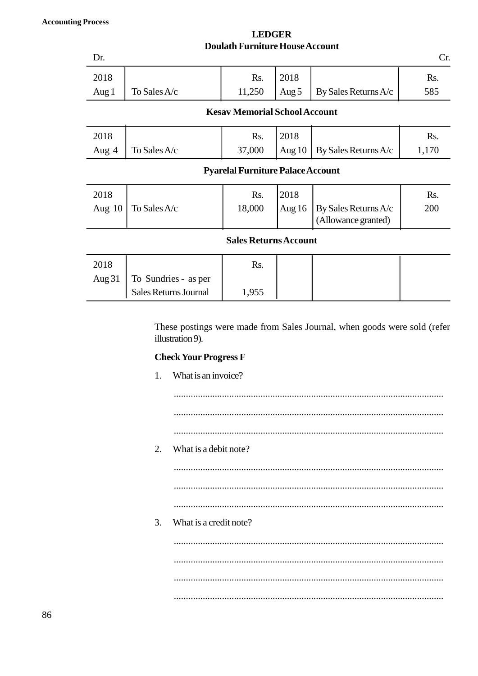| <b>LEDGER</b>                          |  |
|----------------------------------------|--|
| <b>Doulath Furniture House Account</b> |  |

|          |                              | <b>LEDGER</b><br><b>Doulath Furniture House Account</b> |          |                                             |       |
|----------|------------------------------|---------------------------------------------------------|----------|---------------------------------------------|-------|
| Dr.      |                              |                                                         |          |                                             | Cr.   |
| 2018     |                              | Rs.                                                     | 2018     |                                             | Rs.   |
| Aug 1    | To Sales $A/c$               | 11,250                                                  | Aug 5    | By Sales Returns A/c                        | 585   |
|          |                              | <b>Kesav Memorial School Account</b>                    |          |                                             |       |
| 2018     |                              | Rs.                                                     | 2018     |                                             | Rs.   |
| Aug 4    | To Sales A/c                 | 37,000                                                  | Aug $10$ | By Sales Returns A/c                        | 1,170 |
|          |                              | <b>Pyarelal Furniture Palace Account</b>                |          |                                             |       |
| 2018     |                              | Rs.                                                     | 2018     |                                             | Rs.   |
| Aug $10$ | To Sales A/c                 | 18,000                                                  | Aug $16$ | By Sales Returns A/c<br>(Allowance granted) | 200   |
|          |                              | <b>Sales Returns Account</b>                            |          |                                             |       |
| 2018     |                              | Rs.                                                     |          |                                             |       |
| Aug $31$ | To Sundries - as per         |                                                         |          |                                             |       |
|          | <b>Sales Returns Journal</b> | 1,955                                                   |          |                                             |       |

# **Check Your Progress F**

|    | These postings were made from Sales Journal, when goods were sold (refer<br>illustration 9). |
|----|----------------------------------------------------------------------------------------------|
|    | <b>Check Your Progress F</b>                                                                 |
| 1. | What is an invoice?                                                                          |
|    |                                                                                              |
|    |                                                                                              |
|    |                                                                                              |
| 2. | What is a debit note?                                                                        |
|    |                                                                                              |
|    |                                                                                              |
|    |                                                                                              |
| 3. | What is a credit note?                                                                       |
|    |                                                                                              |
|    |                                                                                              |
|    |                                                                                              |
|    |                                                                                              |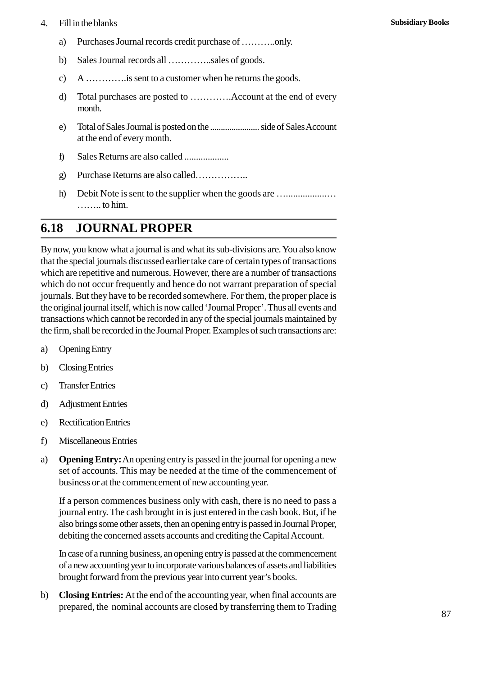# 4. Fill in the blanks<br>a) Purchases Journal

- a) Purchases Journal records credit purchase of ………..only.
- b) Sales Journal records all …………..sales of goods.
- c) A ………….is sent to a customer when he returns the goods.
- d) Total purchases are posted to ………….Account at the end of every month.
- e) Total of Sales Journal is posted on the ....................... side of Sales Account at the end of every month. f) Sales Returns are also called ...................
- 
- g) Purchase Returns are also called……………..
- h) Debit Note is sent to the supplier when the goods are …....................... …….. to him.

# **1.18 JOURNAL PROPER**

By now, you know what a journal is and what its sub-divisions are. You also know that the special journals discussed earlier take care of certain types of transactions which are repetitive and numerous. However, there are a number of transactions which do not occur frequently and hence do not warrant preparation of special journals. But they have to be recorded somewhere. For them, the proper place is<br>the original journal itself, which is now called 'Journal Proper'. Thus all events and<br>transactions which cannot be recorded in any of the spe the original journal itself, which is now called 'Journal Proper'. Thus all events and transactions which cannot be recorded in any of the special journals maintained by the firm, shall be recorded in the Journal Proper. Examples of such transactions are: c) Transfer Entries the original journal riser, which<br>transactions which cannot b<br>the firm, shall be recorded in<br>a) Opening Entry<br>b) Closing Entries<br>c) Transfer Entries

- 
- 
- 
- a) Opening Entry<br>
b) Closing Entries<br>
c) Transfer Entries<br>
d) Adjustment Entries<br>
e) Rectification Entries
- b) Closing Entries<br>
c) Transfer Entries<br>
d) Adjustment Entries<br>
e) Rectification Entries<br>
f) Miscellaneous Entries
- c) Transfer Entries<br>
d) Adjustment Entries<br>
e) Rectification Entries<br>
f) Miscellaneous Entries<br>
a) Opening Entry: An opening
- a) **Opening Entry:** An opening entry is passed in the journal for opening a new set of accounts. This may be needed at the time of the commencement of business or at the commencement of new accounting year.

If a person commences business only with cash, there is no need to pass a journal entry. The cash brought in is just entered in the cash book. But, if he also brings some other assets, then an opening entry is passed in Journal Proper, debiting the concerned assets accounts and crediting the Capital Account.

In case of a running business, an opening entry is passed at the commencement of a new accounting year to incorporate various balances of assets and liabilities brought forward from the previous year into current year's books.

b) **Closing Entries:** At the end of the accounting year, when final accounts are prepared, the nominal accounts are closed by transferring them to Trading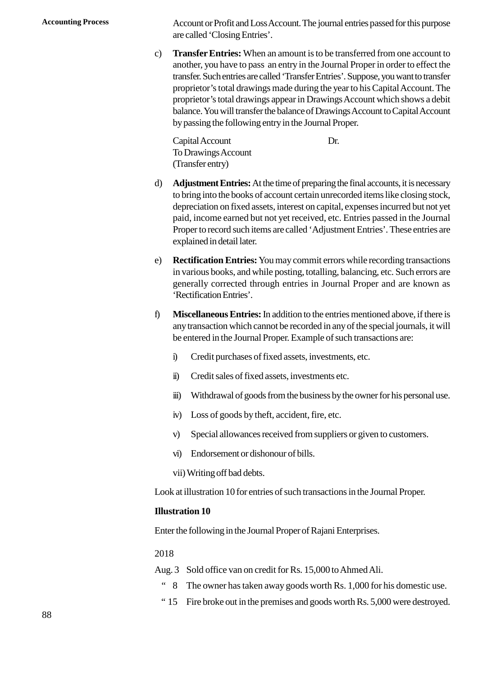**Accounting Process** Account or Profit and Loss Account. The journal entries passed for this purpose are called 'Closing Entries'.

> c) **Transfer Entries:** When an amount is to be transferred from one account to another, you have to pass an entry in the Journal Proper in order to effect the transfer. Such entries are called 'Transfer Entries'. Suppose, you want to transfer proprietor's total drawings made during the year to his Capital Account. The proprietor's total drawings appear in Drawings Account which shows a debit balance. You will transfer the balance of Drawings Account to Capital Account by passing the following entry in the Journal Proper.

Capital Account Dr. To Drawings Account (Transfer entry)

- d) **Adjustment Entries:**At the time of preparing the final accounts, it is necessary to bring into the books of account certain unrecorded items like closing stock, depreciation on fixed assets, interest on capital, expenses incurred but not yet paid, income earned but not yet received, etc. Entries passed in the Journal Proper to record such items are called 'Adjustment Entries'. These entries are explained in detail later.
- e) **Rectification Entries:** You may commit errors while recording transactions in various books, and while posting, totalling, balancing, etc. Such errors are generally corrected through entries in Journal Proper and are known as 'Rectification Entries'.
- f) **Miscellaneous Entries:** In addition to the entries mentioned above, if there is any transaction which cannot be recorded in any of the special journals, it will be entered in the Journal Proper. Example of such transactions are: Miscellaneous Entries: In addition to the entries mentioned<br>any transaction which cannot be recorded in any of the speci-<br>be entered in the Journal Proper. Example of such transaction<br>i) Credit purchases of fixed assets, i Indicates Entries in didition to the entries measurement<br>any transaction which cannot be recorded in any of the<br>be entered in the Journal Proper. Example of such trar<br>ii) Credit sales of fixed assets, investments etc.<br>iii)
	-
	-
	- iii) Withdrawal of goods from the business by the owner for his personal use. I) Credit purchases of fixed assets, investments, of<br>
	ii) Credit sales of fixed assets, investments etc.<br>
	iii) Withdrawal of goods from the business by the o<br>
	iv) Loss of goods by theft, accident, fire, etc.<br>
	v) Special al v) Credit sales of fixed assets, investments etc.<br>
	iii) Withdrawal of goods from the business by the owner for his personal use<br>
	iv) Loss of goods by theft, accident, fire, etc.<br>
	v) Special allowances received from supplie
	-
	- ii) Withdrawal of goods from the business by the owner for his personality Use Section in Loss of goods by the<br>ft, accident, fire, etc.<br>v) Special allowances received from suppliers or given to customers.<br>vi) Endorsement o
	-
	- vii) Writing off bad debts.

Look at illustration 10 for entries of such transactions in the Journal Proper.

#### **Illustration 10**

Enter the following in the Journal Proper of Rajani Enterprises.

2018

- 
- Enter the following in the Journal Proper of Rajani Enterprises.<br>
2018<br>
Aug. 3 Sold office van on credit for Rs. 15,000 to Ahmed Ali.<br>
"8 The owner has taken away goods worth Rs. 1,000 for his domestic use.
	- " 15 Fire broke out in the premises and goods worth Rs. 5,000 were destroyed.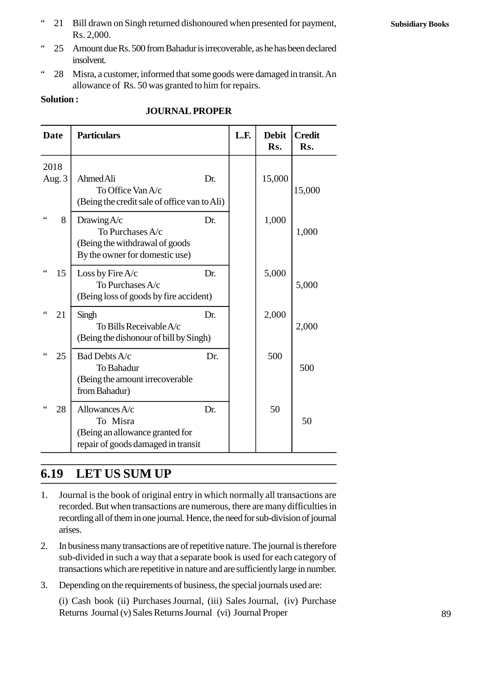" 21 Bill drawn on Singh returned dishonoured when presented for payment, Rs. 2,000.

- " 25 Amount due Rs. 500 from Bahadur is irrecoverable, as he has been declared insolvent.
- " 28 Misra, a customer, informed that some goods were damaged in transit. An allowance of Rs. 50 was granted to him for repairs.

#### **Solution :**

|                       | allowance of Rs. 50 was granted to him for repairs.<br><b>Solution:</b><br><b>JOURNAL PROPER</b>      |     |      |                     |                      |  |
|-----------------------|-------------------------------------------------------------------------------------------------------|-----|------|---------------------|----------------------|--|
| <b>Date</b>           | <b>Particulars</b>                                                                                    |     | L.F. | <b>Debit</b><br>Rs. | <b>Credit</b><br>Rs. |  |
| 2018<br>Aug. 3        | Ahmed Ali<br>To Office Van A/c<br>(Being the credit sale of office van to Ali)                        | Dr. |      | 15,000              | 15,000               |  |
| 8                     | Drawing $A/c$<br>To Purchases A/c<br>(Being the withdrawal of goods<br>By the owner for domestic use) | Dr. |      | 1,000               | 1,000                |  |
| $\zeta$ $\zeta$<br>15 | Loss by Fire $A/c$<br>To Purchases A/c<br>(Being loss of goods by fire accident)                      | Dr. |      | 5,000               | 5,000                |  |
| $\zeta$ $\zeta$<br>21 | Singh<br>To Bills Receivable A/c<br>(Being the dishonour of bill by Singh)                            | Dr. |      | 2,000               | 2,000                |  |
| 25                    | Bad Debts A/c<br>To Bahadur<br>(Being the amount irrecoverable<br>from Bahadur)                       | Dr. |      | 500                 | 500                  |  |
| 28                    | Allowances A/c<br>To Misra<br>(Being an allowance granted for<br>repair of goods damaged in transit   | Dr. |      | 50                  | 50                   |  |

#### **JOURNAL PROPER**

# **1.19 LET US SUM UP**

- 1.19 LET US SUM UP<br>
1. Journal is the book of original entry in which normally all transactions are<br>
recorded. But when transactions are numerous, there are many difficulties in recorded. But when transactions are numerous, there are many difficulties in recording all of them in one journal. Hence, the need for sub-division of journal arises. 2. In business many transactions are of repetitive nature. The journal is therefore sub-division of journal arises.<br>
2. In business many transactions are of repetitive nature. The journal is therefore sub-divided in such a
- sub-divided in such a way that a separate book is used for each category of transactions which are repetitive in nature and are sufficiently large in number. 2. In business many transactions are of repetitive nature. The journal is therefore<br>sub-divided in such a way that a separate book is used for each category of<br>transactions which are repetitive in nature and are sufficient
- 

(i) Cash book (ii) Purchases Journal, (iii) Sales Journal, (iv) Purchase Returns Journal (v) Sales Returns Journal (vi) Journal Proper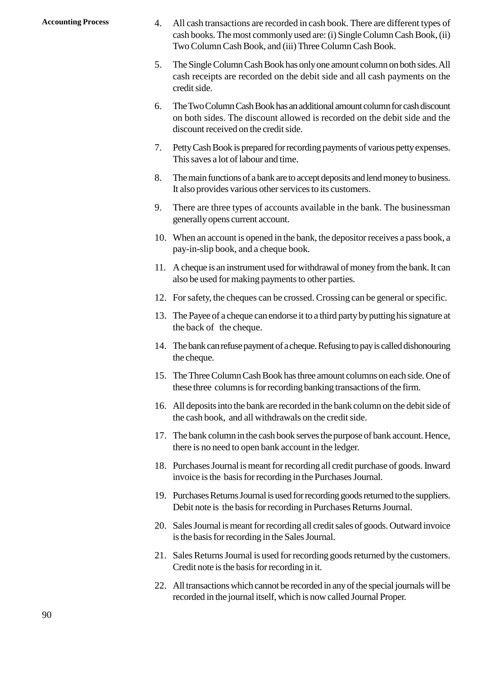- Accounting Process 4. All cash transactions are recorded in cash book. There are different types of cash books. The most commonly used are: (i) Single Column Cash Book, (ii) cash books. The most commonly used are: (i) Single Column Cash Book, (ii) Two Column Cash Book, and (iii) Three Column Cash Book. 4. All cash transactions are recorded in cash book. There are different types of cash books. The most commonly used are: (i) Single Column Cash Book, (ii) Two Column Cash Book, and (iii) Three Column Cash Book.<br>5. The Sing
	- cash receipts are recorded on the debit side and all cash payments on the credit side. From Column Cash Book, and (iii) Three Column Cash Book.<br>
	5. The Single Column Cash Book has only one amount column on both sides. All<br>
	cash receipts are recorded on the debit side and all cash payments on the<br>
	credit side
	- on both sides. The discount allowed is recorded on the debit side and the discount received on the credit side. 7. Petty Cash Book is prepared for recording payments of various petty expenses.<br>This saves a lot of labour and time.<br>This saves a lot of labour and time.
	- This saves a lot of labour and time. 8. The main functions of a bank are to accept deposits and lend money to business.<br>
	1. The main functions of a bank are to accept deposits and lend money to business.<br>
	1. The main functions of a bank are to accept deposits
	- It also provides various other services to its customers.
	- 9. The main functions of a bank are to accept deposits and lend money to business.<br>
	9. The main functions of a bank are to accept deposits and lend money to business.<br>
	16. It also provides various other services to its cus generally opens current account.
	- 10. The main functions of a bank are to accept deposits and feld money to business.<br>
	10. There are three types of accounts available in the bank. The businessman<br>
	10. When an account is opened in the bank, the depositor re pay-in-slip book, and a cheque book.
	- 11. There are three types of accounts available in the bank. The businessinant<br>generally opens current account.<br>10. When an account is opened in the bank, the depositor receives a pass book, a<br>pay-in-slip book, and a chequ also be used for making payments to other parties. 11. A cheque is an instrument used for withdrawal of money from the bank. It can also be used for making payments to other parties.<br>12. For safety, the cheques can be crossed. Crossing can be general or specific.
	-
	- 13. The Payee of a cheque can endorse it to a third party by putting his signature at the back of the cheque.
	- 14. The bank can refuse payment of a cheque. Refusing to pay is called dishonouring the cheque. 15. The Tayee of a cheque can endote it to a time party by putting its signature at<br>the back of the cheque.<br>14. The bank can refuse payment of a cheque. Refusing to pay is called dishonouring<br>the cheque.<br>15. The Three Colu
	- these three columns is for recording banking transactions of the firm. 14. The bank can reruse payment of a cheque. Rerusing to pay is cancel ulshonouring<br>the cheque.<br>15. The Three Column Cash Book has three amount columns on each side. One of<br>these three columns is for recording banking tran
	- the cash book, and all withdrawals on the credit side. 17. The three Column Cash Book has three amount columns of each stue. One of<br>these three columns is for recording banking transactions of the firm.<br>16. All deposits into the bank are recorded in the bank column on the debi
	- there is no need to open bank account in the ledger. 18. Purchases Journal is meant for recording all credit purchase of goods. Inward<br>
	18. Purchases Journal is meant for recording all credit purchase of goods. Inward<br>
	19. Purchases Journal is meant for recording all credit
	- invoice is the basis for recording in the Purchases Journal.
	- 19. Purchases Journal is meant for recording all credit purchase of goods. Inward<br>
	19. Purchases Journal is meant for recording all credit purchase of goods. Inward<br>
	19. Purchases Returns Journal is used for recording good Debit note is the basis for recording in Purchases Returns Journal. 20. Sales Journal is meant for recording an credit purchase of goods. Inward<br>
	19. Purchases Returns Journal is used for recording goods returned to the suppliers.<br>
	Debit note is the basis for recording in Purchases Returns
	- is the basis for recording in the Sales Journal. 20. Sales Journal is meant for recording all credit sales of goods. Outward invoice
	- Credit note is the basis for recording in it. 21. Sales Returns Journal is used for recording goods returned by the customers.<br>Credit note is the basis for recording in it.<br>22. All transactions which cannot be recorded in any of the special journals will be
	- recorded in the journal itself, which is now called Journal Proper.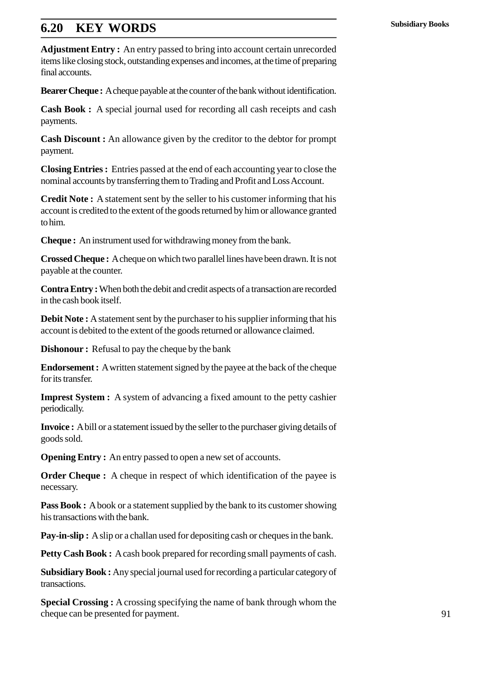# **1.20 KEY WORDS**

**Adjustment Entry :** An entry passed to bring into account certain unrecorded items like closing stock, outstanding expenses and incomes, at the time of preparing final accounts.

**Bearer Cheque :** A cheque payable at the counter of the bank without identification.

**Cash Book :** A special journal used for recording all cash receipts and cash payments.

**Cash Discount :** An allowance given by the creditor to the debtor for prompt payment.

**Closing Entries :** Entries passed at the end of each accounting year to close the nominal accounts by transferring them to Trading and Profit and Loss Account.

**Credit Note :** A statement sent by the seller to his customer informing that his account is credited to the extent of the goods returned by him or allowance granted to him.

**Cheque :** An instrument used for withdrawing money from the bank.

**Crossed Cheque :** A cheque on which two parallel lines have been drawn. It is not payable at the counter.

**Contra Entry :**When both the debit and credit aspects of a transaction are recorded in the cash book itself.

**Debit Note :** A statement sent by the purchaser to his supplier informing that his account is debited to the extent of the goods returned or allowance claimed.

**Dishonour :** Refusal to pay the cheque by the bank

**Endorsement :** A written statement signed by the payee at the back of the cheque for its transfer.

**Imprest System :** A system of advancing a fixed amount to the petty cashier periodically.

**Invoice :** A bill or a statement issued by the seller to the purchaser giving details of goods sold.

**Opening Entry :** An entry passed to open a new set of accounts.

**Order Cheque :** A cheque in respect of which identification of the payee is necessary.

**Pass Book :** A book or a statement supplied by the bank to its customer showing his transactions with the bank.

**Pay-in-slip :** A slip or a challan used for depositing cash or cheques in the bank.

**Petty Cash Book :** A cash book prepared for recording small payments of cash.

**Subsidiary Book :** Any special journal used for recording a particular category of transactions.

**Special Crossing :** A crossing specifying the name of bank through whom the cheque can be presented for payment.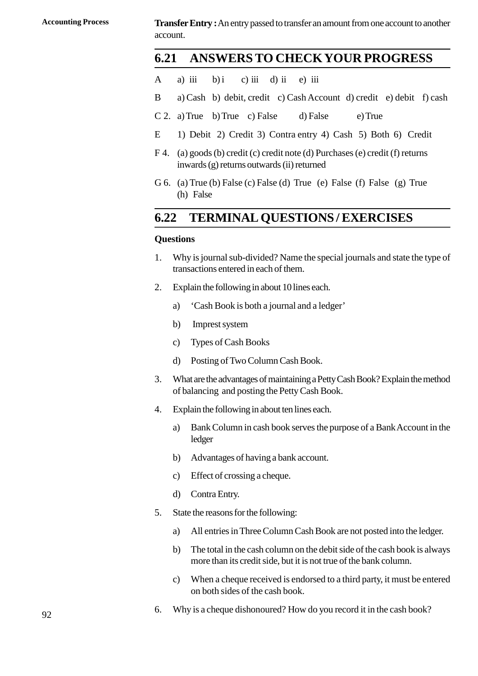**Accounting Process Transfer Entry :** An entry passed to transfer an amount from one account to another account. **Transfer Entry :** An entry passed to transfer an amo<br>account.<br>**1.21 ANSWERS TO CHECKYC**<br>A a) iii b) i c) iii d) ii e) iii<br>B a) Cash b) debit, credit c) Cash Accoun

# **1.21 ANSWERSTO CHECKYOUR PROGRESS 1.21 ANSWERS TO CHECKYOUR PROGRESS**<br>
A a) iii b) i c) iii d) ii e) iii<br>
B a) Cash b) debit, credit c) Cash Account d) credit e) debit f) cash<br>
C 2. a) True b) True c) False d) False e) True

- 
- **1.21 ANSWERS IOCHECKYOUR PROGRE**<br>
A a) iii b) i c) iii d) ii e) iii<br>
B a) Cash b) debit, credit c) Cash Account d) credit e) debit<br>
C 2. a) True b) True c) False d) False e) True<br>
E 1) Debit 2) Credit 3) Contra entry 4) A a) iii b) i c) iii d) ii e) iii<br>B a) Cash b) debit, credit c) Cash Account d) credit e) debit f) cash<br>C 2. a) True b) True c) False d) False e) True<br>E 1) Debit 2) Credit 3) Contra entry 4) Cash 5) Both 6) Credit<br>F 4. (a)
- 
- 
- F a) Cash b) debit, credit c) Cash Account d) credit e) debit f) cash<br>
C 2. a) True b) True c) False d) False e) True<br>
E 1) Debit 2) Credit 3) Contra entry 4) Cash 5) Both 6) Credit<br>
F 4. (a) goods (b) credit (c) credit no inwards (g) returns outwards (ii) returned E 1) Debit 2) Credit 3) Contra entry 4) Cash 5) Both 6) Credit F 4. (a) goods (b) credit (c) credit note (d) Purchases (e) credit (f) returns inwards (g) returns outwards (ii) returned G 6. (a) True (b) False (c) False (d) (a) goods (b) cred<br>(a) goods (b) cred<br>inwards (g) returns<br>(a) True (b) False
- 

# **1.22 TERMINAL QUESTIONS / EXERCISES**

#### **Questions**

- **1.22 TERMINAL QUESTIONS/EXERCISES**<br>Questions<br>1. Why is journal sub-divided? Name the special journals and state the type of<br>transactions entered in each of them. transactions entered in each of them. 2. Why is journal sub-divided? Name the special journals and state the type of transactions entered in each of them.<br>2. Explain the following in about 10 lines each.<br>3. Cash Book is both a journal and a ledger' transactions entered in each of them<br>Explain the following in about 10 lin<br>a) Cash Book is both a journal as<br>b) Imprest system<br>c) Types of Cash Books
- Explain the following in about 10 li<br>
a) Cash Book is both a journal<br>
b) Imprest system<br>
c) Types of Cash Books<br>
d) Posting of Two Column Cash
	- a) 'Cash Book is both a journal and a ledger' a) Cash Book is both a journal and a ledger<br>
	b) Imprest system<br>
	c) Types of Cash Books<br>
	d) Posting of Two Column Cash Book.<br>
	What are the advantages of maintaining a Petty (
	-
	-
	-
- 3. What are the advantages of maintaining a Petty Cash Book? Explain the method<br>3. What are the advantages of maintaining a Petty Cash Book? Explain the method<br>of balancing and posting the Petty Cash Book. of balancing and posting the Petty Cash Book. 4. Explain the following in about ten lines each.<br>
4. Explain the following in about ten lines each.<br>
4. Explain the following in about ten lines each.<br>
4. Explain the following in about ten lines each. What are the advantages of maintaining a Petty Cash Book? Explain the method<br>of balancing and posting the Petty Cash Book.<br>Explain the following in about ten lines each.<br>a) Bank Column in cash book serves the purpose of a
- 
- ledger Explain the following in about ten lines each.<br>
a) Bank Column in cash book serves the purp<br>
ledger<br>
b) Advantages of having a bank account.<br>
c) Effect of crossing a cheque. (a) Bank Column in cash book server<br>ledger<br>b) Advantages of having a bank acc<br>c) Effect of crossing a cheque.<br>d) Contra Entry ledger<br>
b) Advantages of hav<br>
c) Effect of crossing<br>
d) Contra Entry.<br>
State the reasons for the
	-
	-
	-
- (b) Advantages of having a bank accorporal contraction of the following:<br>
5. State the reasons for the following:<br>
3. All entries in Three Column Cash
	- (c) Effect of crossing a cheque.<br>
	d) Contra Entry.<br>
	State the reasons for the following:<br>
	a) All entries in Three Column Cash Book are not posted into the ledger.<br>
	b) The total in the cash column on the debit side of the c
	- (b) d) Contra Entry.<br>
	State the reasons for the following:<br>
	(a) All entries in Three Column Cash Book are not posted into the ledger.<br>
	(b) The total in the cash column on the debit side of the cash book is always<br>
	more tha more than its credit side, but it is not true of the bank column. (a) All entries in Three Column Cash Book are not posted into the ledger.<br>
	b) The total in the cash column on the debit side of the cash book is always<br>
	more than its credit side, but it is not true of the bank column.<br>
	c)
- on both sides of the cash book. 6. When a cheque received is endorsed to a third party, it must be entered<br>on both sides of the cash book.<br>6. Why is a cheque dishonoured? How do you record it in the cash book?
-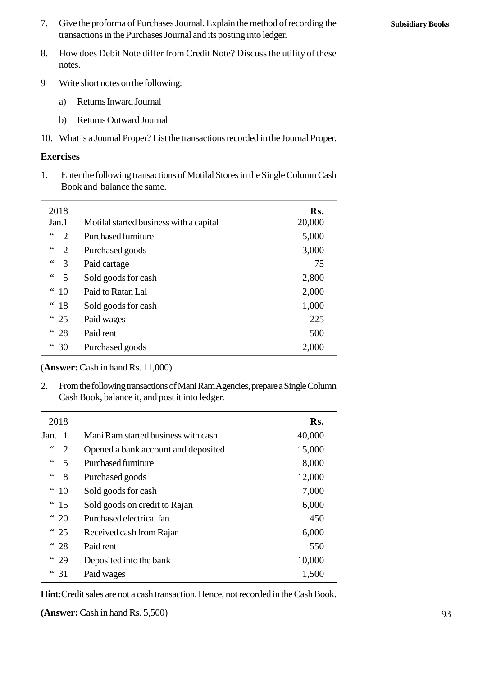7. Give the proforma of Purchases Journal. Explain the method of recording the transactions in the Purchases Journal and its posting into ledger. 8. Give the proforma of Purchases Journal. Explain the method of recording the transactions in the Purchases Journal and its posting into ledger.<br>8. How does Debit Note differ from Credit Note? Discuss the utility of these

- notes. 9 Meture short notes on the following:<br>
9 Metures on the following:<br>
9 Metures Invard Journal<br>
9 Metures Inward Journal How does Debit Note differ from<br>notes.<br>Write short notes on the following<br>a) Returns Inward Journal<br>b) Returns Outward Journal
- Write short notes on the following:<br>
a) Returns Inward Journal<br>
b) Returns Outward Journal
	-
	-
- 10. Write short notes on the following:<br>
10. Returns Outward Journal<br>
10. What is a Journal Proper? List the transactions recorded in the Journal Proper.<br> **Exercises**

#### **Exercises**

10. What is a Journal Proper? List the transactions recorded in the Journal Proper.<br> **Exercises**<br>
1. Enter the following transactions of Motilal Stores in the Single Column Cash<br>
Book and balance the same. Book and balance the same. 1. Enter the following transactions of Motilal Stores in the Single Column Cash

| 2018                               |                                                                                                                                  | Rs.    |
|------------------------------------|----------------------------------------------------------------------------------------------------------------------------------|--------|
| Jan.1                              | Motilal started business with a capital                                                                                          | 20,000 |
| $\leq$ $\leq$<br>$\overline{2}$    | <b>Purchased furniture</b>                                                                                                       | 5,000  |
| $\,$ 6 6 $\,$<br>2                 | Purchased goods                                                                                                                  | 3,000  |
| 3                                  | Paid cartage                                                                                                                     | 75     |
| $\mbox{\bf 6}$ $\mbox{\bf 6}$<br>5 | Sold goods for cash                                                                                                              | 2,800  |
| " 10                               | Paid to Ratan Lal                                                                                                                | 2,000  |
| " 18                               | Sold goods for cash                                                                                                              | 1,000  |
| <sup>"</sup> 25                    | Paid wages                                                                                                                       | 225    |
| <sup>"</sup> 28                    | Paid rent                                                                                                                        | 500    |
| " 30                               | Purchased goods                                                                                                                  | 2,000  |
|                                    | (Answer: Cash in hand Rs. 11,000)                                                                                                |        |
| 2.                                 | From the following transactions of Mani Ram Agencies, prepare a Single Column<br>Cash Book, balance it, and post it into ledger. |        |
|                                    |                                                                                                                                  |        |

| 2018                                               |                                     | Rs.    |
|----------------------------------------------------|-------------------------------------|--------|
| Jan. $1$                                           | Mani Ram started business with cash | 40,000 |
| $\,6\,6$<br>2                                      | Opened a bank account and deposited | 15,000 |
| $\leq$ $\leq$<br>5                                 | <b>Purchased furniture</b>          | 8,000  |
| $\,$ 6 6 $\,$<br>8                                 | Purchased goods                     | 12,000 |
| $\boldsymbol{\epsilon}\boldsymbol{\epsilon}$<br>10 | Sold goods for cash                 | 7,000  |
| <sup>"</sup> 15                                    | Sold goods on credit to Rajan       | 6,000  |
| <sup>"</sup> 20                                    | Purchased electrical fan            | 450    |
| <sup>"</sup> 25                                    | Received cash from Rajan            | 6,000  |
| <sup>"</sup> 28                                    | Paid rent                           | 550    |
| " 29                                               | Deposited into the bank             | 10,000 |
| 31<br>$\epsilon$                                   | Paid wages                          | 1,500  |

**Hint:**Credit sales are not a cash transaction. Hence, not recorded in the Cash Book.

**(Answer:** Cash in hand Rs. 5,500)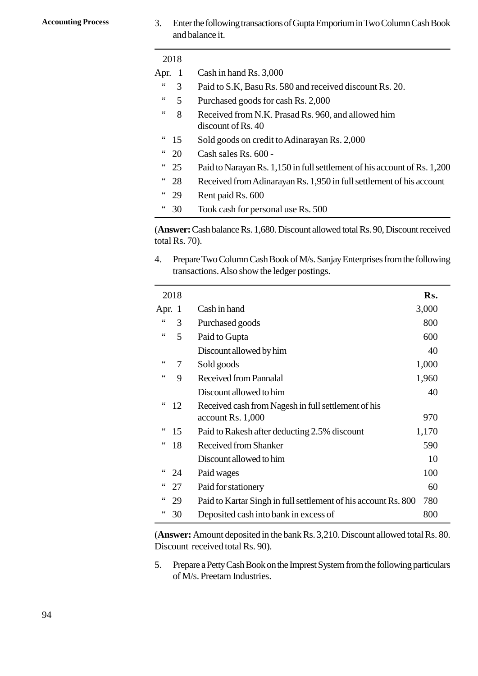Accounting Process 3. Enter the following transactions of Gupta Emporium in Two Column Cash Book<br>and balance it. and balance it.

|                          |                   | and balance it.                                                                                                            |
|--------------------------|-------------------|----------------------------------------------------------------------------------------------------------------------------|
|                          | 2018              |                                                                                                                            |
| Apr.                     | $\mathbf{1}$      | Cash in hand Rs. 3,000                                                                                                     |
| $\zeta$ $\zeta$          | 3                 | Paid to S.K, Basu Rs. 580 and received discount Rs. 20.                                                                    |
|                          | 5                 | Purchased goods for cash Rs. 2,000                                                                                         |
| $\mbox{\bf 6}$           | 8                 | Received from N.K. Prasad Rs. 960, and allowed him<br>discount of Rs. 40                                                   |
| 66                       | 15                | Sold goods on credit to Adinarayan Rs. 2,000                                                                               |
| 66                       | 20                | Cash sales Rs. 600 -                                                                                                       |
| $\epsilon$ $\epsilon$    | 25                | Paid to Narayan Rs. 1,150 in full settlement of his account of Rs. 1,200                                                   |
| $\textsf{6}\,\textsf{6}$ | 28                | Received from Adinarayan Rs. 1,950 in full settlement of his account                                                       |
| $\textsf{6}\,\textsf{6}$ | 29                | Rent paid Rs. 600                                                                                                          |
|                          | " 30              | Took cash for personal use Rs. 500                                                                                         |
|                          | total Rs. $70$ ). | (Answer: Cash balance Rs. 1,680. Discount allowed total Rs. 90, Discount received                                          |
| 4.                       |                   | Prepare Two Column Cash Book of M/s. Sanjay Enterprises from the following<br>transactions. Also show the ledger postings. |

transactions. Also show the ledger postings. 4. Prepare Two Column Cash Book of M/s. Sanjay Enterprises from the following transactions. Also show the ledger postings.

| Rs.                                                                   |
|-----------------------------------------------------------------------|
| 3,000                                                                 |
| 800                                                                   |
| 600                                                                   |
| 40                                                                    |
| 1,000                                                                 |
| 1,960                                                                 |
| 40                                                                    |
|                                                                       |
| 970                                                                   |
| 1,170                                                                 |
| 590                                                                   |
| 10                                                                    |
| 100                                                                   |
| 60                                                                    |
| Paid to Kartar Singh in full settlement of his account Rs. 800<br>780 |
| 800                                                                   |
|                                                                       |

(**Answer:** Amount deposited in the bank Rs. 3,210. Discount allowed total Rs. 80. Discount received total Rs. 90).

<sup>4.</sup> 30 Deposited cash into bank in excess of 800<br>
(Answer: Amount deposited in the bank Rs. 3,210. Discount allowed total Rs. 80.<br>
Discount received total Rs. 90).<br>
5. Prepare a Petty Cash Book on the Imprest System from of M/s. Preetam Industries.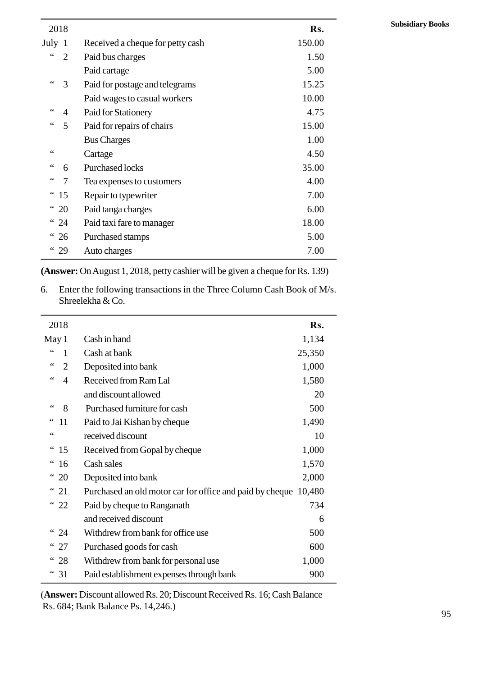| 2018                 |                                    |                                  | Rs.    |
|----------------------|------------------------------------|----------------------------------|--------|
| July<br>$\mathbf{1}$ |                                    | Received a cheque for petty cash | 150.00 |
| $\zeta$ $\zeta$      | $\overline{2}$<br>Paid bus charges |                                  | 1.50   |
|                      | Paid cartage                       |                                  | 5.00   |
| $\zeta$ $\zeta$<br>3 |                                    | Paid for postage and telegrams   | 15.25  |
|                      |                                    | Paid wages to casual workers     | 10.00  |
| 66                   | 4                                  | Paid for Stationery              | 4.75   |
| 66                   | 5                                  | Paid for repairs of chairs       | 15.00  |
|                      | <b>Bus Charges</b>                 |                                  | 1.00   |
| 66                   | Cartage                            |                                  | 4.50   |
| 66                   | <b>Purchased locks</b><br>6        |                                  | 35.00  |
| 66<br>7              |                                    | Tea expenses to customers        | 4.00   |
| 66<br>15             |                                    | Repair to typewriter             | 7.00   |
| 20                   |                                    | Paid tanga charges               | 6.00   |
| $\epsilon$<br>24     |                                    | Paid taxi fare to manager        | 18.00  |
| <sup>"</sup> 26      |                                    | Purchased stamps                 | 5.00   |
| " 29                 | Auto charges                       |                                  | 7.00   |

Shreelekha & Co. 6. Enter the following transactions in the Three Column Cash Book of M/s.<br>Shreelekha & Co.

| 2018                 |                                                                 | Rs.    |
|----------------------|-----------------------------------------------------------------|--------|
| May 1                | Cash in hand                                                    | 1,134  |
| 66<br>1              | Cash at bank                                                    | 25,350 |
| 66<br>$\overline{2}$ | Deposited into bank                                             | 1,000  |
| 66<br>$\overline{4}$ | Received from Ram Lal                                           | 1,580  |
|                      | and discount allowed                                            | 20     |
| $\leq$ $\leq$<br>8   | Purchased furniture for cash                                    | 500    |
| 66<br>11             | Paid to Jai Kishan by cheque                                    | 1,490  |
| 66                   | received discount                                               | 10     |
| <sup>"</sup> 15      | Received from Gopal by cheque                                   | 1,000  |
| 16                   | Cash sales                                                      | 1,570  |
| 66<br>20             | Deposited into bank                                             | 2,000  |
| 66<br>21             | Purchased an old motor car for office and paid by cheque 10,480 |        |
| " 22                 | Paid by cheque to Ranganath                                     | 734    |
|                      | and received discount                                           | 6      |
| <sup>"</sup> 24      | Withdrew from bank for office use                               | 500    |
| <sup>"</sup> 27      | Purchased goods for cash                                        | 600    |
| " 28                 | Withdrew from bank for personal use                             | 1,000  |
| " 31                 | Paid establishment expenses through bank                        | 900    |

(**Answer:** Discount allowed Rs. 20; Discount Received Rs. 16; Cash Balance Rs. 684; Bank Balance Ps. 14,246.)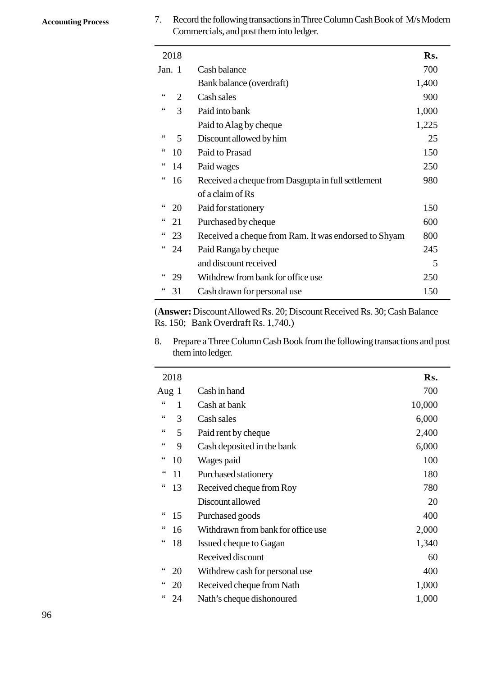Accounting Process 7. Record the following transactions in Three Column Cash Book of M/s Modern<br>Commercials, and post them into ledger. Commercials, and post them into ledger. 7. Record the following transactions in Three Column Cash Book of M/s Modern

| 2018                            |                                                      | Rs.   |
|---------------------------------|------------------------------------------------------|-------|
| Jan. 1                          | Cash balance                                         | 700   |
|                                 | Bank balance (overdraft)                             | 1,400 |
| $\leq$ $\leq$<br>$\overline{2}$ | Cash sales                                           | 900   |
| 66<br>3                         | Paid into bank                                       | 1,000 |
|                                 | Paid to Alag by cheque                               | 1,225 |
| $\,$ $\,$ $\,$ $\,$ $\,$<br>5   | Discount allowed by him                              | 25    |
| 66<br>10                        | Paid to Prasad                                       | 150   |
| 66<br>14                        | Paid wages                                           | 250   |
| 66<br>16                        | Received a cheque from Dasgupta in full settlement   | 980   |
|                                 | of a claim of Rs                                     |       |
| 66<br>20                        | Paid for stationery                                  | 150   |
| 66<br>21                        | Purchased by cheque                                  | 600   |
| 66<br>23                        | Received a cheque from Ram. It was endorsed to Shyam | 800   |
| 66<br>24                        | Paid Ranga by cheque                                 | 245   |
|                                 | and discount received                                | 5     |
| 66<br>29                        | Withdrew from bank for office use                    | 250   |
| 31                              | Cash drawn for personal use                          | 150   |

(**Answer:** Discount Allowed Rs. 20; Discount Received Rs. 30; Cash Balance Rs. 150; Bank Overdraft Rs. 1,740.)

8. Prepare a Three Column Cash Book from the following transactions and post<br>
8. Prepare a Three Column Cash Book from the following transactions and post<br>
1991 them into ledger. them into ledger.

| 2018                                       |                                    | Rs.    |
|--------------------------------------------|------------------------------------|--------|
| Aug 1                                      | Cash in hand                       | 700    |
| $\zeta \zeta$<br>1                         | Cash at bank                       | 10,000 |
| $\!\!\!\zeta\!\!\!\zeta\!\!\!\zeta\!$<br>3 | Cash sales                         | 6,000  |
| 66<br>5                                    | Paid rent by cheque                | 2,400  |
| 66<br>9                                    | Cash deposited in the bank         | 6,000  |
| 66<br>10                                   | Wages paid                         | 100    |
| $\ddot{\phantom{0}}$<br>11                 | Purchased stationery               | 180    |
| 66<br>13                                   | Received cheque from Roy           | 780    |
|                                            | Discount allowed                   | 20     |
| 66<br>15                                   | Purchased goods                    | 400    |
| 66<br>16                                   | Withdrawn from bank for office use | 2,000  |
| 66<br>18                                   | Issued cheque to Gagan             | 1,340  |
|                                            | Received discount                  | 60     |
| 66<br>20                                   | Withdrew cash for personal use     | 400    |
| 20                                         | Received cheque from Nath          | 1,000  |
| 24                                         | Nath's cheque dishonoured          | 1,000  |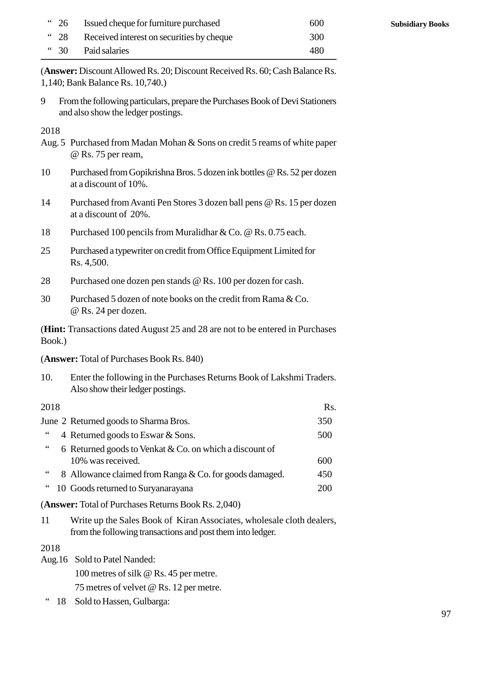|              | " 26 Issued cheque for furniture purchased | 600 |
|--------------|--------------------------------------------|-----|
| $\degree$ 28 | Received interest on securities by cheque  | 300 |
|              | " 30 Paid salaries                         | 480 |

(**Answer:** Discount Allowed Rs. 20; Discount Received Rs. 60; Cash Balance Rs. 1,140; Bank Balance Rs. 10,740.) 9 From the following particulars.<br>
1,140; Bank Balance Rs. 10,740.)<br>
9 From the following particulars, prepare the Purchases Book of Devi Stationers<br>
2, and also show the ledger postings.

and also show the ledger postings.

2018

- From the following particulars, prepare the Purchases Book of Devi Stationers<br>and also show the ledger postings.<br>2018<br>Aug. 5 Purchased from Madan Mohan & Sons on credit 5 reams of white paper<br>@ Rs. 75 per ream, @ Rs. 75 per ream,
- 2018<br>
2018<br>
Aug. 5 Purchased from Madan Mohan & Sons on credit 5 reams of white paper<br>
@ Rs. 75 per ream,<br>
10 Purchased from Gopikrishna Bros. 5 dozen ink bottles @ Rs. 52 per dozen<br>
at a discount of 10%. at a discount of 10%. 24 Purchased from Madali Mohali & Sons on credit 5 realis of white paper<br>
26 Rs. 75 per ream,<br>
10 Purchased from Gopikrishna Bros. 5 dozen ink bottles @ Rs. 52 per dozen<br>
at a discount of 10%.<br>
20%.
- at a discount of 20%. 18 Purchased from Avanti Pen Stores 3 dozen hall pens @ Rs. 15 per do<br>at a discount of 10%.<br>18 Purchased 100 pencils from Muralidhar & Co. @ Rs. 0.75 each.<br>18 Purchased 100 pencils from Muralidhar & Co. @ Rs. 0.75 each.<br>19 25 Purchased a typewriter on credit from Office Equipment Limited for Rs. 4,500.
- 
- Rs. 4,500. 25 Purchased 100 pencils from Muralidhar & Co. @ Rs. 0.75 each.<br>
25 Purchased a typewriter on credit from Office Equipment Limited for<br>
28 Purchased one dozen pen stands @ Rs. 100 per dozen for cash.<br>
20 Purchased 5 dozen 25 Purchased a typewriter on credit from Office Equipment Limited for<br>
Rs. 4,500.<br>
28 Purchased one dozen pen stands @ Rs. 100 per dozen for cash.<br>
20 Purchased 5 dozen of note books on the credit from Rama & Co.<br>
@ Rs. 2
- 
- @ Rs. 24 per dozen.

(**Hint:** Transactions dated August 25 and 28 are not to be entered in Purchases Book.) (**Hint:** Transactions dated August 25 and 28 are not to be entered in Purchases<br>Book.)<br>(Answer: Total of Purchases Book Rs. 840)<br>10. Enter the following in the Purchases Returns Book of Lakshmi Traders.<br>Also show their led

(**Answer:** Total of Purchases Book Rs. 840)

Also show their ledger postings.

2018 Rs. For the following in the Purchases Returns Book of Lakshmi Traders.<br>
Also show their ledger postings.<br>
2018 Rs.<br>
June 2 Returned goods to Sharma Bros. 350<br>
"4 Returned goods to Eswar & Sons. 500 10. Enter the following in the Purchases Returns Book of Lakshmi Traders.<br>
Also show their ledger postings.<br>
2018 Rs.<br>
1350 Returned goods to Sharma Bros.<br>
4 Returned goods to Eswar & Sons.<br>
500 6 Returned goods to Venkat Also show then ledger postings.<br>
2018<br>
Sune 2 Returned goods to Sharma Bros.<br>
"
4 Returned goods to Eswar & Sons.<br>
"
6 Returned goods to Venkat & Co. on which a discount of<br>
10% was received. 10% was received. 600 Value 2 Returned goods to Sharma Bros.<br>
"4 Returned goods to Eswar & Sons.<br>
6 Returned goods to Venkat & Co. on which a discount of<br>
10% was received.<br>
8 Allowance claimed from Ranga & Co. for goods damaged.<br>
450<br>
10 Goods " 10 Goods returned to Suryanarayana 200 10% was received.<br>
450<br>
450<br>
11 Goods returned to Suryanarayana<br>
450<br>
(Answer: Total of Purchases Returns Book Rs. 2,040)<br>
11 Write up the Sales Book of Kiran Associates, wholesale cloth dealers,<br>
from the following transa

(Answer: Total of Purchases Returns Book Rs. 2,040)<br>
11 Write up the Sales Book of Kiran Associates, whol<br>
from the following transactions and post them into led<br>
2018<br>
Aug.16 Sold to Patel Nanded:<br>
100 metres of silk @ Rs from the following transactions and post them into ledger.

2018

100 metres of silk @ Rs. 45 per metre.

75 metres of velvet @ Rs. 12 per metre.

" 18 Sold to Hassen, Gulbarga: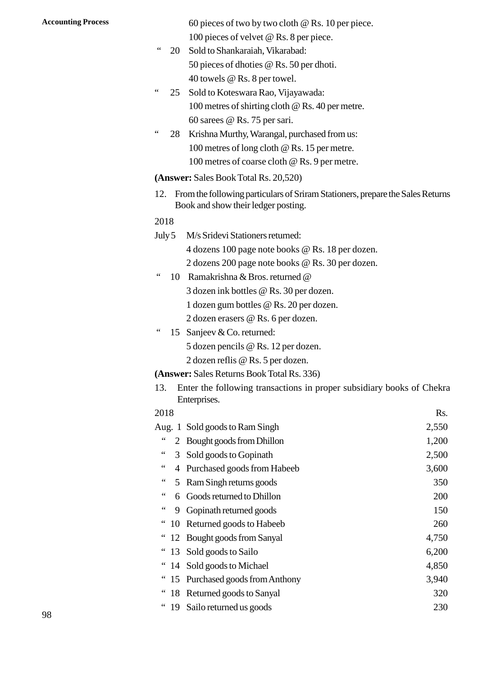Accounting Process 60 pieces of two by two cloth @ Rs. 10 per piece. 100 pieces of velvet @ Rs. 8 per piece.

- " 20 Sold to Shankaraiah, Vikarabad: 50 pieces of dhoties @ Rs. 50 per dhoti. 40 towels @ Rs. 8 per towel.
- " 25 Sold to Koteswara Rao, Vijayawada: 100 metres of shirting cloth @ Rs. 40 per metre. 60 sarees @ Rs. 75 per sari.
- " 28 Krishna Murthy, Warangal, purchased from us: 100 metres of long cloth @ Rs. 15 per metre. 100 metres of coarse cloth @ Rs. 9 per metre. 26 Krismia Mutury, watangar, put chased from us.<br>
100 metres of long cloth @ Rs. 15 per metre.<br>
100 metres of coarse cloth @ Rs. 9 per metre.<br>
(Answer: Sales Book Total Rs. 20,520)<br>
12. From the following particulars of Sr

#### **(Answer:** Sales Book Total Rs. 20,520)

Book and show their ledger posting. (Answer: Sales Book Total Rs. 20,520)<br>12. From the following particulars of Sriram<br>Book and show their ledger posting.<br>2018<br>July 5 M/s Sridevi Stationers returned:<br>4 dozens 100 page note books @ Rs.

#### 2018

4 dozens 100 page note books @ Rs. 18 per dozen.

2 dozens 200 page note books @ Rs. 30 per dozen. 2018<br>
July 5 M/s Sridevi Stationers returned:<br>
4 dozens 100 page note books @ Rs. 18 per dozen<br>
2 dozens 200 page note books @ Rs. 30 per dozen<br>
" 10 Ramakrishna & Bros. returned @<br>
3 dozen ink bottles @ Rs. 30 per dozen.

3 dozen ink bottles @ Rs. 30 per dozen.

1 dozen gum bottles @ Rs. 20 per dozen.

2 dozen erasers @ Rs. 6 per dozen.

" 10 Ramakrishna & Bros. returne<br>
3 dozen ink bottles @ Rs. 30<br>
1 dozen gum bottles @ Rs. 2(<br>
2 dozen erasers @ Rs. 6 per c<br>
" 15 Sanjeev & Co. returned:<br>
5 dozen pencils @ Rs. 12 per

5 dozen pencils @ Rs. 12 per dozen.

2 dozen reflis @ Rs. 5 per dozen.

#### **(Answer:** Sales Returns Book Total Rs. 336)

415. Sanjeev & Co. returned:<br>
5 dozen pencils @ Rs. 12 per dozen.<br>
2 dozen reflis @ Rs. 5 per dozen.<br>
(Answer: Sales Returns Book Total Rs. 336)<br>
13. Enter the following transactions in proper subsidiary books of Chekra<br> Enterprises.

#### 2018 Rs.

|                      |    | (Answer: Sales Returns Book Total Rs. 336)                                            |       |
|----------------------|----|---------------------------------------------------------------------------------------|-------|
| 13.                  |    | Enter the following transactions in proper subsidiary books of Chekra<br>Enterprises. |       |
| 2018                 |    |                                                                                       | Rs.   |
|                      |    | Aug. 1 Sold goods to Ram Singh                                                        | 2,550 |
| 66                   | 2  | <b>Bought goods from Dhillon</b>                                                      | 1,200 |
| $\leq$ $\leq$        |    | 3 Sold goods to Gopinath                                                              | 2,500 |
| $\leq$ $\leq$        |    | 4 Purchased goods from Habeeb                                                         | 3,600 |
|                      |    | 5 Ram Singh returns goods                                                             | 350   |
|                      |    | 6 Goods returned to Dhillon                                                           | 200   |
| 66                   | 9  | Gopinath returned goods                                                               | 150   |
| 66                   | 10 | Returned goods to Habeeb                                                              | 260   |
|                      | 12 | Bought goods from Sanyal                                                              | 4,750 |
| $\epsilon$           | 13 | Sold goods to Sailo                                                                   | 6,200 |
|                      |    | 14 Sold goods to Michael                                                              | 4,850 |
| $\ddot{\phantom{0}}$ |    | 15 Purchased goods from Anthony                                                       | 3,940 |
|                      |    | 18 Returned goods to Sanyal                                                           | 320   |
| 66                   | 19 | Sailo returned us goods                                                               | 230   |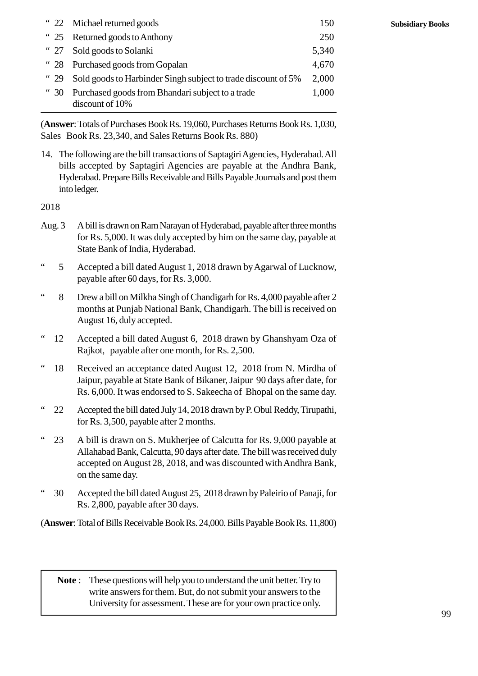|                 | " 22 Michael returned goods                                         | 150   |
|-----------------|---------------------------------------------------------------------|-------|
| $\degree$ 25    | Returned goods to Anthony                                           | 250   |
| <sup>"</sup> 27 | Sold goods to Solanki                                               | 5,340 |
| $\degree$ 28    | Purchased goods from Gopalan                                        | 4,670 |
| <sup>"</sup> 29 | Sold goods to Harbinder Singh subject to trade discount of 5%       | 2,000 |
| <sup>"</sup> 30 | Purchased goods from Bhandari subject to a trade<br>discount of 10% | 1,000 |

(**Answer**: Totals of Purchases Book Rs. 19,060, Purchases Returns Book Rs. 1,030, Sales Book Rs. 23,340, and Sales Returns Book Rs. 880)

14. The following are the bill transactions of Saptagiri Agencies, Hyderabad. All bills accepted by Saptagiri Agencies are payable at the Andhra Bank, Hyderabad. Prepare Bills Receivable and Bills Payable Journals and post them into ledger. Figure 3. A bill is drawn on Ram Narayan of Hyderabad, payable after three months<br>2018<br>Aug. 3 A bill is drawn on Ram Narayan of Hyderabad, payable after three months<br>for Rs. 5,000. It was duly accepted by him on the same d

2018

- for Rs. 5,000. It was duly accepted by him on the same day, payable at State Bank of India, Hyderabad.
- " 5 Accepted a bill dated August 1, 2018 drawn by Agarwal of Lucknow, payable after 60 days, for Rs. 3,000.
- " 8 Drew a bill on Milkha Singh of Chandigarh for Rs. 4,000 payable after 2 months at Punjab National Bank, Chandigarh. The bill is received on August 16, duly accepted.
- " 12 Accepted a bill dated August 6, 2018 drawn by Ghanshyam Oza of Rajkot, payable after one month, for Rs. 2,500.
- " 18 Received an acceptance dated August 12, 2018 from N. Mirdha of Jaipur, payable at State Bank of Bikaner, Jaipur 90 days after date, for Rs. 6,000. It was endorsed to S. Sakeecha of Bhopal on the same day.
- 22 Accepted the bill dated July 14, 2018 drawn by P. Obul Reddy, Tirupathi, for Rs. 3,500, payable after 2 months.
- " 23 A bill is drawn on S. Mukherjee of Calcutta for Rs. 9,000 payable at Allahabad Bank, Calcutta, 90 days after date. The bill was received duly accepted on August 28, 2018, and was discounted with Andhra Bank, on the same day.
- " 30 Accepted the bill dated August 25, 2018 drawn by Paleirio of Panaji, for Rs. 2,800, payable after 30 days.

(**Answer**: Total of Bills Receivable Book Rs. 24,000. Bills Payable Book Rs. 11,800)

**Note** : These questions will help you to understand the unit better. Try to write answers for them. But, do not submit your answers to the write answers for them. But, do not submit your answers to the University for assessment. These are for your own practice only.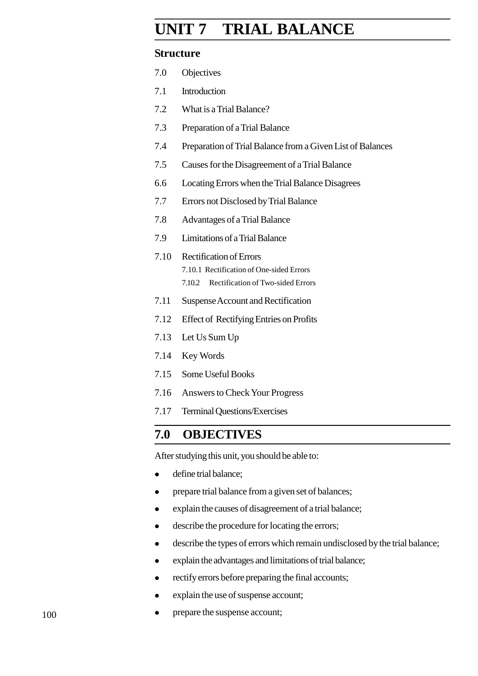# **Accounting Process UNIT 2 TRIAL BALANCE**

# **Structure**

| 2.0  | Objectives                                                                                                                |
|------|---------------------------------------------------------------------------------------------------------------------------|
| 2.1  | Introduction                                                                                                              |
| 2.2  | What is a Trial Balance?                                                                                                  |
| 2.3  | Preparation of a Trial Balance                                                                                            |
| 2.4  | Preparation of Trial Balance from a Given List of Balances                                                                |
| 2.5  | Causes for the Disagreement of a Trial Balance                                                                            |
| 2.6  | Locating Errors when the Trial Balance Disagrees                                                                          |
| 2.7  | Errors not Disclosed by Trial Balance                                                                                     |
| 2.8  | Advantages of a Trial Balance                                                                                             |
| 2.9  | Limitations of a Trial Balance                                                                                            |
| 2.10 | <b>Rectification of Errors</b><br>2.10.1 Rectification of One-sided Errors<br>Rectification of Two-sided Errors<br>2.10.2 |
| 2.11 | Suspense Account and Rectification                                                                                        |
| 2.12 | <b>Effect of Rectifying Entries on Profits</b>                                                                            |
| 2.13 | Let Us Sum Up                                                                                                             |
|      |                                                                                                                           |

- .14 Key Words
- .15 Some Useful Books
- .16 Answers to Check Your Progress
- .17 Terminal Questions/Exercises

# **.0 OBJECTIVES**

After studying this unit, you should be able to:

- define trial balance;
- prepare trial balance from a given set of balances;
- explain the causes of disagreement of a trial balance;
- describe the procedure for locating the errors;
- describe the types of errors which remain undisclosed by the trial balance;
- explain the advantages and limitations of trial balance;
- rectify errors before preparing the final accounts;
- explain the use of suspense account;
- prepare the suspense account;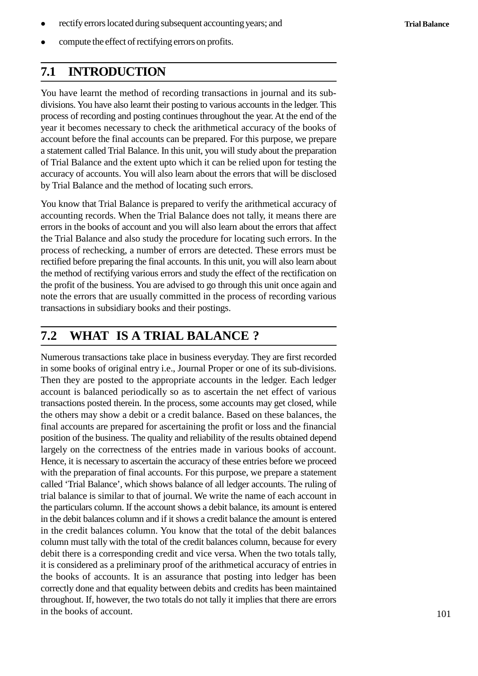- rectify errors located during subsequent accounting years; and
- compute the effect of rectifying errors on profits.

# **2.1 INTRODUCTION**

You have learnt the method of recording transactions in journal and its subdivisions. You have also learnt their posting to various accounts in the ledger. This process of recording and posting continues throughout the year. At the end of the year it becomes necessary to check the arithmetical accuracy of the books of account before the final accounts can be prepared. For this purpose, we prepare a statement called Trial Balance. In this unit, you will study about the preparation of Trial Balance and the extent upto which it can be relied upon for testing the accuracy of accounts. You will also learn about the errors that will be disclosed by Trial Balance and the method of locating such errors.

You know that Trial Balance is prepared to verify the arithmetical accuracy of accounting records. When the Trial Balance does not tally, it means there are errors in the books of account and you will also learn about the errors that affect the Trial Balance and also study the procedure for locating such errors. In the process of rechecking, a number of errors are detected. These errors must be rectified before preparing the final accounts. In this unit, you will also learn about the method of rectifying various errors and study the effect of the rectification on the profit of the business. You are advised to go through this unit once again and note the errors that are usually committed in the process of recording various transactions in subsidiary books and their postings.

# **2.2 WHAT IS A TRIAL BALANCE ?**

Numerous transactions take place in business everyday. They are first recorded in some books of original entry i.e., Journal Proper or one of its sub-divisions. Then they are posted to the appropriate accounts in the ledger. Each ledger account is balanced periodically so as to ascertain the net effect of various transactions posted therein. In the process, some accounts may get closed, while the others may show a debit or a credit balance. Based on these balances, the final accounts are prepared for ascertaining the profit or loss and the financial position of the business. The quality and reliability of the results obtained depend largely on the correctness of the entries made in various books of account. Hence, it is necessary to ascertain the accuracy of these entries before we proceed with the preparation of final accounts. For this purpose, we prepare a statement called 'Trial Balance', which shows balance of all ledger accounts. The ruling of trial balance is similar to that of journal. We write the name of each account in the particulars column. If the account shows a debit balance, its amount is entered in the debit balances column and if it shows a credit balance the amount is entered in the credit balances column. You know that the total of the debit balances column must tally with the total of the credit balances column, because for every debit there is a corresponding credit and vice versa. When the two totals tally, it is considered as a preliminary proof of the arithmetical accuracy of entries in the books of accounts. It is an assurance that posting into ledger has been correctly done and that equality between debits and credits has been maintained throughout. If, however, the two totals do not tally it implies that there are errors in the books of account.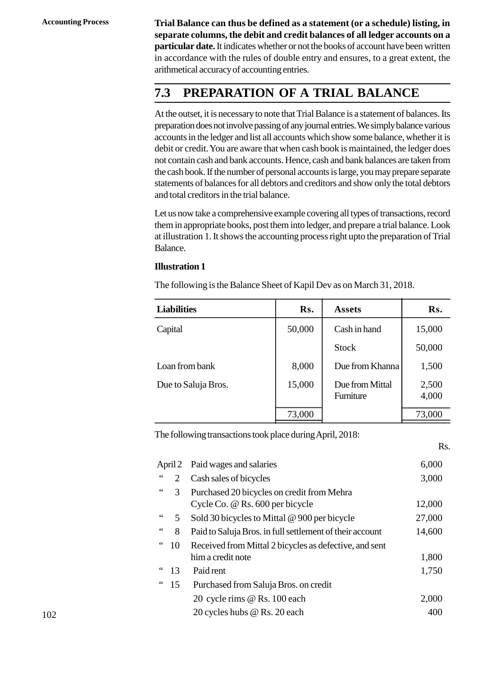**Accounting Process Trial Balance can thus be defined as a statement (or a schedule) listing, in separate columns, the debit and credit balances of all ledger accounts on a particular date.** It indicates whether or not the books of account have been written in accordance with the rules of double entry and ensures, to a great extent, the arithmetical accuracy of accounting entries.

# **2.3 PREPARATION OF A TRIAL BALANCE**

At the outset, it is necessary to note that Trial Balance is a statement of balances. Its preparation does not involve passing of any journal entries. We simply balance various accounts in the ledger and list all accounts which show some balance, whether it is debit or credit. You are aware that when cash book is maintained, the ledger does not contain cash and bank accounts. Hence, cash and bank balances are taken from the cash book. If the number of personal accounts is large, you may prepare separate statements of balances for all debtors and creditors and show only the total debtors and total creditors in the trial balance.

Let us now take a comprehensive example covering all types of transactions, record them in appropriate books, post them into ledger, and prepare a trial balance. Look at illustration 1. It shows the accounting process right upto the preparation of Trial Balance.

#### **Illustration 1**

| vuunv.                                                                |        |                              |                |
|-----------------------------------------------------------------------|--------|------------------------------|----------------|
| <b>Illustration 1</b>                                                 |        |                              |                |
| The following is the Balance Sheet of Kapil Dev as on March 31, 2018. |        |                              |                |
| <b>Liabilities</b>                                                    | Rs.    | <b>Assets</b>                | Rs.            |
| Capital                                                               | 50,000 | Cash in hand                 | 15,000         |
|                                                                       |        | <b>Stock</b>                 | 50,000         |
| Loan from bank                                                        | 8,000  | Due from Khanna              | 1,500          |
| Due to Saluja Bros.                                                   | 15,000 | Due from Mittal<br>Furniture | 2,500<br>4,000 |
|                                                                       |        |                              |                |
|                                                                       | 73,000 |                              | 73,000         |

|    | 73,000                                                   | 73,000                                                    |
|----|----------------------------------------------------------|-----------------------------------------------------------|
|    |                                                          |                                                           |
|    |                                                          | Rs.                                                       |
|    | Paid wages and salaries                                  | 6,000                                                     |
| 2  | Cash sales of bicycles                                   | 3,000                                                     |
| 3  | Purchased 20 bicycles on credit from Mehra               |                                                           |
|    | Cycle Co. @ Rs. 600 per bicycle                          | 12,000                                                    |
| 5  | Sold 30 bicycles to Mittal @ 900 per bicycle             | 27,000                                                    |
| 8  | Paid to Saluja Bros. in full settlement of their account | 14,600                                                    |
| 10 | Received from Mittal 2 bicycles as defective, and sent   |                                                           |
|    | him a credit note                                        | 1,800                                                     |
| 13 | Paid rent                                                | 1,750                                                     |
| 15 | Purchased from Saluja Bros. on credit                    |                                                           |
|    | 20 cycle rims @ Rs. 100 each                             | 2,000                                                     |
|    | 20 cycles hubs @ Rs. 20 each                             | 400                                                       |
|    | April 2                                                  | The following transactions took place during April, 2018: |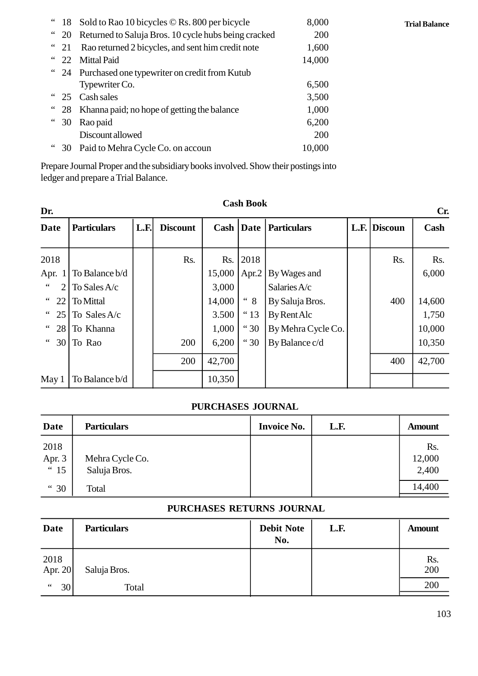| $\degree$ 18   | Sold to Rao 10 bicycles © Rs. 800 per bicycle        | 8,000  |  |
|----------------|------------------------------------------------------|--------|--|
| $\degree$ 20   | Returned to Saluja Bros. 10 cycle hubs being cracked | 200    |  |
| $\degree$ 21   | Rao returned 2 bicycles, and sent him credit note    | 1,600  |  |
| $\degree$ 22   | <b>Mittal Paid</b>                                   | 14,000 |  |
| 24             | Purchased one typewriter on credit from Kutub        |        |  |
|                | Typewriter Co.                                       | 6,500  |  |
| $\frac{1}{25}$ | Cash sales                                           | 3,500  |  |
| 28             | Khanna paid; no hope of getting the balance          | 1,000  |  |
| 30             | Rao paid                                             | 6,200  |  |
|                | Discount allowed                                     | 200    |  |
| 30             | Paid to Mehra Cycle Co. on accoun                    | 10,000 |  |
|                |                                                      |        |  |

Prepare Journal Proper and the subsidiary books involved. Show their postings into ledger and prepare a Trial Balance.

| <b>Cash Book</b><br>Dr.<br>Cr.      |                    |      |                 |        |                    |                    |  |              |        |
|-------------------------------------|--------------------|------|-----------------|--------|--------------------|--------------------|--|--------------|--------|
| <b>Date</b>                         | <b>Particulars</b> | L.F. | <b>Discount</b> |        | <b>Cash   Date</b> | <b>Particulars</b> |  | L.F. Discoun | Cash   |
| 2018                                |                    |      | Rs.             |        | Rs. 2018           |                    |  | Rs.          | Rs.    |
| Apr.<br>$\mathbf{1}$                | To Balance b/d     |      |                 | 15,000 | Apr.2              | By Wages and       |  |              | 6,000  |
| $\,$ 6 $\,$<br>2                    | To Sales A/c       |      |                 | 3,000  |                    | Salaries A/c       |  |              |        |
| $\epsilon$ $\epsilon$<br>22         | To Mittal          |      |                 | 14,000 | $\lq\lq 8$         | By Saluja Bros.    |  | 400          | 14,600 |
| $\epsilon$ $\epsilon$<br>25         | To Sales A/c       |      |                 | 3.500  | " <sup>13</sup>    | By Rent Alc        |  |              | 1,750  |
|                                     | " 28 To Khanna     |      |                 | 1,000  | " 30               | By Mehra Cycle Co. |  |              | 10,000 |
| $\mbox{\bf 6}$ $\mbox{\bf 6}$<br>30 | To Rao             |      | 200             | 6,200  | " 30               | By Balance c/d     |  |              | 10,350 |
|                                     |                    |      | 200             | 42,700 |                    |                    |  | 400          | 42,700 |
| May 1                               | To Balance b/d     |      |                 | 10,350 |                    |                    |  |              |        |

# **Cash Book**

#### **PURCHASES JOURNAL**

| May 1                  | To Balance b/d                  | 10,350 |                    |      |                        |  |  |  |
|------------------------|---------------------------------|--------|--------------------|------|------------------------|--|--|--|
| PURCHASES JOURNAL      |                                 |        |                    |      |                        |  |  |  |
| Date                   | <b>Particulars</b>              |        | <b>Invoice No.</b> | L.F. | <b>Amount</b>          |  |  |  |
| 2018<br>Apr. 3<br>" 15 | Mehra Cycle Co.<br>Saluja Bros. |        |                    |      | Rs.<br>12,000<br>2,400 |  |  |  |
| " 30                   | Total                           |        |                    |      | 14,400                 |  |  |  |

# **PURCHASES RETURNS JOURNAL**

| 15                        | Saluja Bros.       |  |                          |      | <b>2,400</b>  |  |  |  |
|---------------------------|--------------------|--|--------------------------|------|---------------|--|--|--|
| " 30                      | Total              |  |                          |      | 14,400        |  |  |  |
| PURCHASES RETURNS JOURNAL |                    |  |                          |      |               |  |  |  |
| <b>Date</b>               | <b>Particulars</b> |  | <b>Debit Note</b><br>No. | L.F. | <b>Amount</b> |  |  |  |
| 2018<br>Apr. 20           | Saluja Bros.       |  |                          |      | Rs.<br>200    |  |  |  |
| $\,$ 6 $\,$<br>30         | Total              |  |                          |      | 200           |  |  |  |

**Trial Balance**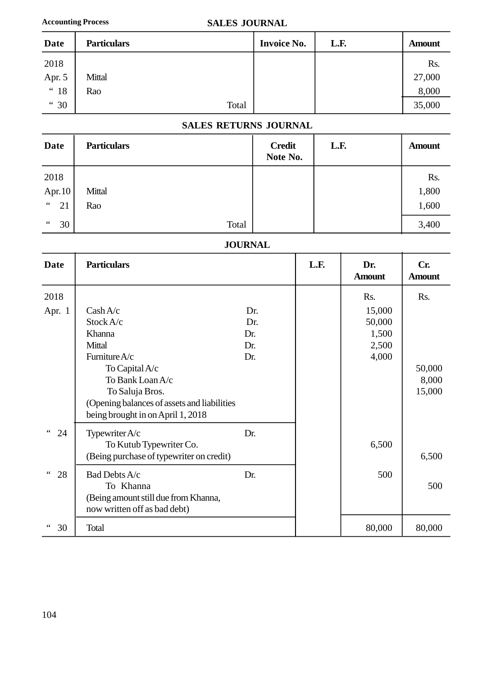### **Accounting Process SALES JOURNAL**

|        | <b>Accounting Process</b> | <b>SALES JOURNAL</b> |                    |      |               |
|--------|---------------------------|----------------------|--------------------|------|---------------|
| Date   | <b>Particulars</b>        |                      | <b>Invoice No.</b> | L.F. | <b>Amount</b> |
| 2018   |                           |                      |                    |      | Rs.           |
| Apr. 5 | Mittal                    |                      |                    |      | 27,000        |
| " 18   | Rao                       |                      |                    |      | 8,000         |
| " 30   |                           | Total                |                    |      | 35,000        |

# **SALES RETURNS JOURNAL**

| " 18                           | Rao                |       |                           |      | 8,000         |  |  |  |  |
|--------------------------------|--------------------|-------|---------------------------|------|---------------|--|--|--|--|
| " 30                           |                    | Total |                           |      | 35,000        |  |  |  |  |
| <b>SALES RETURNS JOURNAL</b>   |                    |       |                           |      |               |  |  |  |  |
| <b>Date</b>                    | <b>Particulars</b> |       | <b>Credit</b><br>Note No. | L.F. | <b>Amount</b> |  |  |  |  |
| 2018                           |                    |       |                           |      | Rs.           |  |  |  |  |
| Apr. 10                        | Mittal             |       |                           |      | 1,800         |  |  |  |  |
| $\textsf{c}\,\textsf{c}$<br>21 | Rao                |       |                           |      | 1,600         |  |  |  |  |
| $\,$ 6 $\,$<br>30              |                    | Total |                           |      | 3,400         |  |  |  |  |

# **JOURNAL**

| $\angle$ 1            | <b>NAV</b>                                                                                                                                |                                 |                |      |                                             | 1,000                     |
|-----------------------|-------------------------------------------------------------------------------------------------------------------------------------------|---------------------------------|----------------|------|---------------------------------------------|---------------------------|
| 30                    | Total                                                                                                                                     |                                 |                |      |                                             | 3,400                     |
|                       |                                                                                                                                           |                                 | <b>JOURNAL</b> |      |                                             |                           |
| <b>Date</b>           | <b>Particulars</b>                                                                                                                        |                                 |                | L.F. | Dr.<br><b>Amount</b>                        | Cr.<br><b>Amount</b>      |
| 2018                  |                                                                                                                                           |                                 |                |      | Rs.                                         | Rs.                       |
| Apr. 1                | Cash A/c<br>Stock A/c<br>Khanna<br>Mittal<br>Furniture A/c                                                                                | Dr.<br>Dr.<br>Dr.<br>Dr.<br>Dr. |                |      | 15,000<br>50,000<br>1,500<br>2,500<br>4,000 |                           |
|                       | To Capital A/c<br>To Bank Loan A/c<br>To Saluja Bros.<br>(Opening balances of assets and liabilities<br>being brought in on April 1, 2018 |                                 |                |      |                                             | 50,000<br>8,000<br>15,000 |
| 24                    | Typewriter A/c<br>To Kutub Typewriter Co.<br>(Being purchase of typewriter on credit)                                                     | Dr.                             |                |      | 6,500                                       | 6,500                     |
| $\zeta$ $\zeta$<br>28 | Bad Debts A/c<br>To Khanna<br>(Being amount still due from Khanna,<br>now written off as bad debt)                                        | Dr.                             |                |      | 500                                         | 500                       |
| 30                    | Total                                                                                                                                     |                                 |                |      | 80,000                                      | 80,000                    |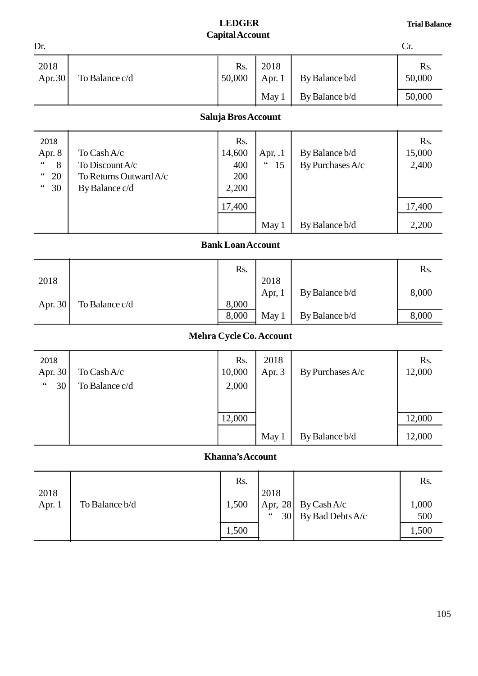# **LEDGER Capital Account**

|                                                                                     |                                                                            | <b>LEDGER</b><br><b>Capital Account</b> |                                                               |                                    | <b>Trial Balance</b>   |
|-------------------------------------------------------------------------------------|----------------------------------------------------------------------------|-----------------------------------------|---------------------------------------------------------------|------------------------------------|------------------------|
| Dr.                                                                                 |                                                                            |                                         |                                                               |                                    | Cr.                    |
| 2018<br>Apr. 30                                                                     | To Balance c/d                                                             | Rs.<br>50,000                           | 2018<br>Apr. $1$                                              | By Balance b/d                     | Rs.<br>50,000          |
|                                                                                     |                                                                            |                                         | May 1                                                         | By Balance b/d                     | 50,000                 |
|                                                                                     |                                                                            | Saluja Bros Account                     |                                                               |                                    |                        |
| 2018<br>Apr. 8<br>$\zeta$ $\zeta$<br>8<br>$\epsilon$<br>20<br>$\zeta$ $\zeta$<br>30 | To Cash A/c<br>To Discount A/c<br>To Returns Outward A/c<br>By Balance c/d | Rs.<br>14,600<br>400<br>200<br>2,200    | Apr, $.1$<br>$\boldsymbol{\zeta} \, \boldsymbol{\zeta}$<br>15 | By Balance b/d<br>By Purchases A/c | Rs.<br>15,000<br>2,400 |
|                                                                                     |                                                                            | 17,400                                  |                                                               |                                    | 17,400                 |
|                                                                                     |                                                                            |                                         | May 1                                                         | By Balance b/d                     | 2,200                  |
|                                                                                     |                                                                            | <b>Bank Loan Account</b>                |                                                               |                                    |                        |
| 2018                                                                                |                                                                            | Rs.                                     | 2018<br>Apr, $1$                                              | By Balance b/d                     | Rs.<br>8,000           |
| Apr. 30                                                                             | To Balance c/d                                                             | 8,000<br>8,000                          | May 1                                                         | By Balance b/d                     | 8,000                  |
|                                                                                     |                                                                            | Mehra Cycle Co. Account                 |                                                               |                                    |                        |
| 2018<br>Apr. 30<br>$\zeta\,\zeta$<br>30                                             | To Cash A/c<br>To Balance c/d                                              | Rs.<br>10,000<br>2,000                  | 2018<br>Apr. 3                                                | By Purchases A/c                   | Rs.<br>12,000          |
|                                                                                     |                                                                            | 12,000                                  |                                                               |                                    | 12,000                 |
|                                                                                     |                                                                            |                                         | May 1                                                         | By Balance b/d                     | 12,000                 |
|                                                                                     |                                                                            | Khanna's Account                        |                                                               |                                    |                        |
| 2018                                                                                |                                                                            | Rs.                                     | 2018                                                          |                                    | Rs.                    |
| Apr. 1                                                                              | To Balance b/d                                                             | 1,500                                   | Apr, 28<br>66<br>30                                           | By Cash A/c<br>By Bad Debts A/c    | 1,000<br>500           |

| 2018<br>Apr. 1 | To Balance b/d | 1,500 | 2018<br>66 | $ $ Apr, 28   By Cash A/c<br>$30$ By Bad Debts A/c | 000,<br>500 |
|----------------|----------------|-------|------------|----------------------------------------------------|-------------|
|                |                | 1,500 |            |                                                    | 1,500       |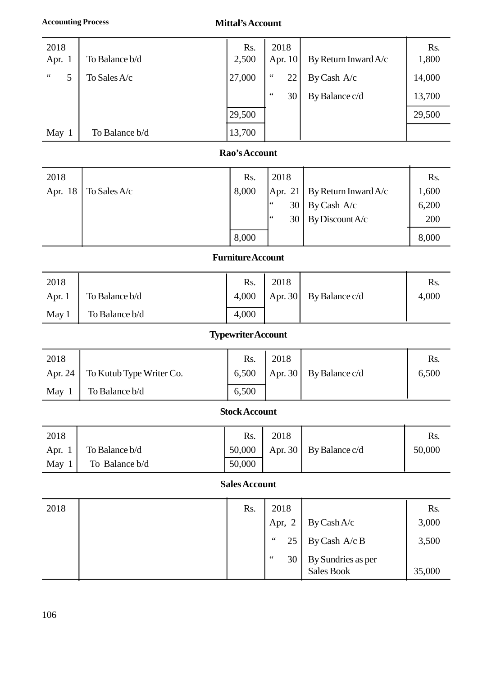| <b>Accounting Process</b> |                | <b>Mittal's Account</b>                |                       |                      |              |
|---------------------------|----------------|----------------------------------------|-----------------------|----------------------|--------------|
| 2018<br>Apr. 1            | To Balance b/d | Rs.<br>2,500                           | 2018<br>Apr. 10       | By Return Inward A/c | Rs.<br>1,800 |
|                           |                |                                        |                       |                      |              |
| $\zeta \zeta$<br>5        | To Sales A/c   | 27,000                                 | $\zeta$ $\zeta$<br>22 | By Cash A/c          | 14,000       |
|                           |                |                                        | $\leq \leq$<br>30     | By Balance c/d       | 13,700       |
|                           |                | 29,500                                 |                       |                      | 29,500       |
| May 1                     | To Balance b/d | 13,700                                 |                       |                      |              |
|                           |                | $\mathbf{p}_{\alpha\alpha}$ 'e Account |                       |                      |              |

# **Rao's Account**

| May 1   | To Balance b/d | 13,700        |            |                      |       |
|---------|----------------|---------------|------------|----------------------|-------|
|         |                | Rao's Account |            |                      |       |
| 2018    |                | Rs.           | 2018       |                      | Rs.   |
| Apr. 18 | To Sales A/c   | 8,000         | Apr. 21    | By Return Inward A/c | 1,600 |
|         |                |               | $66$<br>30 | By Cash A/c          | 6,200 |
|         |                |               | 66<br>30   | By Discount A/c      | 200   |
|         |                | 8,000         |            |                      | 8,000 |

# **Furniture Account**

|        |                | 8,000                     |         | ╯              | 8,000 |
|--------|----------------|---------------------------|---------|----------------|-------|
|        |                | <b>Furniture Account</b>  |         |                |       |
| 2018   |                | Rs.                       | 2018    |                | Rs.   |
| Apr. 1 | To Balance b/d | 4,000                     | Apr. 30 | By Balance c/d | 4,000 |
| May 1  | To Balance b/d | 4,000                     |         |                |       |
|        |                | <b>Typowritor Account</b> |         |                |       |

# **Typewriter Account**

| . .     |                          |                           | . .     | ┙              |       |
|---------|--------------------------|---------------------------|---------|----------------|-------|
| May 1   | To Balance b/d           | 4,000                     |         |                |       |
|         |                          | <b>Typewriter Account</b> |         |                |       |
| 2018    |                          | Rs.                       | 2018    |                | Rs.   |
| Apr. 24 | To Kutub Type Writer Co. | 6,500                     | Apr. 30 | By Balance c/d | 6,500 |
| May 1   | To Balance b/d           | 6,500                     |         |                |       |
|         |                          | Stock Account             |         |                |       |

### **Stock Account**

| . .    | . .            |                      | $\mathbf{r}$ | $\epsilon$     |        |
|--------|----------------|----------------------|--------------|----------------|--------|
| May 1  | To Balance b/d | 6,500                |              |                |        |
|        |                | <b>Stock Account</b> |              |                |        |
| 2018   |                | Rs.                  | 2018         |                | Rs.    |
| Apr. 1 | To Balance b/d | 50,000               | Apr. 30      | By Balance c/d | 50,000 |
| May 1  | To Balance b/d | 50,000               |              |                |        |
|        |                | <b>Colog Account</b> |              |                |        |

#### **Sales Account**

| Apr. 1 | TO Balance D/C | <b>JU,UU</b>         | Apr. 30      | $\mathbf{B}$ by Balance $\mathbf{C}/\mathbf{G}$ | <b>JU,UUU</b> |
|--------|----------------|----------------------|--------------|-------------------------------------------------|---------------|
| May 1  | To Balance b/d | 50,000               |              |                                                 |               |
|        |                | <b>Sales Account</b> |              |                                                 |               |
| 2018   |                | Rs.                  | 2018         |                                                 | Rs.           |
|        |                |                      | Apr, $2$     | By Cash $A/c$                                   | 3,000         |
|        |                |                      | $66$<br>25   | By Cash A/c B                                   | 3,500         |
|        |                |                      | $\,66$<br>30 | By Sundries as per<br><b>Sales Book</b>         | 35,000        |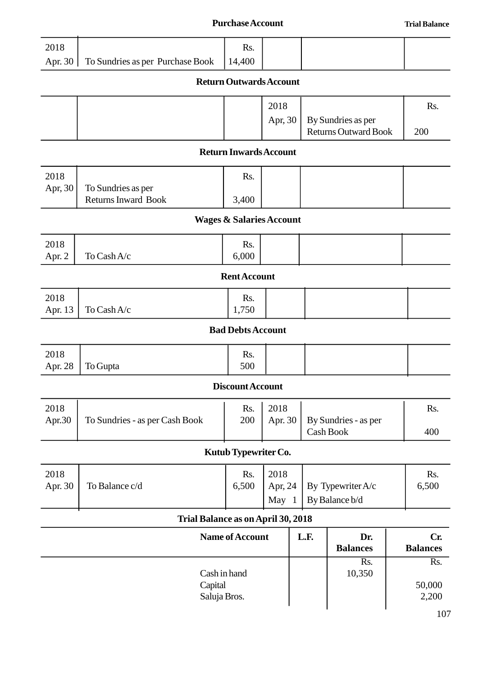|                 |                                                  | <b>Purchase Account</b>                  |         |      |                                                   | <b>Trial Balance</b>   |
|-----------------|--------------------------------------------------|------------------------------------------|---------|------|---------------------------------------------------|------------------------|
| 2018            |                                                  | Rs.                                      |         |      |                                                   |                        |
| Apr. 30         | To Sundries as per Purchase Book                 | 14,400<br><b>Return Outwards Account</b> |         |      |                                                   |                        |
|                 |                                                  |                                          |         |      |                                                   |                        |
|                 |                                                  |                                          | 2018    |      |                                                   | Rs.                    |
|                 |                                                  |                                          | Apr, 30 |      | By Sundries as per<br><b>Returns Outward Book</b> | 200                    |
|                 |                                                  | <b>Return Inwards Account</b>            |         |      |                                                   |                        |
| 2018            |                                                  | Rs.                                      |         |      |                                                   |                        |
| Apr, 30         | To Sundries as per<br><b>Returns Inward Book</b> | 3,400                                    |         |      |                                                   |                        |
|                 |                                                  | <b>Wages &amp; Salaries Account</b>      |         |      |                                                   |                        |
| 2018            |                                                  | Rs.                                      |         |      |                                                   |                        |
| Apr. 2          | To Cash A/c                                      | 6,000                                    |         |      |                                                   |                        |
|                 |                                                  | <b>Rent Account</b>                      |         |      |                                                   |                        |
| 2018            |                                                  | Rs.                                      |         |      |                                                   |                        |
| Apr. 13         | To Cash A/c                                      | 1,750<br><b>Bad Debts Account</b>        |         |      |                                                   |                        |
|                 |                                                  |                                          |         |      |                                                   |                        |
| 2018<br>Apr. 28 | To Gupta                                         | Rs.<br>500                               |         |      |                                                   |                        |
|                 |                                                  | Discount Account                         |         |      |                                                   |                        |
| 2018            |                                                  | Rs.                                      | 2018    |      |                                                   | Rs.                    |
| Apr.30          | To Sundries - as per Cash Book                   | 200                                      | Apr. 30 |      | By Sundries - as per<br>Cash Book                 | 400                    |
|                 |                                                  | Kutub Typewriter Co.                     |         |      |                                                   |                        |
| 2018            |                                                  | Rs.                                      | 2018    |      |                                                   | Rs.                    |
| Apr. 30         | To Balance c/d                                   | 6,500                                    | Apr, 24 |      | By Typewriter A/c                                 | 6,500                  |
|                 |                                                  |                                          | May 1   |      | By Balance b/d                                    |                        |
|                 | Trial Balance as on April 30, 2018               |                                          |         |      |                                                   |                        |
|                 |                                                  | <b>Name of Account</b>                   |         | L.F. | Dr.<br><b>Balances</b>                            | Cr.<br><b>Balances</b> |
|                 |                                                  |                                          |         |      | Rs.                                               | Rs.                    |
|                 | Capital                                          | Cash in hand                             |         |      | 10,350                                            | 50,000                 |
|                 | Saluja Bros.                                     |                                          |         |      |                                                   | 2,200                  |

60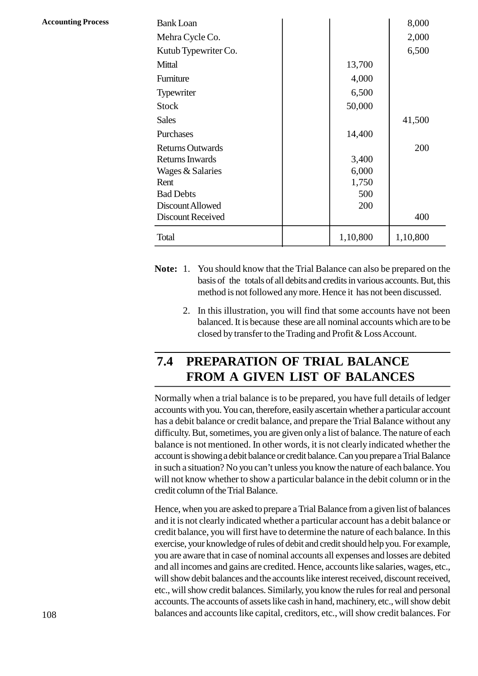| <b>Accounting Process</b> |  |
|---------------------------|--|
|---------------------------|--|

| <b>Accounting Process</b> | <b>Bank Loan</b>         |          | 8,000    |
|---------------------------|--------------------------|----------|----------|
|                           | Mehra Cycle Co.          |          | 2,000    |
|                           | Kutub Typewriter Co.     |          | 6,500    |
|                           | Mittal                   | 13,700   |          |
|                           | Furniture                | 4,000    |          |
|                           | Typewriter               | 6,500    |          |
|                           | <b>Stock</b>             | 50,000   |          |
|                           | <b>Sales</b>             |          | 41,500   |
|                           | Purchases                | 14,400   |          |
|                           | <b>Returns Outwards</b>  |          | 200      |
|                           | <b>Returns Inwards</b>   | 3,400    |          |
|                           | Wages & Salaries         | 6,000    |          |
|                           | Rent                     | 1,750    |          |
|                           | <b>Bad Debts</b>         | 500      |          |
|                           | Discount Allowed         | 200      |          |
|                           | <b>Discount Received</b> |          | 400      |
|                           | Total                    | 1,10,800 | 1,10,800 |

- 1,10,800 1,10,800<br>Tou should know that the Trial Balance can also be prepared on the<br>basis of the totals of all debits and credits in various accounts. But, this<br>method is not followed any more. Hence it has not been discu method is not followed any more. Hence it has not been discussed. 2. In this illustration, you will find that some accounts. But, this method is not followed any more. Hence it has not been discussed.<br>2. In this illustration, you will find that some accounts have not been balanced. It is
	- balanced. It is because these are all nominal accounts which are to be closed by transfer to the Trading and Profit & Loss Account.

# **2.4 PREPARATION OF TRIAL BALANCE FROM A GIVEN LIST OF BALANCES**

Normally when a trial balance is to be prepared, you have full details of ledger accounts with you. You can, therefore, easily ascertain whether a particular account has a debit balance or credit balance, and prepare the Trial Balance without any difficulty. But, sometimes, you are given only a list of balance. The nature of each balance is not mentioned. In other words, it is not clearly indicated whether the account is showing a debit balance or credit balance. Can you prepare a Trial Balance in such a situation? No you can't unless you know the nature of each balance. You will not know whether to show a particular balance in the debit column or in the credit column of the Trial Balance.

Hence, when you are asked to prepare a Trial Balance from a given list of balances and it is not clearly indicated whether a particular account has a debit balance or credit balance, you will first have to determine the nature of each balance. In this exercise, your knowledge of rules of debit and credit should help you. For example, you are aware that in case of nominal accounts all expenses and losses are debited and all incomes and gains are credited. Hence, accounts like salaries, wages, etc., will show debit balances and the accounts like interest received, discount received, etc., will show credit balances. Similarly, you know the rules for real and personal accounts. The accounts of assets like cash in hand, machinery, etc., will show debit balances and accounts like capital, creditors, etc., will show credit balances. For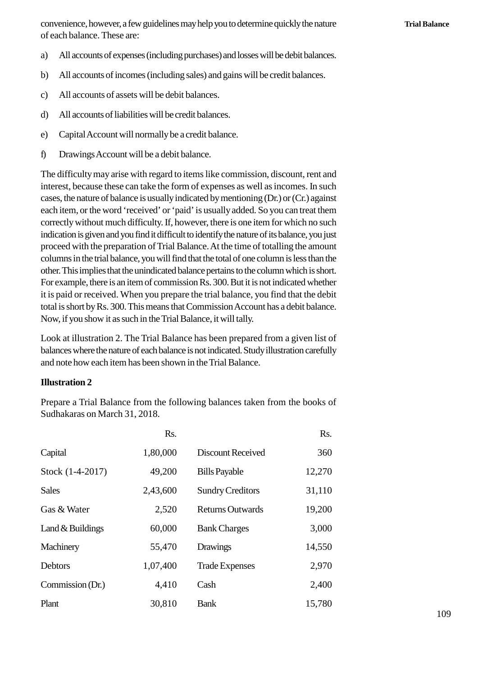convenience, however, a few guidelines may help you to determine quickly the nature of each balance. These are: convenience, however, a few guidelines may help you to determine quickly the nature<br>of each balance. These are:<br>a) All accounts of expenses (including purchases) and losses will be debit balances.<br>b) All accounts of income b) All accounts of expenses (including purchases) and losses will be debit balances.<br>
All accounts of expenses (including purchases) and losses will be debit balances.<br>
All accounts of incomes (including sales) and gains w

- (a) All accounts of expenses (including purchases) and<br>
a) All accounts of incomes (including sales) and gain<br>
c) All accounts of assets will be debit balances.<br>
d) All accounts of liabilities will be credit balances
- All accounts of expenses (including purchases) and los<br>b) All accounts of incomes (including sales) and gains v<br>c) All accounts of liabilities will be credit balances.<br>e) Capital Account will pormally be a credit balance
- 
- 
- e) All accounts of momes (including sales) and gains wife<br>
c) All accounts of assets will be debit balances.<br>
e) Capital Account will normally be a credit balance.<br>
f) Drawings Account will be a debit balance. F) All accounts of liabilities will be credit balances.<br>
e) Capital Account will normally be a credit balance.<br>
f) Drawings Account will be a debit balance.<br>
The difficulty may arise with regard to items like co
- 

The difficulty may arise with regard to items like commission, discount, rent and interest, because these can take the form of expenses as well as incomes. In such cases, the nature of balance is usually indicated by mentioning (Dr.) or (Cr.) against each item, or the word 'received' or 'paid' is usually added. So you can treat them correctly without much difficulty. If, however, there is one item for which no such indication is given and you find it difficult to identify the nature of its balance, you just proceed with the preparation of Trial Balance. At the time of totalling the amount columns in the trial balance, you will find that the total of one column is less than the other. This implies that the unindicated balance pertains to the column which is short. For example, there is an item of commission Rs. 300. But it is not indicated whether it is paid or received. When you prepare the trial balance, you find that the debit total is short by Rs. 300. This means that Commission Account has a debit balance. Now, if you show it as such in the Trial Balance, it will tally.

Look at illustration 2. The Trial Balance has been prepared from a given list of balances where the nature of each balance is not indicated. Study illustration carefully and note how each item has been shown in the Trial Balance.

#### **Illustration 2**

| Sudhakaras on March 31, 2018. |          | Prepare a Trial Balance from the following balances taken from the books of |        |
|-------------------------------|----------|-----------------------------------------------------------------------------|--------|
|                               | Rs.      |                                                                             | Rs.    |
| Capital                       | 1,80,000 | Discount Received                                                           | 360    |
| Stock (1-4-2017)              | 49,200   | <b>Bills Payable</b>                                                        | 12,270 |
| <b>Sales</b>                  | 2,43,600 | <b>Sundry Creditors</b>                                                     | 31,110 |
| Gas & Water                   | 2,520    | <b>Returns Outwards</b>                                                     | 19,200 |
| Land $&$ Buildings            | 60,000   | <b>Bank Charges</b>                                                         | 3,000  |
| Machinery                     | 55,470   | Drawings                                                                    | 14,550 |
| Debtors                       | 1,07,400 | <b>Trade Expenses</b>                                                       | 2,970  |
| Commission (Dr.)              | 4,410    | Cash                                                                        | 2,400  |
| Plant                         | 30,810   | <b>Bank</b>                                                                 | 15,780 |
|                               |          |                                                                             |        |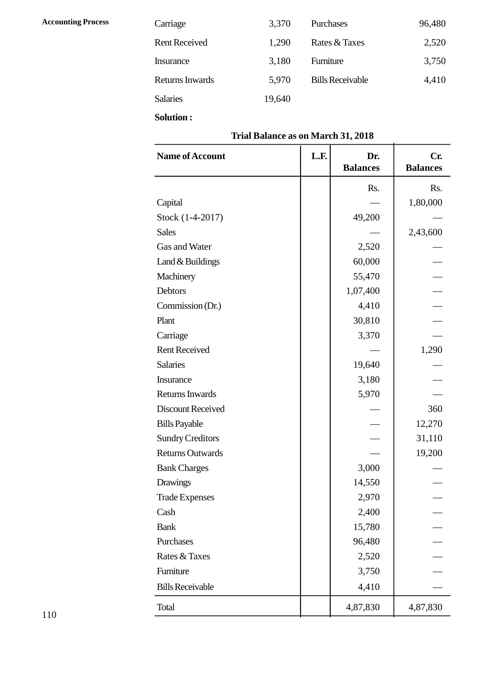| <b>Accounting Process</b> | Carriage             | 3,370  | Purchases               | 96,480 |
|---------------------------|----------------------|--------|-------------------------|--------|
|                           | <b>Rent Received</b> | 1,290  | Rates & Taxes           | 2,520  |
|                           | Insurance            | 3,180  | Furniture               | 3,750  |
|                           | Returns Inwards      | 5,970  | <b>Bills Receivable</b> | 4,410  |
|                           | <b>Salaries</b>      | 19,640 |                         |        |
|                           |                      |        |                         |        |

# **Trial Balance as on March 31, 2018**

| Salaries                | 19,640                             |                        |                        |  |
|-------------------------|------------------------------------|------------------------|------------------------|--|
| <b>Solution:</b>        |                                    |                        |                        |  |
|                         | Trial Balance as on March 31, 2018 |                        |                        |  |
| Name of Account         | L.F.                               | Dr.<br><b>Balances</b> | Cr.<br><b>Balances</b> |  |
|                         |                                    | Rs.                    | Rs.                    |  |
| Capital                 |                                    |                        | 1,80,000               |  |
| Stock (1-4-2017)        |                                    | 49,200                 |                        |  |
| <b>Sales</b>            |                                    |                        | 2,43,600               |  |
| Gas and Water           |                                    | 2,520                  |                        |  |
| Land & Buildings        |                                    | 60,000                 |                        |  |
| Machinery               |                                    | 55,470                 |                        |  |
| Debtors                 |                                    | 1,07,400               |                        |  |
| Commission (Dr.)        |                                    | 4,410                  |                        |  |
| Plant                   |                                    | 30,810                 |                        |  |
| Carriage                |                                    | 3,370                  |                        |  |
| <b>Rent Received</b>    |                                    |                        | 1,290                  |  |
| <b>Salaries</b>         |                                    | 19,640                 |                        |  |
| Insurance               |                                    | 3,180                  |                        |  |
| Returns Inwards         |                                    | 5,970                  |                        |  |
| Discount Received       |                                    |                        | 360                    |  |
| <b>Bills Payable</b>    |                                    |                        | 12,270                 |  |
| <b>Sundry Creditors</b> |                                    |                        | 31,110                 |  |
| <b>Returns Outwards</b> |                                    |                        | 19,200                 |  |
| <b>Bank Charges</b>     |                                    | 3,000                  |                        |  |
| <b>Drawings</b>         |                                    | 14,550                 |                        |  |
| <b>Trade Expenses</b>   |                                    | 2,970                  |                        |  |
| Cash                    |                                    | 2,400                  |                        |  |
| <b>Bank</b>             |                                    | 15,780                 |                        |  |
| Purchases               |                                    | 96,480                 |                        |  |
| Rates & Taxes           |                                    | 2,520                  |                        |  |
| Furniture               |                                    | 3,750                  |                        |  |
| <b>Bills Receivable</b> |                                    | 4,410                  |                        |  |
| Total                   |                                    | 4,87,830               | 4,87,830               |  |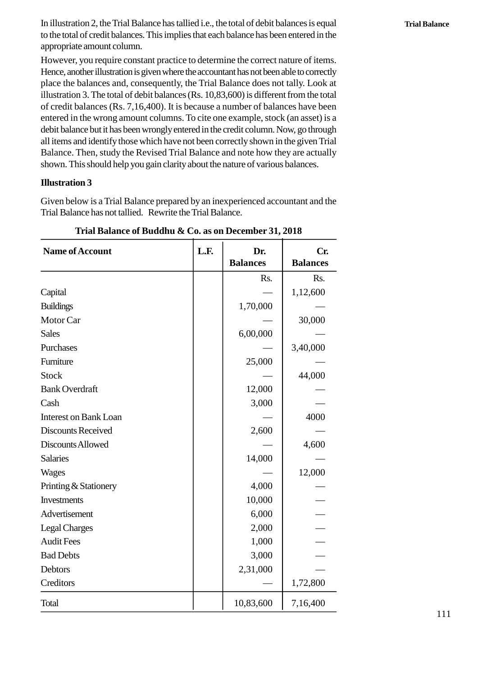In illustration 2, the Trial Balance has tallied i.e., the total of debit balances is equal to the total of credit balances. This implies that each balance has been entered in the appropriate amount column.

However, you require constant practice to determine the correct nature of items. Hence, another illustration is given where the accountant has not been able to correctly place the balances and, consequently, the Trial Balance does not tally. Look at illustration 3. The total of debit balances (Rs. 10,83,600) is different from the total of credit balances (Rs. 7,16,400). It is because a number of balances have been entered in the wrong amount columns. To cite one example, stock (an asset) is a debit balance but it has been wrongly entered in the credit column. Now, go through all items and identify those which have not been correctly shown in the given Trial Balance. Then, study the Revised Trial Balance and note how they are actually shown. This should help you gain clarity about the nature of various balances.

#### **Illustration 3**

| Trial Balance of Buddhu & Co. as on December 31, 2018 |      |                        |                        |
|-------------------------------------------------------|------|------------------------|------------------------|
| <b>Name of Account</b>                                | L.F. | Dr.<br><b>Balances</b> | Cr.<br><b>Balances</b> |
|                                                       |      | Rs.                    | Rs.                    |
| Capital                                               |      |                        | 1,12,600               |
| <b>Buildings</b>                                      |      | 1,70,000               |                        |
| Motor Car                                             |      |                        | 30,000                 |
| <b>Sales</b>                                          |      | 6,00,000               |                        |
| Purchases                                             |      |                        | 3,40,000               |
| Furniture                                             |      | 25,000                 |                        |
| <b>Stock</b>                                          |      |                        | 44,000                 |
| <b>Bank Overdraft</b>                                 |      | 12,000                 |                        |
| Cash                                                  |      | 3,000                  |                        |
| <b>Interest on Bank Loan</b>                          |      |                        | 4000                   |
| <b>Discounts Received</b>                             |      | 2,600                  |                        |
| Discounts Allowed                                     |      |                        | 4,600                  |
| <b>Salaries</b>                                       |      | 14,000                 |                        |
| <b>Wages</b>                                          |      |                        | 12,000                 |
| Printing & Stationery                                 |      | 4,000                  |                        |
| Investments                                           |      | 10,000                 |                        |
| Advertisement                                         |      | 6,000                  |                        |
| <b>Legal Charges</b>                                  |      | 2,000                  |                        |
| <b>Audit Fees</b>                                     |      | 1,000                  |                        |
| <b>Bad Debts</b>                                      |      | 3,000                  |                        |
| Debtors                                               |      | 2,31,000               |                        |
| Creditors                                             |      |                        | 1,72,800               |
| Total                                                 |      | 10,83,600              | 7,16,400               |

**Trial Balance of Buddhu & Co. as on December 31, 2018**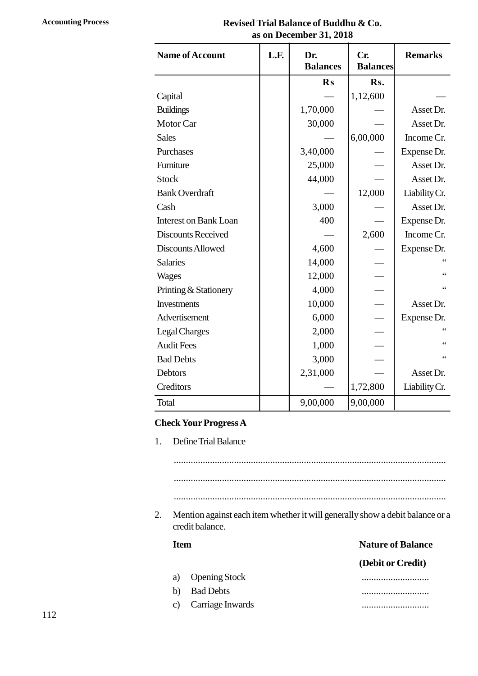# **Accounting Process Revised Trial Balance of Buddhu & Co. as on December 31, 2018**

| <b>Name of Account</b>       | L.F. | Dr.<br><b>Balances</b> | Cr.<br><b>Balances</b> | <b>Remarks</b>  |
|------------------------------|------|------------------------|------------------------|-----------------|
|                              |      | $\mathbf{R}$ s         | Rs.                    |                 |
| Capital                      |      |                        | 1,12,600               |                 |
| <b>Buildings</b>             |      | 1,70,000               |                        | Asset Dr.       |
| Motor Car                    |      | 30,000                 |                        | Asset Dr.       |
| <b>Sales</b>                 |      |                        | 6,00,000               | Income Cr.      |
| Purchases                    |      | 3,40,000               |                        | Expense Dr.     |
| Furniture                    |      | 25,000                 |                        | Asset Dr.       |
| <b>Stock</b>                 |      | 44,000                 |                        | Asset Dr.       |
| <b>Bank Overdraft</b>        |      |                        | 12,000                 | Liability Cr.   |
| Cash                         |      | 3,000                  |                        | Asset Dr.       |
| <b>Interest on Bank Loan</b> |      | 400                    |                        | Expense Dr.     |
| <b>Discounts Received</b>    |      |                        | 2,600                  | Income Cr.      |
| Discounts Allowed            |      | 4,600                  |                        | Expense Dr.     |
| <b>Salaries</b>              |      | 14,000                 |                        | $\epsilon$      |
| Wages                        |      | 12,000                 |                        | $\zeta$ $\zeta$ |
| Printing & Stationery        |      | 4,000                  |                        | $\zeta$ $\zeta$ |
| <b>Investments</b>           |      | 10,000                 |                        | Asset Dr.       |
| Advertisement                |      | 6,000                  |                        | Expense Dr.     |
| <b>Legal Charges</b>         |      | 2,000                  |                        | $\leq$          |
| <b>Audit Fees</b>            |      | 1,000                  |                        | $\zeta$ $\zeta$ |
| <b>Bad Debts</b>             |      | 3,000                  |                        |                 |
| Debtors                      |      | 2,31,000               |                        | Asset Dr.       |
| Creditors                    |      |                        | 1,72,800               | Liability Cr.   |
| Total                        |      | 9,00,000               | 9,00,000               |                 |

#### **Check Your Progress A**

|             | credit balance.      | Mention against each item whether it will generally show a debit balance or a |
|-------------|----------------------|-------------------------------------------------------------------------------|
| <b>Item</b> |                      | <b>Nature of Balance</b>                                                      |
|             |                      | (Debit or Credit)                                                             |
| a)          | <b>Opening Stock</b> |                                                                               |
|             | <b>Bad Debts</b>     |                                                                               |
| b)          |                      |                                                                               |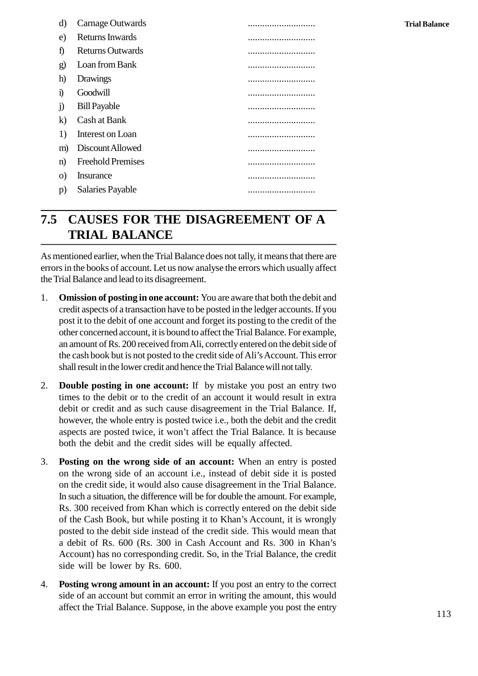| d)           | Carnage Outwards         |  |
|--------------|--------------------------|--|
| e)           | Returns Inwards          |  |
| f)           | <b>Returns Outwards</b>  |  |
| $\mathbf{g}$ | Loan from Bank           |  |
| h)           | Drawings                 |  |
| $\bf{1}$     | Goodwill                 |  |
| $\rm j)$     | <b>Bill Payable</b>      |  |
| $\bf k)$     | Cash at Bank             |  |
| 1)           | Interest on Loan         |  |
| m)           | Discount Allowed         |  |
| n)           | <b>Freehold Premises</b> |  |
| $\Omega$     | Insurance                |  |
| p)           | Salaries Payable         |  |
|              |                          |  |

# **2.5 CAUSES FOR THE DISAGREEMENT OF A TRIAL BALANCE**

As mentioned earlier, when the Trial Balance does not tally, it means that there are errors in the books of account. Let us now analyse the errors which usually affect the Trial Balance and lead to its disagreement.

- 1. **Omission of posting in one account:** You are aware that both the debit and credit aspects of a transaction have to be posted in the ledger accounts. If you post it to the debit of one account and forget its posting to the credit of the other concerned account, it is bound to affect the Trial Balance. For example, an amount of Rs. 200 received from Ali, correctly entered on the debit side of the cash book but is not posted to the credit side of Ali's Account. This error shall result in the lower credit and hence the Trial Balance will not tally.
- 2. **Double posting in one account:** If by mistake you post an entry two times to the debit or to the credit of an account it would result in extra debit or credit and as such cause disagreement in the Trial Balance. If, however, the whole entry is posted twice i.e., both the debit and the credit aspects are posted twice, it won't affect the Trial Balance. It is because both the debit and the credit sides will be equally affected.
- 3. **Posting on the wrong side of an account:** When an entry is posted on the wrong side of an account i.e., instead of debit side it is posted aspects are posted twice, it won't affect the Trial Balance. It is because<br>both the debit and the credit sides will be equally affected.<br>**Posting on the wrong side of an account:** When an entry is posted<br>on the wrong side In such a situation, the difference will be for double the amount. For example, Rs. 300 received from Khan which is correctly entered on the debit side of the Cash Book, but while posting it to Khan's Account, it is wrongly posted to the debit side instead of the credit side. This would mean that a debit of Rs. 600 (Rs. 300 in Cash Account and Rs. 300 in Khan's Account) has no corresponding credit. So, in the Trial Balance, the credit side will be lower by Rs. 600.
- 4. **Posting wrong amount in an account:** If you post an entry to the correct side of an account but commit an error in writing the amount, this would affect the Trial Balance. Suppose, in the above example you post the entry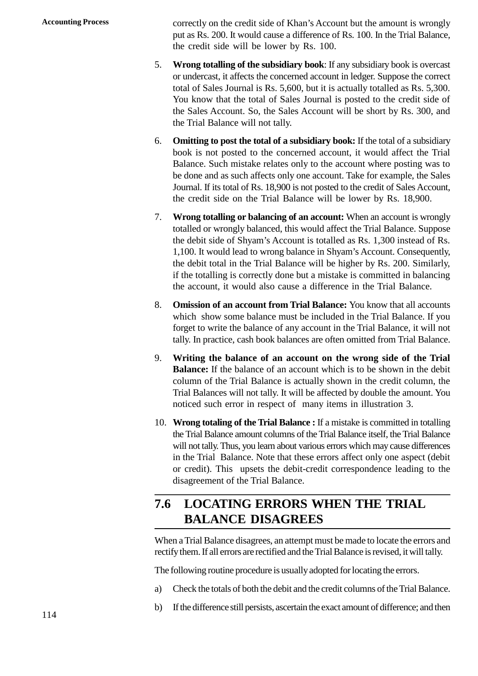Accounting Process correctly on the credit side of Khan's Account but the amount is wrongly put as Rs. 200. It would cause a difference of Rs. 100. In the Trial Balance, the credit side will be lower by Rs. 100.

- 5. **Wrong totalling of the subsidiary book**: If any subsidiary book is overcast or undercast, it affects the concerned account in ledger. Suppose the correct total of Sales Journal is Rs. 5,600, but it is actually totalled as Rs. 5,300. You know that the total of Sales Journal is posted to the credit side of the Sales Account. So, the Sales Account will be short by Rs. 300, and the Trial Balance will not tally.
- 6. **Omitting to post the total of a subsidiary book:** If the total of a subsidiary book is not posted to the concerned account, it would affect the Trial Balance. Such mistake relates only to the account where posting was to be done and as such affects only one account. Take for example, the Sales Journal. If its total of Rs. 18,900 is not posted to the credit of Sales Account, the credit side on the Trial Balance will be lower by Rs. 18,900.
- 7. **Wrong totalling or balancing of an account:** When an account is wrongly totalled or wrongly balanced, this would affect the Trial Balance. Suppose the debit side of Shyam's Account is totalled as Rs. 1,300 instead of Rs. 1,100. It would lead to wrong balance in Shyam's Account. Consequently, the debit total in the Trial Balance will be higher by Rs. 200. Similarly, if the totalling is correctly done but a mistake is committed in balancing the account, it would also cause a difference in the Trial Balance.
- 8. **Omission of an account from Trial Balance:** You know that all accounts forget to write the balance of any account in the Trial Balance, it will not tally. In practice, cash book balances are often omitted from Trial Balance.
- which show some balance must be included in the Trial Balance. If you<br>forget to write the balance of any account in the Trial Balance, it will not<br>tally. In practice, cash book balances are often omitted from Trial Balance 9. **Writing the balance of an account on the wrong side of the Trial** column of the Trial Balance is actually shown in the credit column, the Trial Balances will not tally. It will be affected by double the amount. You Writing the balance of an account on the wrong side of the 'Balance: If the balance of an account which is to be shown in the column of the Trial Balance is actually shown in the credit column Trial Balances will not tally
- 10. **Wrong totaling of the Trial Balance :** If a mistake is committed in totalling the Trial Balance amount columns of the Trial Balance itself, the Trial Balance will not tally. Thus, you learn about various errors which may cause differences in the Trial Balance. Note that these errors affect only one aspect (debit or credit). This upsets the debit-credit correspondence leading to the disagreement of the Trial Balance.

# **2.6 LOCATING ERRORS WHEN THE TRIAL BALANCE DISAGREES**

When a Trial Balance disagrees, an attempt must be made to locate the errors and rectify them. If all errors are rectified and the Trial Balance is revised, it will tally. When a Trial Balance disagrees, an attempt must be made to locate the errors and<br>rectify them. If all errors are rectified and the Trial Balance is revised, it will tally.<br>The following routine procedure is usually adopted

The following routine procedure is usually adopted for locating the errors.

- rectify them. If all errors are rectified and the Trial Balance is revised, it will tally.<br>The following routine procedure is usually adopted for locating the errors.<br>a) Check the totals of both the debit and the credit co
-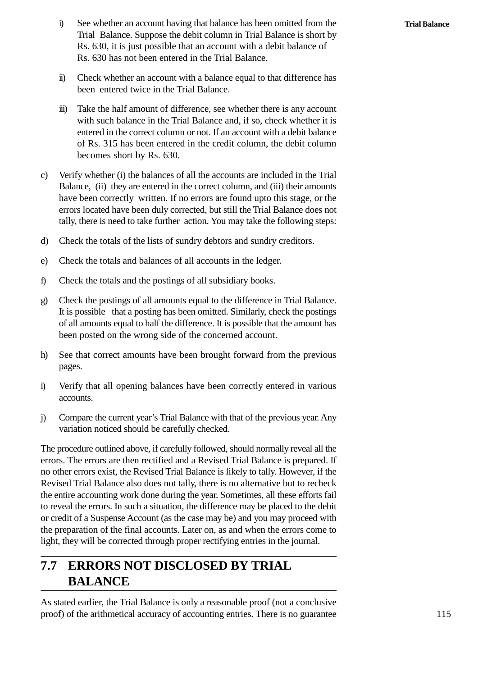- i) See whether an account having that balance has been omitted from the Trial Balance. Suppose the debit column in Trial Balance is short by Trial Balance. Suppose the debit column in Trial Balance is short by Rs. 630, it is just possible that an account with a debit balance of Rs. 630 has not been entered in the Trial Balance. i) See whether an account having that balance has been omitted from the Trial Balance. Suppose the debit column in Trial Balance is short by Rs. 630, it is just possible that an account with a debit balance of Rs. 630 has
- been entered twice in the Trial Balance.
- In the state of the half amount with a balance equal to that difference has<br>
been entered twice in the Trial Balance.<br>
iii) Take the half amount of difference, see whether there is any account<br>
with such balance in the Tri with such balance in the Trial Balance and, if so, check whether it is entered in the correct column or not. If an account with a debit balance of Rs. 315 has been entered in the credit column, the debit column becomes short by Rs. 630.
- c) Verify whether (i) the balances of all the accounts are included in the Trial Balance, (ii) they are entered in the correct column, and (iii) their amounts have been correctly written. If no errors are found upto this stage, or the errors located have been duly corrected, but still the Trial Balance does not tally, there is need to take further action. You may take the following steps: Balance, (ii) they are entered in the correct column, and (iii) their amount<br>have been correctly written. If no errors are found upto this stage, or th<br>errors located have been duly corrected, but still the Trial Balance d errors located have been duly corrected, but still the Trial Balance<br>tally, there is need to take further action. You may take the follow<br>d) Check the totals of the lists of sundry debtors and sundry credit<br>e) Check the to
- f) Check the totals and balances of all accounts in the ledger.<br>
c) Check the totals and balances of all accounts in the ledger.<br>
f) Check the totals and the postings of all subsidiary books.
- 
- 
- g) Check the totals and balances of all accounts in the ledger.<br>
f) Check the totals and the postings of all subsidiary books.<br>
g) Check the postings of all amounts equal to the difference in Trial Balance.<br>
It is possible of all amounts equal to half the difference. It is possible that the amount has been posted on the wrong side of the concerned account. g) Check the postings of all amounts equal to the difference in Trial Balance.<br>It is possible that a posting has been omitted. Similarly, check the postings of all amounts equal to half the difference. It is possible that
- pages. independent of the wrong side of the concerned account.<br>
in See that correct amounts have been brought forward from the previous<br>
pages.<br>
i) Verify that all opening balances have been correctly entered in various<br>
accounts
- accounts.
- j) Compare the current year's Trial Balance with that of the previous year. Any variation noticed should be carefully checked.

The procedure outlined above, if carefully followed, should normally reveal all the errors. The errors are then rectified and a Revised Trial Balance is prepared. If no other errors exist, the Revised Trial Balance is likely to tally. However, if the Revised Trial Balance also does not tally, there is no alternative but to recheck the entire accounting work done during the year. Sometimes, all these efforts fail to reveal the errors. In such a situation, the difference may be placed to the debit or credit of a Suspense Account (as the case may be) and you may proceed with the preparation of the final accounts. Later on, as and when the errors come to light, they will be corrected through proper rectifying entries in the journal.

# **2.7 ERRORS NOT DISCLOSED BY TRIAL BALANCE**

As stated earlier, the Trial Balance is only a reasonable proof (not a conclusive proof) of the arithmetical accuracy of accounting entries. There is no guarantee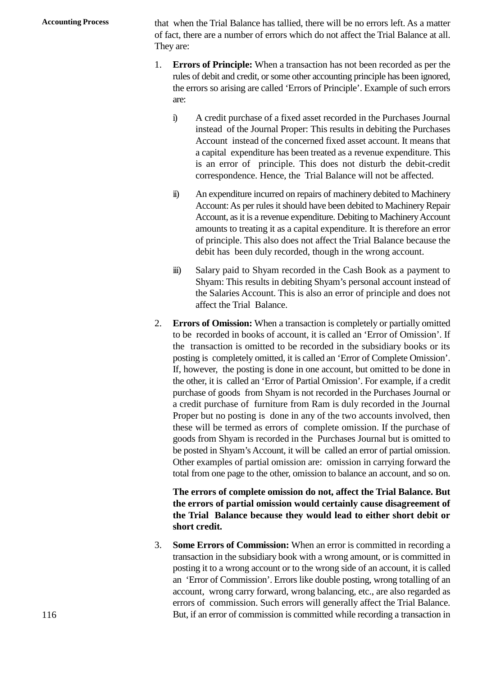**Accounting Process** that when the Trial Balance has tallied, there will be no errors left. As a matter of fact, there are a number of errors which do not affect the Trial Balance at all. They are:

- 1. **Errors of Principle:** When a transaction has not been recorded as per the rules of debit and credit, or some other accounting principle has been ignored, the errors so arising are called 'Errors of Principle'. Example of such errors are: Errors of Principle: When a transaction has not been recorded as per the rules of debit and credit, or some other accounting principle has been ignored, the errors so arising are called 'Errors of Principle'. Example of su
	- instead of the Journal Proper: This results in debiting the Purchases Account instead of the concerned fixed asset account. It means that a capital expenditure has been treated as a revenue expenditure. This is an error of principle. This does not disturb the debit-credit correspondence. Hence, the Trial Balance will not be affected. Account instead of the concerned fixed asset account. It means that<br>a capital expenditure has been treated as a revenue expenditure. This<br>is an error of principle. This does not disturb the debit-credit<br>correspondence. Hen
	- Account: As per rules it should have been debited to Machinery Repair Account, as it is a revenue expenditure. Debiting to Machinery Account correspondence. Hence, the Trial Balance will not be affected.<br>An expenditure incurred on repairs of machinery debited to Machinery<br>Account: As per rules it should have been debited to Machinery Repair<br>Account, as it is a of principle. This also does not affect the Trial Balance because the debit has been duly recorded, though in the wrong account. Account, as it is a revenue expenditure. Debiting to Machinery Account<br>amounts to treating it as a capital expenditure. It is therefore an error<br>of principle. This also does not affect the Trial Balance because the<br>debit h
	- Shyam: This results in debiting Shyam's personal account instead of the Salaries Account. This is also an error of principle and does not affect the Trial Balance.
- 2. **Errors of Omission:** When a transaction is completely or partially omitted to be recorded in books of account, it is called an 'Error of Omission'. If the transaction is omitted to be recorded in the subsidiary books or its posting is completely omitted, it is called an 'Error of Complete Omission'. If, however, the posting is done in one account, but omitted to be done in the other, it is called an 'Error of Partial Omission'. For example, if a credit purchase of goods from Shyam is not recorded in the Purchases Journal or a credit purchase of furniture from Ram is duly recorded in the Journal Proper but no posting is done in any of the two accounts involved, then these will be termed as errors of complete omission. If the purchase of goods from Shyam is recorded in the Purchases Journal but is omitted to be posted in Shyam's Account, it will be called an error of partial omission. Other examples of partial omission are: omission in carrying forward the total from one page to the other, omission to balance an account, and so on.

## **The errors of complete omission do not, affect the Trial Balance. But the errors of partial omission would certainly cause disagreement of the Trial Balance because they would lead to either short debit or short credit.**

3. **Some Errors of Commission:** When an error is committed in recording a transaction in the subsidiary book with a wrong amount, or is committed in posting it to a wrong account or to the wrong side of an account, it is called an 'Error of Commission'. Errors like double posting, wrong totalling of an account, wrong carry forward, wrong balancing, etc., are also regarded as errors of commission. Such errors will generally affect the Trial Balance. But, if an error of commission is committed while recording a transaction in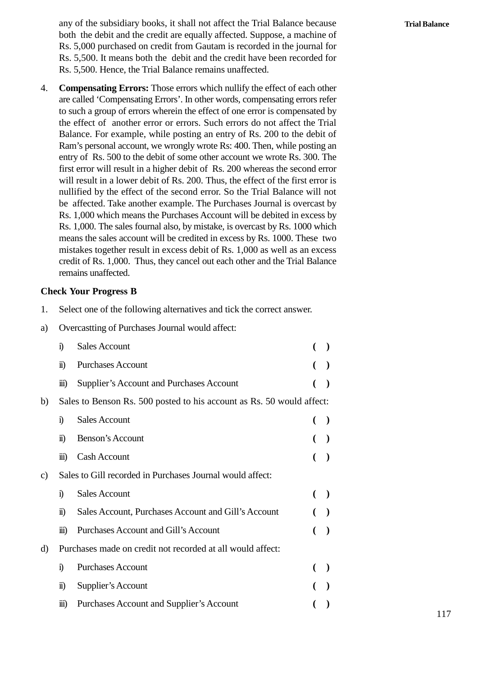any of the subsidiary books, it shall not affect the Trial Balance because both the debit and the credit are equally affected. Suppose, a machine of Rs. 5,000 purchased on credit from Gautam is recorded in the journal for Rs. 5,500. It means both the debit and the credit have been recorded for Rs. 5,500. Hence, the Trial Balance remains unaffected.

4. **Compensating Errors:** Those errors which nullify the effect of each other are called 'Compensating Errors'. In other words, compensating errors refer to such a group of errors wherein the effect of one error is compensated by the effect of another error or errors. Such errors do not affect the Trial Balance. For example, while posting an entry of Rs. 200 to the debit of Ram's personal account, we wrongly wrote Rs: 400. Then, while posting an entry of Rs. 500 to the debit of some other account we wrote Rs. 300. The first error will result in a higher debit of Rs. 200 whereas the second error will result in a lower debit of Rs. 200. Thus, the effect of the first error is nullified by the effect of the second error. So the Trial Balance will not Ram's personal account, we wrongly wrote Rs: 400. Then, while posting an<br>entry of Rs. 500 to the debit of some other account we wrote Rs. 300. The<br>first error will result in a higher debit of Rs. 200 whereas the second err Rs. 1,000 which means the Purchases Account will be debited in excess by Rs. 1,000. The sales fournal also, by mistake, is overcast by Rs. 1000 which means the sales account will be credited in excess by Rs. 1000. These two mistakes together result in excess debit of Rs. 1,000 as well as an excess credit of Rs. 1,000. Thus, they cancel out each other and the Trial Balance remains unaffected. 1. Select one of the following alternatives and tick the correct answer.<br>
2. Select one of the following alternatives and tick the correct answer.<br>
2. Overcastting of Purchases Journal would affect:

#### **Check Your Progress B**

remains unaffected.<br> **Check Your Progress B**<br>
1. Select one of the following alternatives and tick the<br>
a) Overcastting of Purchases Journal would affect:<br>
i) Sales Account

|    |                                                            | <b>Check Your Progress B</b>                                          |   |           |  |  |  |  |
|----|------------------------------------------------------------|-----------------------------------------------------------------------|---|-----------|--|--|--|--|
| 1. |                                                            | Select one of the following alternatives and tick the correct answer. |   |           |  |  |  |  |
| a) |                                                            | Overcastting of Purchases Journal would affect:                       |   |           |  |  |  |  |
|    | i)                                                         | <b>Sales Account</b>                                                  | € | $\lambda$ |  |  |  |  |
|    | $\ddot{\mathbf{n}}$                                        | <b>Purchases Account</b>                                              |   |           |  |  |  |  |
|    | $\dddot{\mathbf{m}}$                                       | Supplier's Account and Purchases Account                              |   | $\lambda$ |  |  |  |  |
| b) |                                                            | Sales to Benson Rs. 500 posted to his account as Rs. 50 would affect: |   |           |  |  |  |  |
|    | i)                                                         | <b>Sales Account</b>                                                  | € |           |  |  |  |  |
|    | $\ddot{\mathbf{n}}$                                        | Benson's Account                                                      |   |           |  |  |  |  |
|    | $\dddot{\mathbf{m}}$                                       | <b>Cash Account</b>                                                   |   |           |  |  |  |  |
| c) |                                                            | Sales to Gill recorded in Purchases Journal would affect:             |   |           |  |  |  |  |
|    | i)                                                         | <b>Sales Account</b>                                                  | € | $\lambda$ |  |  |  |  |
|    | $\ddot{\mathbf{n}}$                                        | Sales Account, Purchases Account and Gill's Account                   |   | $\lambda$ |  |  |  |  |
|    | $\dddot{\mathbf{m}}$                                       | <b>Purchases Account and Gill's Account</b>                           | € |           |  |  |  |  |
| d) | Purchases made on credit not recorded at all would affect: |                                                                       |   |           |  |  |  |  |
|    | i)                                                         | <b>Purchases Account</b>                                              | € |           |  |  |  |  |
|    | $\ddot{\mathbf{n}}$                                        | Supplier's Account                                                    |   |           |  |  |  |  |
|    | $\overline{111}$                                           | <b>Purchases Account and Supplier's Account</b>                       |   |           |  |  |  |  |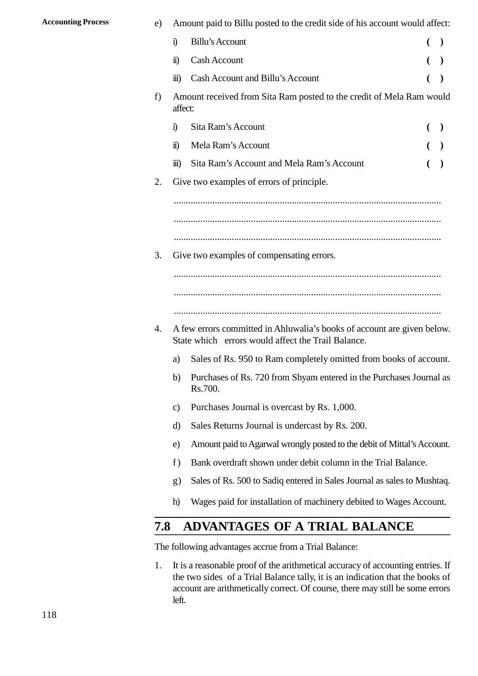| <b>Accounting Process</b> | e)  |                      | Amount paid to Billu posted to the credit side of his account would affect:                                                   |                          |
|---------------------------|-----|----------------------|-------------------------------------------------------------------------------------------------------------------------------|--------------------------|
|                           |     | $\ddot{1}$           | <b>Billu's Account</b>                                                                                                        | $\overline{\phantom{a}}$ |
|                           |     | $\ddot{\mathbf{n}}$  | Cash Account                                                                                                                  |                          |
|                           |     | $\dddot{\mathbf{m}}$ | Cash Account and Billu's Account                                                                                              |                          |
|                           | f)  | affect:              | Amount received from Sita Ram posted to the credit of Mela Ram would                                                          |                          |
|                           |     | $\ddot{1}$           | Sita Ram's Account                                                                                                            |                          |
|                           |     | $\ddot{\mathbf{n}}$  | Mela Ram's Account                                                                                                            |                          |
|                           |     | $\overline{111}$     | Sita Ram's Account and Mela Ram's Account                                                                                     |                          |
|                           | 2.  |                      | Give two examples of errors of principle.                                                                                     |                          |
|                           | 3.  |                      | Give two examples of compensating errors.                                                                                     |                          |
|                           | 4.  |                      | A few errors committed in Ahluwalia's books of account are given below.<br>State which errors would affect the Trail Balance. |                          |
|                           |     | a)                   | Sales of Rs. 950 to Ram completely omitted from books of account.                                                             |                          |
|                           |     | $\mathbf{b}$         | Purchases of Rs. 720 from Shyam entered in the Purchases Journal as<br>Rs.700.                                                |                          |
|                           |     | $\mathbf{c})$        | Purchases Journal is overcast by Rs. 1,000.                                                                                   |                          |
|                           |     | d)                   | Sales Returns Journal is undercast by Rs. 200.                                                                                |                          |
|                           |     | e)                   | Amount paid to Agarwal wrongly posted to the debit of Mittal's Account.                                                       |                          |
|                           |     | f)                   | Bank overdraft shown under debit column in the Trial Balance.                                                                 |                          |
|                           |     | g)                   | Sales of Rs. 500 to Sadiq entered in Sales Journal as sales to Mushtaq.                                                       |                          |
|                           |     | h)                   | Wages paid for installation of machinery debited to Wages Account.                                                            |                          |
|                           |     |                      |                                                                                                                               |                          |
|                           | 2.8 |                      | <b>ADVANTAGES OF A TRIAL BALANCE</b>                                                                                          |                          |
|                           |     |                      | The following advantages accrue from a Trial Balance:                                                                         |                          |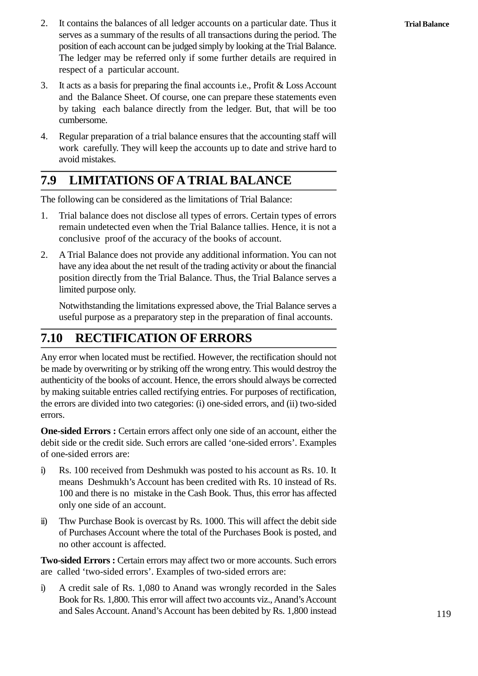- 2. It contains the balances of all ledger accounts on a particular date. Thus it serves as a summary of the results of all transactions during the period. The serves as a summary of the results of all transactions during the period. The position of each account can be judged simply by looking at the Trial Balance. The ledger may be referred only if some further details are required in respect of a particular account. 3. It acts as a basis for preparing the final accounts i.e., Profit & Loss Account<br>and the Balance Sheet. Of course, one can prepare these statements even<br>and the Balance Sheet. Of course, one can prepare these statements
- and the Balance Sheet. Of course, one can prepare these statements even by taking each balance directly from the ledger. But, that will be too cumbersome. 4. Regular preparation of a trial balance ensures that the accounting staff will be too cumbersome.<br>
4. Regular preparation of a trial balance ensures that the accounting staff will be too cumbersome.
- work carefully. They will keep the accounts up to date and strive hard to avoid mistakes.

# **2.9 LIMITATIONS OFA TRIAL BALANCE**

The following can be considered as the limitations of Trial Balance:

- 2.9 **LIMITATIONS OFA TRIAL BALANCE**<br>The following can be considered as the limitations of Trial Balance:<br>1. Trial balance does not disclose all types of errors. Certain types of errors<br>remain undetected even when the Trial remain undetected even when the Trial Balance tallies. Hence, it is not a conclusive proof of the accuracy of the books of account. 2. A Trial Balance does not disclose all types of errors. Certain types of errors remain undetected even when the Trial Balance tallies. Hence, it is not a conclusive proof of the accuracy of the books of account.<br>2. A Tri
- have any idea about the net result of the trading activity or about the financial position directly from the Trial Balance. Thus, the Trial Balance serves a limited purpose only.

Notwithstanding the limitations expressed above, the Trial Balance serves a useful purpose as a preparatory step in the preparation of final accounts.

## **2.10 RECTIFICATION OF ERRORS**

Any error when located must be rectified. However, the rectification should not be made by overwriting or by striking off the wrong entry. This would destroy the authenticity of the books of account. Hence, the errors should always be corrected by making suitable entries called rectifying entries. For purposes of rectification, the errors are divided into two categories: (i) one-sided errors, and (ii) two-sided errors.

**One-sided Errors :** Certain errors affect only one side of an account, either the debit side or the credit side. Such errors are called 'one-sided errors'. Examples of one-sided errors are: **One-sided Errors :** Certain errors affect only one side of an account, either the debit side or the credit side. Such errors are called 'one-sided errors'. Examples of one-sided errors are:<br>
i) Rs. 100 received from Deshm

- means Deshmukh's Account has been credited with Rs. 10 instead of Rs. 100 and there is no mistake in the Cash Book. Thus, this error has affected only one side of an account. ii. The Purchase Book is countered to his account as Rs. 10. It means Deshmukh's Account has been credited with Rs. 10 instead of Rs. 100 and there is no mistake in the Cash Book. Thus, this error has affected only one sid
- of Purchases Account where the total of the Purchases Book is posted, and no other account is affected.

**Two-sided Errors :** Certain errors may affect two or more accounts. Such errors are called 'two-sided errors'. Examples of two-sided errors are:

IV of Purchases Account where the total of the Purchases Book is posted, and<br>no other account is affected.<br>**Two-sided Errors :** Certain errors may affect two or more accounts. Such errors<br>are called 'two-sided errors'. Exa Book for Rs. 1,800. This error will affect two accounts viz., Anand's Account and Sales Account. Anand's Account has been debited by Rs. 1,800 instead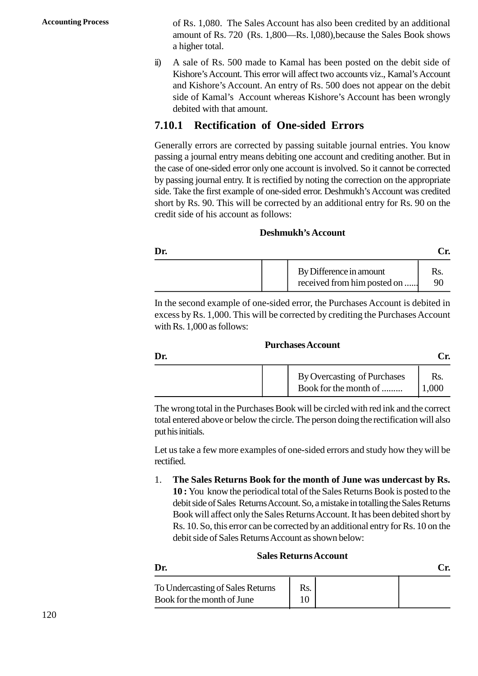**Accounting Process** of Rs. 1,080. The Sales Account has also been credited by an additional amount of Rs. 720 (Rs. 1,800—Rs. l,080),because the Sales Book shows a higher total. of Rs. 1,080. The Sales Account has also been credited by an additional<br>amount of Rs. 720 (Rs. 1,800—Rs. 1,080), because the Sales Book shows<br>a higher total.<br>ii) A sale of Rs. 500 made to Kamal has been posted on the debit

Kishore's Account. This error will affect two accounts viz., Kamal's Account and Kishore's Account. An entry of Rs. 500 does not appear on the debit side of Kamal's Account whereas Kishore's Account has been wrongly debited with that amount.

### **2.10.1 Rectification of One-sided Errors**

Generally errors are corrected by passing suitable journal entries. You know passing a journal entry means debiting one account and crediting another. But in the case of one-sided error only one account is involved. So it cannot be corrected by passing journal entry. It is rectified by noting the correction on the appropriate side. Take the first example of one-sided error. Deshmukh's Account was credited short by Rs. 90. This will be corrected by an additional entry for Rs. 90 on the credit side of his account as follows:

#### **Deshmukh's Account**

|     | <b>Deshmukh's Account</b>                              |           |
|-----|--------------------------------------------------------|-----------|
| Dr. |                                                        | Cr.       |
|     | By Difference in amount<br>received from him posted on | Rs.<br>90 |

In the second example of one-sided error, the Purchases Account is debited in excess by Rs. 1,000. This will be corrected by crediting the Purchases Account with Rs. 1,000 as follows:

#### **Purchases Account**

|     | <b>Purchases Account</b>    |       |
|-----|-----------------------------|-------|
| Dr. |                             | Cr.   |
|     | By Overcasting of Purchases | Rs.   |
|     | Book for the month of       | 1,000 |

The wrong total in the Purchases Book will be circled with red ink and the correct total entered above or below the circle. The person doing the rectification will also put his initials.

Let us take a few more examples of one-sided errors and study how they will be rectified.

1. **The Sales Returns Book for the month of June was undercast by Rs. 10 :** You know the periodical total of the Sales Returns Book is posted to the debit side of Sales Returns Account. So, a mistake in totalling the Sales Returns Book will affect only the Sales Returns Account. It has been debited short by Rs. 10. So, this error can be corrected by an additional entry for Rs. 10 on the debit side of Sales Returns Account as shown below:

#### **Sales Returns Account**

|                                  | <b>Sales Returns Account</b> |     |
|----------------------------------|------------------------------|-----|
| Dr.                              |                              | Cr. |
| To Undercasting of Sales Returns | Rs.                          |     |
| Book for the month of June       | 10                           |     |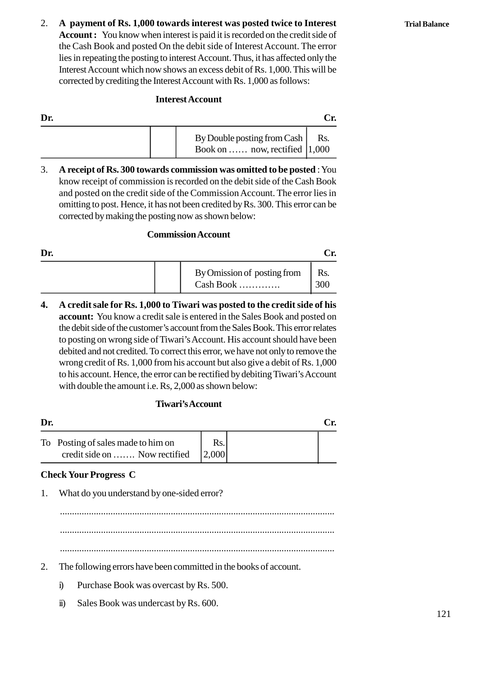2. **A payment of Rs. 1,000 towards interest was posted twice to Interest Account :** You know when interest is paid it is recorded on the credit side of the Cash Book and posted On the debit side of Interest Account. The error lies in repeating the posting to interest Account. Thus, it has affected only the Interest Account which now shows an excess debit of Rs. 1,000. This will be corrected by crediting the Interest Account with Rs. 1,000 as follows:

### **Interest Account**

|     | <b>Interest Account</b>                                                                                                                             |     |
|-----|-----------------------------------------------------------------------------------------------------------------------------------------------------|-----|
| Dr. |                                                                                                                                                     | Cr. |
|     | By Double posting from Cash<br>Book on  now, rectified $ 1,000\rangle$                                                                              | Rs. |
| 3.  | A receipt of Rs. 300 towards commission was omitted to be posted : You<br>know receipt of commission is recorded on the debit side of the Cash Book |     |

know receipt of commission is recorded on the debit side of the Cash Book and posted on the credit side of the Commission Account. The error lies in omitting to post. Hence, it has not been credited by Rs. 300. This error can be corrected by making the posting now as shown below:

### **Commission Account**

|     | corrected by making the posting now as shown below: | <b>Commission Account</b>                |            |
|-----|-----------------------------------------------------|------------------------------------------|------------|
| Dr. |                                                     |                                          | Cr.        |
|     |                                                     | By Omission of posting from<br>Cash Book | Rs.<br>300 |

**4. A credit sale for Rs. 1,000 to Tiwari was posted to the credit side of his account:** You know a credit sale is entered in the Sales Book and posted on the debit side of the customer's account from the Sales Book. This error relates to posting on wrong side of Tiwari's Account. His account should have been debited and not credited. To correct this error, we have not only to remove the wrong credit of Rs. 1,000 from his account but also give a debit of Rs. 1,000 to his account. Hence, the error can be rectified by debiting Tiwari's Account with double the amount i.e. Rs, 2,000 as shown below:

### **Tiwari's Account**

|     | with double the amount i.e. $\text{Rs}, 2,000$ as shown below:      |              |     |
|-----|---------------------------------------------------------------------|--------------|-----|
|     | Tiwari's Account                                                    |              |     |
| Dr. |                                                                     |              | Cr. |
|     | To Posting of sales made to him on<br>credit side on  Now rectified | Rs.<br>2,000 |     |
|     | <b>Check Your Progress C</b>                                        |              |     |
| 1.  | What do you understand by one-sided error?                          |              |     |
|     |                                                                     |              |     |

### **Check Your Progress C**

.................................................................................................................. .................................................................................................................. 2. The following errors have been committed in the books of account.<br>2. The following errors have been committed in the books of account.<br>i) Purchase Book was overcast by Rs. 500. The following errors have been committed in the book<br>i) Purchase Book was overcast by Rs. 500.<br>ii) Sales Book was undercast by Rs. 600. The following errors have been committed in the<br>i) Purchase Book was overcast by Rs. 500.<br>ii) Sales Book was undercast by Rs. 600.

- -
	-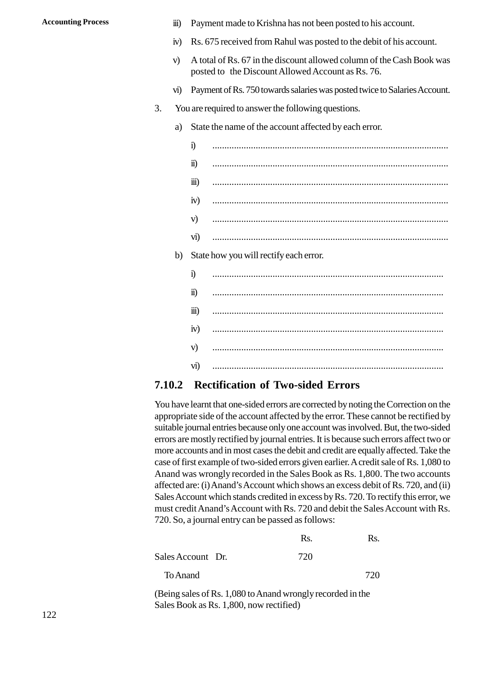- Accounting Process<br>
iii) Payment made to Krishna has not been posted to his account.<br>
iv) Rs. 675 received from Rahul was posted to the debit of his account
	- ii) Payment made to Krishna has not been posted to his account.<br>
	iv) Rs. 675 received from Rahul was posted to the debit of his account.<br>
	N A total of Rs. 67 in the discount allowed column of the Cash Book was
	- ii) Payment made to Krishna has not been posted to his account.<br>
	(iv) Rs. 675 received from Rahul was posted to the debit of his account.<br>
	(v) A total of Rs. 67 in the discount allowed column of the Cash Book was posted to posted to the Discount Allowed Account as Rs. 76. iv) Rs. 675 received from Rahul was posted to the debit of his account.<br>
	v) A total of Rs. 67 in the discount allowed column of the Cash Book was<br>
	posted to the Discount Allowed Account as Rs. 76.<br>
	vi) Payment of Rs. 750 t v) A total of Rs. 67 in the discount allowed column of<br>posted to the Discount Allowed Account as Rs. 76<br>vi) Payment of Rs. 750 towards salaries was posted twice<br>3. You are required to answer the following questions.<br>a) Sta
		-
	- -
- posted to the Discount Allowed Account as Rs. 76.<br>
vi) Payment of Rs. 750 towards salaries was posted twice to Sal<br>
You are required to answer the following questions.<br>
a) State the name of the account affected by each err Payment of Rs. 750 towards salaries was posted twice to Salaries Account.<br>are required to answer the following questions.<br>State the name of the account affected by each error.<br>i) ii) .................................................................................................. iii) .................................................................................................. iv) .................................................................................................. v) .................................................................................................. vi) .................................................................................................. iv)<br>
(v)<br>
(vi)<br>
(b) State how you will rectify each error.<br>
(i) i) ................................................................................................ ii) ................................................................................................ iii) ................................................................................................ iv) ................................................................................................ v) ................................................................................................ vi) ................................................................................................

### **2.10.2 Rectification of Two-sided Errors**

You have learnt that one-sided errors are corrected by noting the Correction on the appropriate side of the account affected by the error. These cannot be rectified by suitable journal entries because only one account was involved. But, the two-sided errors are mostly rectified by journal entries. It is because such errors affect two or more accounts and in most cases the debit and credit are equally affected. Take the case of first example of two-sided errors given earlier. A credit sale of Rs. 1,080 to Anand was wrongly recorded in the Sales Book as Rs. 1,800. The two accounts affected are: (i) Anand's Account which shows an excess debit of Rs. 720, and (ii) Sales Account which stands credited in excess by Rs. 720. To rectify this error, we must credit Anand's Account with Rs. 720 and debit the Sales Account with Rs. 720. So, a journal entry can be passed as follows:

|                   | Rs. | Rs. |
|-------------------|-----|-----|
| Sales Account Dr. | 720 |     |
| To Anand          |     | 720 |

(Being sales of Rs. 1,080 to Anand wrongly recorded in the Sales Book as Rs. 1,800, now rectified)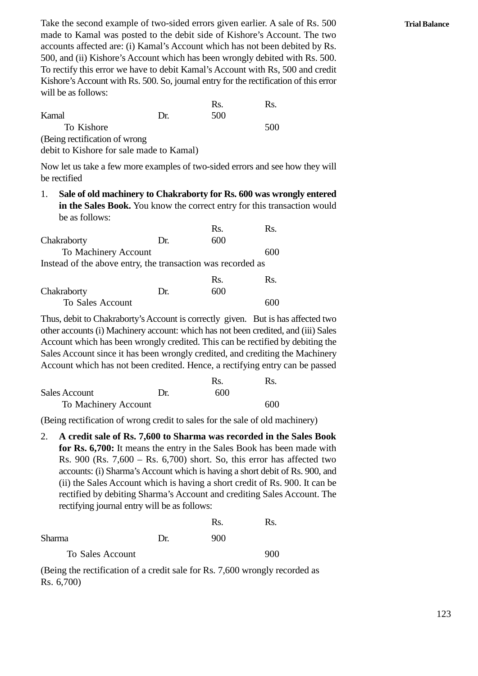Take the second example of two-sided errors given earlier. A sale of Rs. 500 made to Kamal was posted to the debit side of Kishore's Account. The two accounts affected are: (i) Kamal's Account which has not been debited by Rs. 500, and (ii) Kishore's Account which has been wrongly debited with Rs. 500. To rectify this error we have to debit Kamal's Account with Rs, 500 and credit Kishore's Account with Rs. 500. So, journal entry for the rectification of this error will be as follows: hich has not been deb<br>en wrongly debited wi<br>Account with Rs, 500<br>try for the rectification<br>Rs. Rs. 200 SOO, and (ii) Kishore's Account which has been wrongly d<br>To rectify this error we have to debit Kamal's Account wit<br>Kishore's Account with Rs. 500. So, journal entry for the rect<br>will be as follows:<br>Rs.<br>Kamal Dr. 500

|                                          |     | Rs. | Rs. |
|------------------------------------------|-----|-----|-----|
| Kamal                                    | Dr. | 500 |     |
| To Kishore                               |     |     | 500 |
| (Being rectification of wrong)           |     |     |     |
| debit to Kishore for sale made to Kamal) |     |     |     |

Now let us take a few more examples of two-sided errors and see how they will be rectified

1. Sale of old machinery to Chakraborty for Rs. 600 was wrongly entered<br>
1. Sale of old machinery to Chakraborty for Rs. 600 was wrongly entered<br>
1. Sale of old machinery to Chakraborty for Rs. 600 was wrongly entered<br>
in be as follows: For Rs. 600 was wrong<br>t entry for this transact<br>Rs. Rs. Rs.

| Sale of old machinery to Chakraborty for Rs. 600 was wrongly en<br>1.<br>in the Sales Book. You know the correct entry for this transaction<br>be as follows: |     |     |                  |  |
|---------------------------------------------------------------------------------------------------------------------------------------------------------------|-----|-----|------------------|--|
|                                                                                                                                                               |     | Rs. | Rs.              |  |
| Chakraborty                                                                                                                                                   | Dr. | 600 |                  |  |
| To Machinery Account                                                                                                                                          |     |     | 600              |  |
| Instead of the above entry, the transaction was recorded as                                                                                                   |     |     |                  |  |
|                                                                                                                                                               |     | Rs. | R <sub>S</sub> . |  |
| Chakraborty                                                                                                                                                   | Dr. | 600 |                  |  |
| To Sales Account                                                                                                                                              |     |     | 600              |  |
|                                                                                                                                                               |     |     |                  |  |

|                  |     | KS. | KS. |  |
|------------------|-----|-----|-----|--|
| Chakraborty      | Dr. | 600 |     |  |
| To Sales Account |     |     | 600 |  |

Thus, debit to Chakraborty's Account is correctly given. But is has affected two other accounts (i) Machinery account: which has not been credited, and (iii) Sales Account which has been wrongly credited. This can be rectified by debiting the Sales Account since it has been wrongly credited, and crediting the Machinery Account which has not been credited. Hence, a rectifying entry can be passed as not been credited, and<br>is can be rectified by dited, and crediting the<br>ited, and crediting the<br>s. a rectifying entry can<br>Rs. Bs. Account which has been wrongly credited. This can be rectived<br>Sales Account since it has been wrongly credited, and credi<br>Account which has not been credited. Hence, a rectifying e<br>Rs.<br>Sales Account Dr. 600<br>To Machinery Ac

|                      |     | Rs  | Rs. |  |
|----------------------|-----|-----|-----|--|
| <b>Sales Account</b> | Dr. | 600 |     |  |
| To Machinery Account |     |     | 600 |  |

(Being rectification of wrong credit to sales for the sale of old machinery)

2. **A credit sale of Rs. 7,600 to Sharma was recorded in the Sales Book for Rs. 6,700:** It means the entry in the Sales Book has been made with Rs. 900 (Rs. 7,600 – Rs. 6,700) short. So, this error has affected two Fract 3 see (Fract 3, see Tract 8, see) short 2 st, and school and accounts: (i) Sharma's Account which is having a short credit of Rs. 900, and (ii) the Sales Account which is having a short credit of Rs. 900. It can be r (ii) the Sales Account which is having a short credit of Rs. 900. It can be rectified by debiting Sharma's Account and crediting Sales Account. The rectifying journal entry will be as follows:

| (ii) the Sales Account which is having a short credit of Rs. |     |     |     |
|--------------------------------------------------------------|-----|-----|-----|
| rectified by debiting Sharma's Account and crediting Sales   |     |     |     |
| rectifying journal entry will be as follows:                 |     |     |     |
|                                                              |     | Rs. | Rs. |
| <b>Sharma</b>                                                | Dr. | 900 |     |
| To Sales Account                                             |     |     |     |

(Being the rectification of a credit sale for Rs. 7,600 wrongly recorded as Rs. 6,700)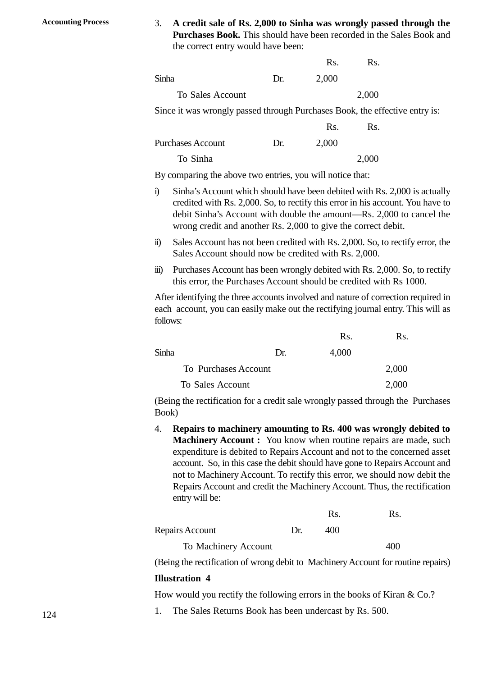**Accounting Process** 3. **A credit sale of Rs. 2,000 to Sinha was wrongly passed through the Purchases Book.** This should have been recorded in the Sales Book and the correct entry would have been: as wrongly passed<br>en recorded in the S.<br>Rs. Rs. Rs.

| A credit sale of Rs. 2,000 to Sinha was wrongly passed thr<br>3.<br><b>Purchases Book.</b> This should have been recorded in the Sales<br>the correct entry would have been:<br>Rs.<br>Rs.<br>Sinha<br>2,000<br>Dr.<br>2,000<br>To Sales Account<br>Since it was wrongly passed through Purchases Book, the effective e<br>Rs.<br>Rs. |     |       |  |  |
|---------------------------------------------------------------------------------------------------------------------------------------------------------------------------------------------------------------------------------------------------------------------------------------------------------------------------------------|-----|-------|--|--|
|                                                                                                                                                                                                                                                                                                                                       |     |       |  |  |
|                                                                                                                                                                                                                                                                                                                                       |     |       |  |  |
|                                                                                                                                                                                                                                                                                                                                       |     |       |  |  |
|                                                                                                                                                                                                                                                                                                                                       |     |       |  |  |
|                                                                                                                                                                                                                                                                                                                                       |     |       |  |  |
| Purchases Account                                                                                                                                                                                                                                                                                                                     | Dr. | 2,000 |  |  |

Since it was wrongly passed through Purchases Book, the effective entry is:

| To Sales Account                                                    |     |       | 2,000 |  |
|---------------------------------------------------------------------|-----|-------|-------|--|
| Since it was wrongly passed through Purchases Book, the effective e |     |       |       |  |
|                                                                     |     | Rs.   | Rs.   |  |
| <b>Purchases Account</b>                                            | Dr. | 2,000 |       |  |
| To Sinha                                                            |     |       | 2,000 |  |

By comparing the above two entries, you will notice that:

- i) Sinha's Account which should have been debited with Rs. 2,000 is actually credited with Rs. 2,000. So, to rectify this error in his account. You have to debit Sinha's Account with double the amount—Rs. 2,000 to cancel the wrong credit and another Rs. 2,000 to give the correct debit. inceptive Sinha's Account which should have been debited with Rs. 2,000 is actually credited with Rs. 2,000. So, to rectify this error in his account. You have to debit Sinha's Account with double the amount—Rs. 2,000 to c
- Sales Account should now be credited with Rs. 2,000.
- debit Sinha's Account with double the amount—Rs. 2,000 to cancel the<br>wrong credit and another Rs. 2,000 to give the correct debit.<br>ii) Sales Account has not been credited with Rs. 2,000. So, to rectify error, the<br>Sales Acc this error, the Purchases Account should be credited with Rs 1000.

After identifying the three accounts involved and nature of correction required in each account, you can easily make out the rectifying journal entry. This will as follows: expedited with Rs 1000.<br>
nature of correction requ<br>
ying journal entry. This<br>
Rs. Rs. Rs.

| After identifying the three accounts involved and nature of correction required<br>each account, you can easily make out the rectifying journal entry. This will<br>follows: |     |       |       |  |
|------------------------------------------------------------------------------------------------------------------------------------------------------------------------------|-----|-------|-------|--|
|                                                                                                                                                                              |     | Rs.   | Rs.   |  |
| Sinha                                                                                                                                                                        | Dr. | 4,000 |       |  |
| To Purchases Account                                                                                                                                                         |     |       | 2,000 |  |
| To Sales Account                                                                                                                                                             |     |       | 2,000 |  |

(Being the rectification for a credit sale wrongly passed through the Purchases Book)

4. **Repairs to machinery amounting to Rs. 400 was wrongly debited to Machinery Account :** You know when routine repairs are made, such expenditure is debited to Repairs Account and not to the concerned asset account. So, in this case the debit should have gone to Repairs Account and not to Machinery Account. To rectify this error, we should now debit the Repairs Account and credit the Machinery Account. Thus, the rectification entry will be: have gone to Repairs Acc<br>is error, we should now a<br>y Account. Thus, the rect<br>Rs. Rs. Rs.

| not to Machinery Account. To rectify this error, we should no                   |     |     |     |
|---------------------------------------------------------------------------------|-----|-----|-----|
| Repairs Account and credit the Machinery Account. Thus, the a<br>entry will be: |     |     |     |
|                                                                                 |     | Rs. | Rs. |
| Repairs Account                                                                 | Dr. | 400 |     |
| To Machinery Account                                                            |     |     |     |

(Being the rectification of wrong debit to Machinery Account for routine repairs) **Illustration 4** 1. The Sales Returns Book has been undercast by Rs. 500.<br>
1. The Sales Returns Book has been undercast by Rs. 500.

How would you rectify the following errors in the books of Kiran & Co.?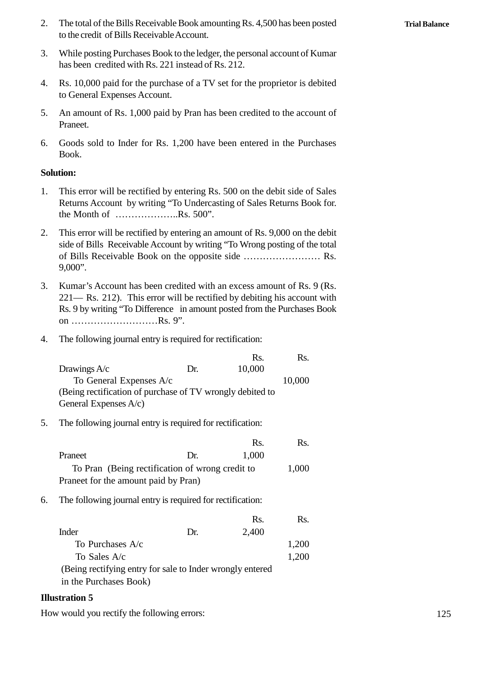- 2. The total of the Bills Receivable Book amounting Rs. 4,500 has been posted to the credit of Bills Receivable Account. to the credit of Bills Receivable Account. 3. The total of the Bills Receivable Book amounting Rs. 4,500 has been posted<br>to the credit of Bills Receivable Account.<br>3. While posting Purchases Book to the ledger, the personal account of Kumar<br>has been credited with R
- has been credited with Rs. 221 instead of Rs. 212.
- 4. Rs. 10,000 paid for the purchase of a TV set for the proprietor is debited<br>to General Book in the ledger, the personal account of Kumar<br>has been credited with Rs. 221 instead of Rs. 212.<br>4. Rs. 10,000 paid for the purch to General Expenses Account. 5. While posting I dictinuated book to the ledger, the personal account of Kunia<br>has been credited with Rs. 221 instead of Rs. 212.<br>4. Rs. 10,000 paid for the purchase of a TV set for the proprietor is debited<br>to General E
- Praneet. 4. Ks. 10,000 paid for the purchase of a 1 v set for the proprietor is debited<br>to General Expenses Account.<br>5. An amount of Rs. 1,000 paid by Pran has been credited to the account of<br>Praneet.<br>6. Goods sold to Inder for Rs.
- Book.

### **Solution:**

- 1. This error will be rectified by entering Rs. 500 on the debit side of Sales<br>Returns Account by writing "To Undercasting of Sales Returns Book for. the Month of ………………..Rs. 500". 2. This error will be rectified by entering an amount of Rs. 9,000 on the debit
- side of Bills Receivable Account by writing "To Wrong posting of the total of Bills Receivable Book on the opposite side …………………… Rs. 9,000".
- 3. Kumar's Account has been credited with an excess amount of Rs. 9 (Rs. 221— Rs. 212). This error will be rectified by debiting his account with Rs. 9 by writing "To Difference in amount posted from the Purchases Book on ………………………Rs. 9". 4. The following journal entry is required for rectification:<br>  $\frac{221 - \text{Rs. } 212}{\text{Rs. } 9 \text{ by writing "To Difference in amount posted from the Po}}$ <br>  $\frac{1}{100}$ <br>  $\frac{1}{100}$ <br>  $\frac{1}{100}$ <br>  $\frac{1}{100}$ <br>  $\frac{1}{100}$ <br>  $\frac{1}{100}$ <br>  $\frac{1}{100}$ <br>  $\frac{1}{100}$ <br>  $\frac{1}{100$ Rs. Rs.
- 

|    | KS. 7 Dy WHENCE TO DIRECTICE THE AMOUNT POSICA HOME HE I MICHASCS DOOK<br>on Rs. 9". |     |        |                      |  |
|----|--------------------------------------------------------------------------------------|-----|--------|----------------------|--|
| 4. | The following journal entry is required for rectification:                           |     |        |                      |  |
|    |                                                                                      |     | Rs.    | Rs.                  |  |
|    | Drawings A/c                                                                         | Dr. | 10,000 |                      |  |
|    | To General Expenses A/c                                                              |     |        | 10,000               |  |
|    | (Being rectification of purchase of TV wrongly debited to                            |     |        |                      |  |
|    | General Expenses $A/c$ )                                                             |     |        |                      |  |
| 5. | The following journal entry is required for rectification:                           |     |        |                      |  |
|    |                                                                                      |     | Rс     | $\mathbf{p}_{\rm c}$ |  |

|    | (Being rectification of purchase of TV wrongly debited to<br>General Expenses $A/c$ ) |     |       |       |
|----|---------------------------------------------------------------------------------------|-----|-------|-------|
| 5. | The following journal entry is required for rectification:                            |     |       |       |
|    |                                                                                       |     | Rs.   | Rs.   |
|    | Praneet                                                                               | Dr. | 1,000 |       |
|    | To Pran (Being rectification of wrong credit to                                       |     |       | 1,000 |
|    | Praneet for the amount paid by Pran)                                                  |     |       |       |
| 6. | The following journal entry is required for rectification:                            |     |       |       |
|    |                                                                                       |     | Rs.   | Rs.   |
|    | Inder                                                                                 | Dr. | 2,400 |       |
|    | To Purchases $A/c$                                                                    |     |       | 1,200 |
|    | To Sales A/c                                                                          |     |       | 1,200 |
|    | (Being rectifying entry for sale to Inder wrongly entered                             |     |       |       |

in the Purchases Book)

#### **Illustration 5**

How would you rectify the following errors: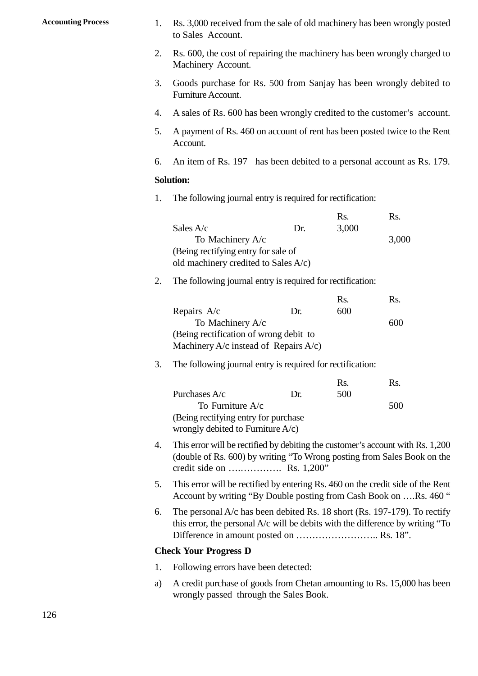- Accounting Process 1. Rs. 3,000 received from the sale of old machinery has been wrongly posted to Sales Account. to Sales Account.
	- 2. Rs. 3,000 received from the sale of old machinery has been wrongly posted<br>to Sales Account.<br>2. Rs. 600, the cost of repairing the machinery has been wrongly charged to<br>Machinery Account. Machinery Account. 3. Goods purchase for Rs. 500 from Sanjay has been wrongly charged to Machinery Account.<br>3. Goods purchase for Rs. 500 from Sanjay has been wrongly debited to Furniture Account.
	- Furniture Account.
	- 4. A sales of Rs. 600 has been wrongly credited to the customer's account.
	- 5. Goods purchase for Rs. 500 from Sanjay has been wrongly debited to<br>Furniture Account.<br>4. A sales of Rs. 600 has been wrongly credited to the customer's account.<br>5. A payment of Rs. 460 on account of rent has been posted Account. 4. A sales of Rs. 600 has been wrongly credited to the customer's account.<br>5. A payment of Rs. 460 on account of rent has been posted twice to the Rent<br>Account.<br>6. An item of Rs. 197 has been debited to a personal account
	- 4. An item of Rs. 197 has been debited to a personal accousts Solution:<br>
	1. The following journal entry is required for rectification:<br>
	Rs.

#### **Solution:**

| 6. | An item of Rs. 197 has been debited to a personal account as Rs. 179 |     |       |                  |  |
|----|----------------------------------------------------------------------|-----|-------|------------------|--|
|    | <b>Solution:</b>                                                     |     |       |                  |  |
| 1. | The following journal entry is required for rectification:           |     |       |                  |  |
|    |                                                                      |     | Rs.   | R <sub>S</sub> . |  |
|    | Sales $A/c$                                                          | Dr. | 3,000 |                  |  |
|    | To Machinery A/c                                                     |     |       | 3,000            |  |
|    | (Being rectifying entry for sale of                                  |     |       |                  |  |
|    | old machinery credited to Sales A/c)                                 |     |       |                  |  |
| 2. | The following journal entry is required for rectification:           |     |       |                  |  |
|    |                                                                      |     | Rs.   | Rs.              |  |
|    | Repairs A/c                                                          | Dr. | 600   |                  |  |
|    |                                                                      |     |       |                  |  |

|    |                                                            |     | Rs. | Rs. |
|----|------------------------------------------------------------|-----|-----|-----|
|    | Repairs A/c                                                | Dr. | 600 |     |
|    | To Machinery A/c                                           |     |     | 600 |
|    | (Being rectification of wrong debit to                     |     |     |     |
|    | Machinery $A/c$ instead of Repairs $A/c$ )                 |     |     |     |
| 3. | The following journal entry is required for rectification: |     |     |     |
|    |                                                            |     | Rs. | Rs. |
|    | Purchases A/c                                              | Dr. | 500 |     |
|    |                                                            |     |     |     |

#### The following journal entry is required for rectification:

|                                       |     | Rs. | Rs. |  |
|---------------------------------------|-----|-----|-----|--|
| Purchases $A/c$                       | Dr. | 500 |     |  |
| To Furniture $A/c$                    |     |     | 500 |  |
| (Being rectifying entry for purchase) |     |     |     |  |
| wrongly debited to Furniture $A/c$ )  |     |     |     |  |

- 4. This error will be rectified by debiting the customer's account with Rs. 1,200 (double of Rs. 600) by writing "To Wrong posting from Sales Book on the credit side on ….…………. Rs. 1,200" 4. This error will be rectified by debiting the customer's account with Rs. 1,200<br>
4. This error will be rectified by debiting the customer's account with Rs. 1,200<br>
(double of Rs. 600) by writing "To Wrong posting from Sa
- Account by writing "By Double posting from Cash Book on ….Rs. 460 " 5. This error will be rectified by entering Rs. 460 on the credit side of the Rent<br>Account by writing "By Double posting from Cash Book on ....Rs. 460 "<br>6. The personal A/c has been debited Rs. 18 short (Rs. 197-179). To
- this error, the personal A/c will be debits with the difference by writing "To Difference in amount posted on .............................. Rs. 18". 6. The personal A/c has been debited Rs. 18<br>this error, the personal A/c will be debits w<br>Difference in amount posted on ..........<br>**Check Your Progress D**<br>1. Following errors have been detected:<br>a) A credit purchase of g

#### **Check Your Progress D**

- 
- a) A credit purchase of goods from Chetan amounting to Rs. 15,000 has been wrongly passed through the Sales Book.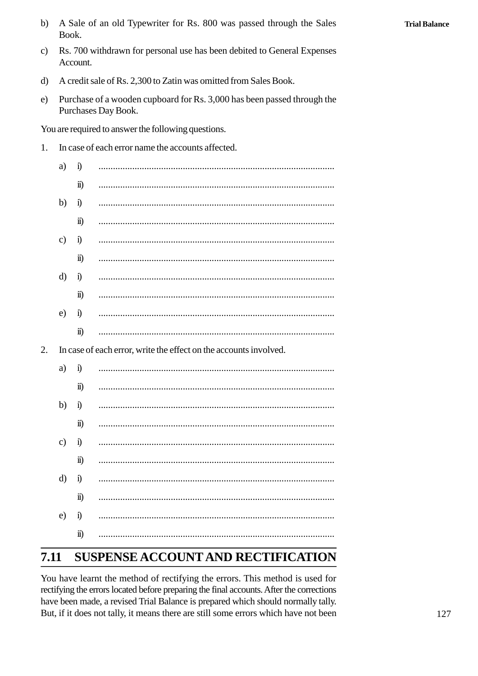- Rs. 700 withdrawn for personal use has been debited to General Expenses  $\mathbf{c}$ Account.
- $\mathbf{d}$ A credit sale of Rs. 2,300 to Zatin was omitted from Sales Book.
- Purchase of a wooden cupboard for Rs. 3,000 has been passed through the  $e)$ Purchases Day Book.

You are required to answer the following questions.

 $\overline{2}$ .

 $\ddot{\mathbf{n}}$ )

In case of each error name the accounts affected.  $1<sub>1</sub>$ 

| a)            | $\ddot{1}$           |                                                                   |
|---------------|----------------------|-------------------------------------------------------------------|
|               | $\ddot{\mathbf{n}})$ |                                                                   |
| b)            | $\ddot{1}$           |                                                                   |
|               | $\ddot{\mathbf{n}})$ |                                                                   |
| $\mathbf{c})$ | $\ddot{1}$           |                                                                   |
|               | $\ddot{\mathbf{n}}$  |                                                                   |
| d)            | $\mathbf{i}$         |                                                                   |
|               | $\ddot{\mathbf{n}})$ |                                                                   |
| e)            | $\mathbf{i}$         |                                                                   |
|               | $\ddot{\mathbf{n}})$ |                                                                   |
|               |                      | In case of each error, write the effect on the accounts involved. |
| a)            | $\ddot{1}$           |                                                                   |
|               | $\ddot{\mathbf{n}})$ |                                                                   |
| b)            | $\ddot{a}$           | <br>.                                                             |
|               | $\ddot{\mathbf{n}})$ |                                                                   |
| $\mathbf{c})$ | $\mathbf{i}$         |                                                                   |
|               | $\ddot{\mathbf{n}})$ |                                                                   |
| d)            | $\ddot{1}$           |                                                                   |
|               |                      |                                                                   |

 $\epsilon$ )  $\hat{1}$ 

#### 2.11 SUSPENSE ACCOUNT AND RECTIFICATION

You have learnt the method of rectifying the errors. This method is used for rectifying the errors located before preparing the final accounts. After the corrections have been made, a revised Trial Balance is prepared which should normally tally. But, if it does not tally, it means there are still some errors which have not been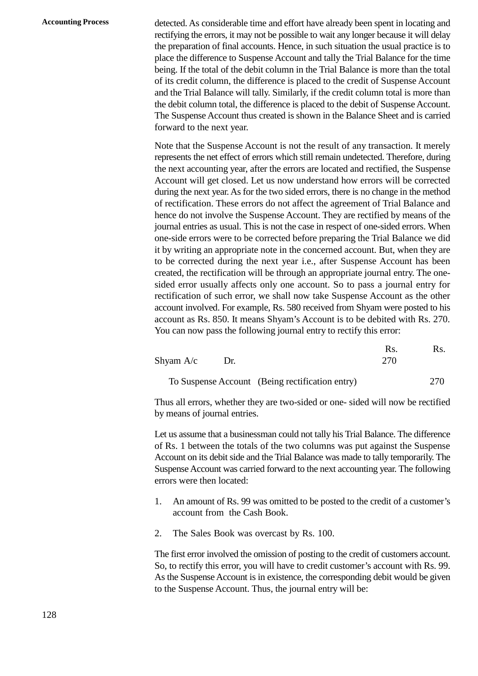**Accounting Process** detected. As considerable time and effort have already been spent in locating and rectifying the errors, it may not be possible to wait any longer because it will delay the preparation of final accounts. Hence, in such situation the usual practice is to place the difference to Suspense Account and tally the Trial Balance for the time being. If the total of the debit column in the Trial Balance is more than the total of its credit column, the difference is placed to the credit of Suspense Account and the Trial Balance will tally. Similarly, if the credit column total is more than the debit column total, the difference is placed to the debit of Suspense Account. The Suspense Account thus created is shown in the Balance Sheet and is carried forward to the next year.

> Note that the Suspense Account is not the result of any transaction. It merely represents the net effect of errors which still remain undetected. Therefore, during the next accounting year, after the errors are located and rectified, the Suspense Account will get closed. Let us now understand how errors will be corrected during the next year. As for the two sided errors, there is no change in the method of rectification. These errors do not affect the agreement of Trial Balance and hence do not involve the Suspense Account. They are rectified by means of the journal entries as usual. This is not the case in respect of one-sided errors. When one-side errors were to be corrected before preparing the Trial Balance we did it by writing an appropriate note in the concerned account. But, when they are to be corrected during the next year i.e., after Suspense Account has been created, the rectification will be through an appropriate journal entry. The onesided error usually affects only one account. So to pass a journal entry for rectification of such error, we shall now take Suspense Account as the other account involved. For example, Rs. 580 received from Shyam were posted to his account as Rs. 850. It means Shyam's Account is to be debited with Rs. 270. You can now pass the following journal entry to rectify this error: required as the other<br>were posted to his<br>ited with Rs. 270.<br>error:<br>Rs. Rs. Rs.

|             |     | You can now pass the following journal entry to rectify this error:            |            |     |  |
|-------------|-----|--------------------------------------------------------------------------------|------------|-----|--|
| Shyam $A/c$ | Dr. |                                                                                | Rs.<br>270 | Rs. |  |
|             |     | To Suspense Account (Being rectification entry)                                |            | 270 |  |
|             |     | Thus all errors, whether they are two sided or ane, sided will now be regitied |            |     |  |

Thus all errors, whether they are two-sided or one- sided will now be rectified by means of journal entries.

Let us assume that a businessman could not tally his Trial Balance. The difference of Rs. 1 between the totals of the two columns was put against the Suspense Account on its debit side and the Trial Balance was made to tally temporarily. The Suspense Account was carried forward to the next accounting year. The following errors were then located:

- 1. An amount of Rs. 99 was omitted to be posted to the credit of a customer's account from the Cash Book. Express were then located:<br>
2. An amount of Rs. 99 was omitted to be posted to<br>
2. The Sales Book was overcast by Rs. 100.<br>
2. The Sales Book was overcast by Rs. 100.
- 

The first error involved the omission of posting to the credit of customers account. So, to rectify this error, you will have to credit customer's account with Rs. 99. As the Suspense Account is in existence, the corresponding debit would be given to the Suspense Account. Thus, the journal entry will be: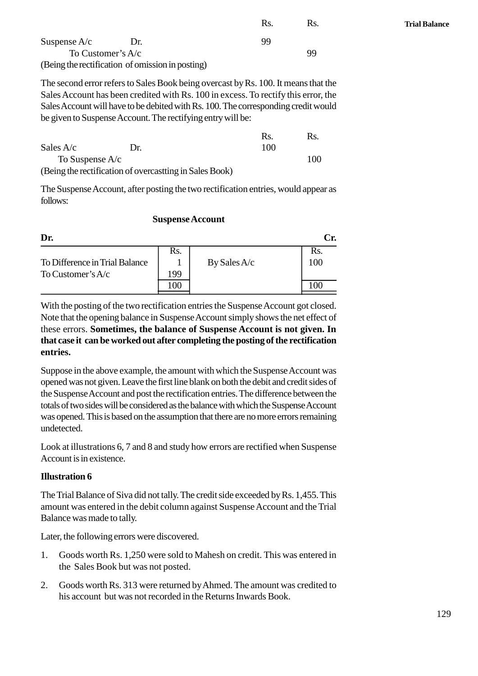|                                                  |     | Rs. | Rs. |  |  |
|--------------------------------------------------|-----|-----|-----|--|--|
| Suspense $A/c$                                   | Dr. | 99  |     |  |  |
| To Customer's $A/c$<br>99                        |     |     |     |  |  |
| (Being the rectification of omission in posting) |     |     |     |  |  |

The second error refers to Sales Book being overcast by Rs. 100. It means that the<br>
Sales Account has been credited with Rs. 100 in excess. To rectify this error, the<br>
Sales Account will have to be debited with Rs. 100. Th Sales Account has been credited with Rs. 100 in excess. To rectify this error, the Sales Account will have to be debited with Rs. 100. The corresponding credit would be given to Suspense Account. The rectifying entry will be:

|                   |                                                         | <b>R</b> s | RS. |  |
|-------------------|---------------------------------------------------------|------------|-----|--|
| Sales $A/c$       | $\mathbf{D}$ r                                          | 100        |     |  |
| To Suspense $A/c$ |                                                         |            | 100 |  |
|                   | (Being the rectification of overcastting in Sales Book) |            |     |  |

The Suspense Account, after posting the two rectification entries, would appear as follows:

#### **Suspense Account**

| <b>Suspense Account</b>        |      |              |     |  |  |
|--------------------------------|------|--------------|-----|--|--|
| Dr.                            |      |              | Cr. |  |  |
|                                | Rs.  |              | Rs. |  |  |
| To Difference in Trial Balance |      | By Sales A/c | 100 |  |  |
| To Customer's $A/c$            | 199  |              |     |  |  |
|                                | l 00 |              |     |  |  |

With the posting of the two rectification entries the Suspense Account got closed. Note that the opening balance in Suspense Account simply shows the net effect of these errors. **Sometimes, the balance of Suspense Account is not given. In that case it can be worked out after completing the posting of the rectification entries.**

Suppose in the above example, the amount with which the Suspense Account was opened was not given. Leave the first line blank on both the debit and credit sides of the Suspense Account and post the rectification entries. The difference between the totals of two sides will be considered as the balance with which the Suspense Account was opened. This is based on the assumption that there are no more errors remaining undetected.

Look at illustrations 6, 7 and 8 and study how errors are rectified when Suspense Account is in existence.

#### **Illustration 6**

The Trial Balance of Siva did not tally. The credit side exceeded by Rs. 1,455. This amount was entered in the debit column against Suspense Account and the Trial Balance was made to tally. 1. Goods worth Rs. 1,250 were sold to Mahesh on credit. This was entered in the Sales Book but was not posted.

Later, the following errors were discovered.

- the Sales Book but was not posted. 2. Goods worth Rs. 1,250 were sold to Mahesh on credit. This was entered in<br>the Sales Book but was not posted.<br>2. Goods worth Rs. 313 were returned by Ahmed. The amount was credited to<br>this account but was not recorded in
- his account but was not recorded in the Returns Inwards Book.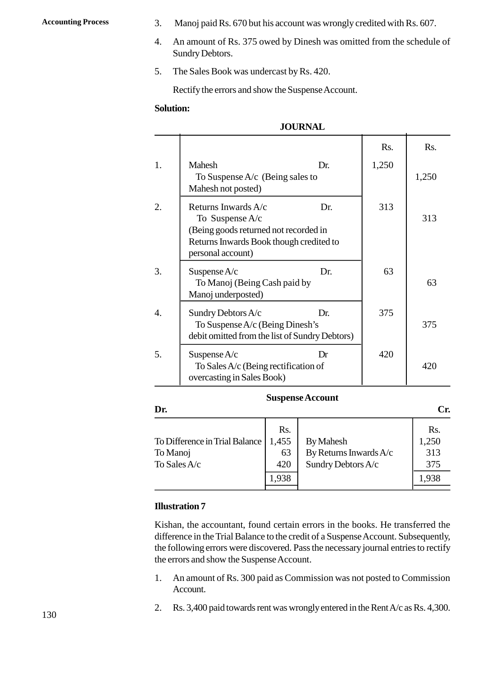- Accounting Process 3. Manoj paid Rs. 670 but his account was wrongly credited with Rs. 607.<br>4. An amount of Rs. 375 owed by Dinesh was omitted from the schedule of
	- 3. Manoj paid Rs. 670 but his account was wrongly credited with Rs. 607.<br>4. An amount of Rs. 375 owed by Dinesh was omitted from the schedule of Sundry Debtors. Sundry Debtors. 5. Manoj paid Rs. 670 but his account was wrong<br>4. An amount of Rs. 375 owed by Dinesh was or<br>5. The Sales Book was undercast by Rs. 420.<br>Rectify the errors and show the Suspense Accou
	-

Rectify the errors and show the Suspense Account.

#### **Solution:**

### **JOURNAL**

|                  | Rectify the errors and show the Suspense Account.                                                                                                        |                  |       |  |  |
|------------------|----------------------------------------------------------------------------------------------------------------------------------------------------------|------------------|-------|--|--|
|                  | <b>Solution:</b>                                                                                                                                         |                  |       |  |  |
|                  | <b>JOURNAL</b>                                                                                                                                           |                  |       |  |  |
|                  |                                                                                                                                                          | R <sub>S</sub> . | Rs.   |  |  |
| 1.               | Mahesh<br>Dr.<br>To Suspense $A/c$ (Being sales to<br>Mahesh not posted)                                                                                 | 1,250            | 1,250 |  |  |
| 2.               | Returns Inwards A/c<br>Dr.<br>To Suspense $A/c$<br>(Being goods returned not recorded in<br>Returns Inwards Book though credited to<br>personal account) | 313              | 313   |  |  |
| 3.               | Suspense A/c<br>Dr.<br>To Manoj (Being Cash paid by<br>Manoj underposted)                                                                                | 63               | 63    |  |  |
| $\overline{4}$ . | Sundry Debtors A/c<br>Dr.<br>To Suspense A/c (Being Dinesh's<br>debit omitted from the list of Sundry Debtors)                                           | 375              | 375   |  |  |
| 5.               | Suspense $A/c$<br>Dr<br>To Sales $A/c$ (Being rectification of<br>overcasting in Sales Book)                                                             | 420              | 420   |  |  |

#### **Suspense Account**

| R <sub>S</sub> .<br>To Difference in Trial Balance<br>1,455<br><b>By Mahesh</b><br>By Returns Inwards A/c<br>63<br>Sundry Debtors A/c<br>420 | Dr.                      |       | <b>Suspense Account</b> | Cr.                        |
|----------------------------------------------------------------------------------------------------------------------------------------------|--------------------------|-------|-------------------------|----------------------------|
|                                                                                                                                              | To Manoj<br>To Sales A/c |       |                         | Rs.<br>1,250<br>313<br>375 |
|                                                                                                                                              |                          | 1,938 |                         | 1,938                      |

### **Illustration 7**

Kishan, the accountant, found certain errors in the books. He transferred the difference in the Trial Balance to the credit of a Suspense Account. Subsequently, the following errors were discovered. Pass the necessary journal entries to rectify the errors and show the Suspense Account. Kishan, the accountant, found certain errors in the books. He transferred the difference in the Trial Balance to the credit of a Suspense Account. Subsequently, the following errors were discovered. Pass the necessary jour

- Account. 2. An amount of Rs. 300 paid as Commission was not posted to Commission<br>Account.<br>2. Rs. 3,400 paid towards rent was wrongly entered in the Rent A/c as Rs. 4,300.
-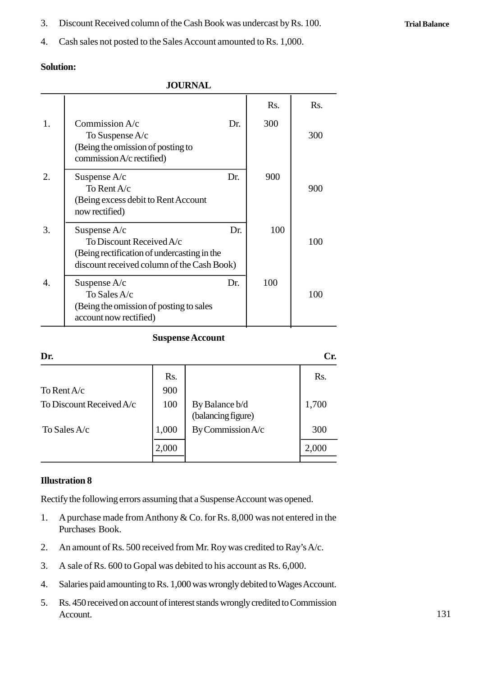3. Discount Received column of the Cash Book was undercast by Rs. 100.<br>4 Cash sales not posted to the Sales Account amounted to Rs. 1000.

3. Discount Received column of the Cash Book was undercast by Rs. 100.<br>4. Cash sales not posted to the Sales Account amounted to Rs. 1,000.

### **Solution:**

|                       | <b>Solution:</b>                                                                                                                        |     |     |                  |  |
|-----------------------|-----------------------------------------------------------------------------------------------------------------------------------------|-----|-----|------------------|--|
|                       | <b>JOURNAL</b>                                                                                                                          |     |     |                  |  |
|                       |                                                                                                                                         |     | Rs. | R <sub>S</sub> . |  |
| 1.                    | Commission $A/c$<br>To Suspense $A/c$<br>(Being the omission of posting to<br>commission A/c rectified)                                 | Dr. | 300 | 300              |  |
| 2.                    | Suspense $A/c$<br>To Rent A/c<br>(Being excess debit to Rent Account<br>now rectified)                                                  | Dr. | 900 | 900              |  |
| 3.                    | Suspense $A/c$<br>To Discount Received A/c<br>(Being rectification of undercasting in the<br>discount received column of the Cash Book) | Dr. | 100 | 100              |  |
| $\mathcal{A}_{\cdot}$ | Suspense $A/c$<br>To Sales A/c<br>(Being the omission of posting to sales<br>account now rectified)                                     | Dr. | 100 | 100              |  |

### **Suspense Account**

|       | Cr.                                                         |
|-------|-------------------------------------------------------------|
| Rs.   | Rs.                                                         |
| 900   |                                                             |
| 100   | 1,700                                                       |
| 1,000 | 300                                                         |
| 2,000 | 2,000                                                       |
|       | By Balance b/d<br>(balancing figure)<br>By Commission $A/c$ |

### **Illustration 8**

Rectify the following errors assuming that a Suspense Account was opened.

- 1. **Illustration 8**<br>1. A purchase made from Anthony & Co. for Rs. 8,000 was not entered in the<br>2. A purchases made from Anthony & Co. for Rs. 8,000 was not entered in the<br>2. Purchases Book. **tration 8**<br>ify the following errors<br>A purchases Book.<br>An amount of Rs. 500 3. A sale of Rs. 500 to Gopal was debited to his account as Rs. 6,000.<br>Salaries naid amounting to Rs. 1000 was wrongly debited to Nay's A/c.<br>Salaries naid amounting to Rs. 1000 was wrongly debited to Wages Account<br>As alari
- 2. An amount of Rs. 500 received from Mr. Roy was credited to Ray's A/c.
- 
- 2. An amount of Rs. 500 received from Mr. Roy was credited to Ray's A/c.<br>
3. A sale of Rs. 600 to Gopal was debited to his account as Rs. 6,000.<br>
4. Salaries paid amounting to Rs. 1,000 was wrongly debited to Wages Account
- 2. An amount of Rs. 500 received from Mr. Roy was credited to Ray's A/c.<br>
3. A sale of Rs. 600 to Gopal was debited to his account as Rs. 6,000.<br>
4. Salaries paid amounting to Rs. 1,000 was wrongly debited to Wages Account Account.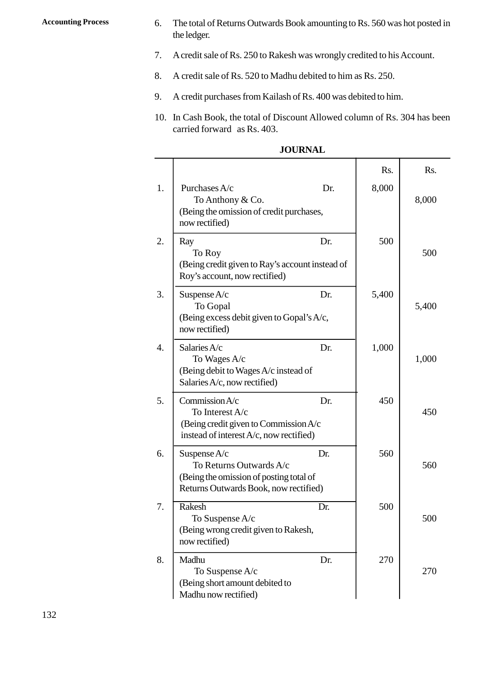- Accounting Process 6. The total of Returns Outwards Book amounting to Rs. 560 was hot posted in the ledger. the ledger. 2. The total of Returns Outwards Book amounting to Rs. 560 was hot posted in the ledger.<br>
2. A credit sale of Rs. 250 to Rakesh was wrongly credited to his Account.<br>
2. A credit sale of Rs. 520 to Medbu debited to him as 8. The total of Returns Outwards Book amounting to Rs. 560 was ho<br>the ledger.<br>7. A credit sale of Rs. 250 to Rakesh was wrongly credited to his Ac<br>8. A credit sale of Rs. 520 to Madhu debited to him as Rs. 250.<br>9. A credi
	- 9. A credit sale of Rs. 250 to Rakesh was wrongly credited to his Account.<br>
	8. A credit sale of Rs. 520 to Madhu debited to him as Rs. 250.<br>
	9. A credit purchases from Kailash of Rs. 400 was debited to him.
	-
	-
	- 10. In Cash Book, the total of Discount Allowed column of Rs. 304 has been<br>20. In Cash Book, the total of Discount Allowed column of Rs. 304 has been<br>20. In Cash Book, the total of Discount Allowed column of Rs. 304 has be carried forward as Rs. 403.

|                                                                                                                               | <b>JOURNAL</b> |       |       |
|-------------------------------------------------------------------------------------------------------------------------------|----------------|-------|-------|
|                                                                                                                               |                | Rs.   | Rs.   |
| Purchases A/c<br>To Anthony & Co.<br>(Being the omission of credit purchases,<br>now rectified)                               | Dr.            | 8,000 | 8,000 |
| Ray<br>To Roy<br>(Being credit given to Ray's account instead of<br>Roy's account, now rectified)                             | Dr.            | 500   | 500   |
| Suspense A/c<br>To Gopal<br>(Being excess debit given to Gopal's A/c,<br>now rectified)                                       | Dr.            | 5,400 | 5,400 |
| Salaries A/c<br>To Wages A/c<br>(Being debit to Wages A/c instead of<br>Salaries A/c, now rectified)                          | Dr.            | 1,000 | 1,000 |
| Commission A/c<br>To Interest A/c<br>(Being credit given to Commission A/c<br>instead of interest A/c, now rectified)         | Dr.            | 450   | 450   |
| Suspense $A/c$<br>To Returns Outwards A/c<br>(Being the omission of posting total of<br>Returns Outwards Book, now rectified) | Dr.            | 560   | 560   |
| Rakesh<br>To Suspense A/c<br>(Being wrong credit given to Rakesh,<br>now rectified)                                           | Dr.            | 500   | 500   |
| Madhu<br>To Suspense A/c<br>(Being short amount debited to<br>Madhu now rectified)                                            | Dr.            | 270   | 270   |

| <b>JOURNAL</b> |  |
|----------------|--|
|----------------|--|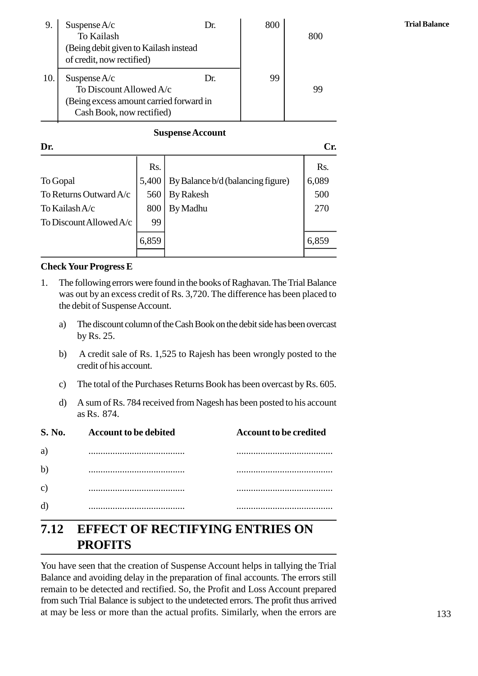| 9.  | Suspense $A/c$<br>To Kailash<br>(Being debit given to Kailash instead)<br>of credit, now rectified)               | Dr. | 800 | 800 |
|-----|-------------------------------------------------------------------------------------------------------------------|-----|-----|-----|
| 10. | Suspense $A/c$<br>To Discount Allowed A/c<br>(Being excess amount carried forward in<br>Cash Book, now rectified) | Dr. | 99  | 99  |

#### **Suspense Account**

| <b>Suspense Account</b>      |       |                                                                                                                                                            |       |  |
|------------------------------|-------|------------------------------------------------------------------------------------------------------------------------------------------------------------|-------|--|
| Dr.                          |       |                                                                                                                                                            | Cr.   |  |
|                              | Rs.   |                                                                                                                                                            | Rs.   |  |
| To Gopal                     | 5,400 | By Balance b/d (balancing figure)                                                                                                                          | 6,089 |  |
| To Returns Outward A/c       | 560   | <b>By Rakesh</b>                                                                                                                                           | 500   |  |
| To Kailash A/c               | 800   | By Madhu                                                                                                                                                   | 270   |  |
| To Discount Allowed $A/c$    | 99    |                                                                                                                                                            |       |  |
|                              | 6,859 |                                                                                                                                                            | 6,859 |  |
| <b>Check Your Progress E</b> |       |                                                                                                                                                            |       |  |
| 1.                           |       | The following errors were found in the books of Raghavan. The Trial Balance<br>was out by an excess credit of Rs. 3,720. The difference has been placed to |       |  |

#### **Check Your Progress E**

- was out by an excess credit of Rs. 3,720. The difference has been placed to the debit of Suspense Account. EX Your Progress E<br>The following errors were found in the books of Raghavan. The Trial Balance<br>was out by an excess credit of Rs. 3,720. The difference has been placed to<br>the debit of Suspense Account.<br>a) The discount col
	- by Rs. 25. the debit of Suspense Account.<br>
	a) The discount column of the Cash Book on the debit side has been overcast<br>
	by Rs. 25.<br>
	b) A credit sale of Rs. 1,525 to Rajesh has been wrongly posted to the<br>
	credit of his account.
	- credit of his account. File total of the Purchases Returns Book has been wrongly posted to the credit of his account.<br>
	c) The total of the Purchases Returns Book has been overcast by Rs. 605.<br>
	d) A sum of Rs. 784 received from Nagesh has been po d) A credit sale of Rs. 1,525 to Rajesh has been wrongly posted to the credit of his account.<br>
	c) The total of the Purchases Returns Book has been overcast by Rs. 605.<br>
	d) A sum of Rs. 784 received from Nagesh has been pos
	-
	- The total of the Purchases Returns Book has been overcast by Rs. 605.<br>A sum of Rs. 784 received from Nagesh has been posted to his account as Rs. 874.

|               |                                                                                     | <b>ART</b>                    |  |  |  |  |
|---------------|-------------------------------------------------------------------------------------|-------------------------------|--|--|--|--|
| d)            |                                                                                     |                               |  |  |  |  |
| $\mathbf{c})$ |                                                                                     |                               |  |  |  |  |
| b)            |                                                                                     |                               |  |  |  |  |
| a)            |                                                                                     |                               |  |  |  |  |
| <b>S. No.</b> | <b>Account to be debited</b>                                                        | <b>Account to be credited</b> |  |  |  |  |
| d)            | A sum of Rs. 784 received from Nagesh has been posted to his account<br>as Rs. 874. |                               |  |  |  |  |
| C)            | The total of the Purchases Returns Book has been overcast by Rs. 605.               |                               |  |  |  |  |
|               |                                                                                     |                               |  |  |  |  |

## **2.12 EFFECT OF RECTIFYING ENTRIES ON PROFITS**

You have seen that the creation of Suspense Account helps in tallying the Trial Balance and avoiding delay in the preparation of final accounts. The errors still remain to be detected and rectified. So, the Profit and Loss Account prepared from such Trial Balance is subject to the undetected errors. The profit thus arrived at may be less or more than the actual profits. Similarly, when the errors are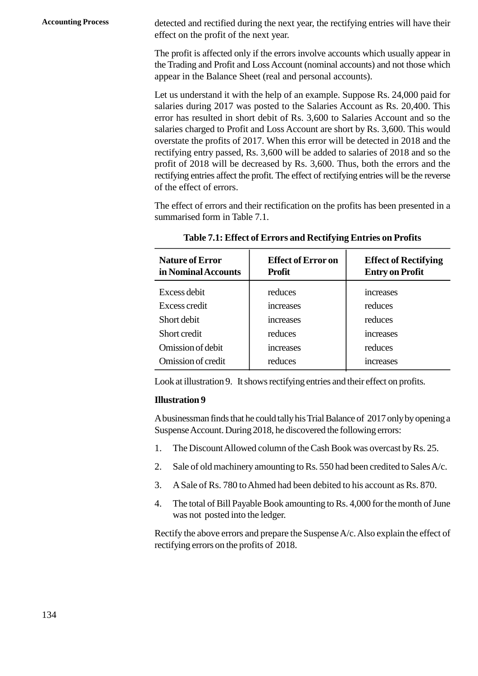**Accounting Process** detected and rectified during the next year, the rectifying entries will have their effect on the profit of the next year.

> The profit is affected only if the errors involve accounts which usually appear in the Trading and Profit and Loss Account (nominal accounts) and not those which appear in the Balance Sheet (real and personal accounts).

> Let us understand it with the help of an example. Suppose Rs. 24,000 paid for salaries during 2017 was posted to the Salaries Account as Rs. 20,400. This error has resulted in short debit of Rs. 3,600 to Salaries Account and so the salaries charged to Profit and Loss Account are short by Rs. 3,600. This would overstate the profits of 2017. When this error will be detected in 2018 and the rectifying entry passed, Rs. 3,600 will be added to salaries of 2018 and so the profit of 2018 will be decreased by Rs. 3,600. Thus, both the errors and the rectifying entries affect the profit. The effect of rectifying entries will be the reverse of the effect of errors.

|                                               | Table 2.1: Effect of Errors and Rectifying Entries on Profits |                                                       |
|-----------------------------------------------|---------------------------------------------------------------|-------------------------------------------------------|
| <b>Nature of Error</b><br>in Nominal Accounts | <b>Effect of Error on</b><br><b>Profit</b>                    | <b>Effect of Rectifying</b><br><b>Entry on Profit</b> |
| Excess debit                                  | reduces                                                       | increases                                             |
| Excess credit                                 | increases                                                     | reduces                                               |
| Short debit                                   | increases                                                     | reduces                                               |
| Short credit                                  | reduces                                                       | increases                                             |
| Omission of debit                             | increases                                                     | reduces                                               |
| Omission of credit                            | reduces                                                       | increases                                             |

**Table 2.1: Effect of Errors and Rectifying Entries on Profits**

Look at illustration 9. It shows rectifying entries and their effect on profits.

#### **Illustration 9**

A businessman finds that he could tally his Trial Balance of 2017 only by opening a Suspense Account. During 2018, he discovered the following errors: 1. The Discount Allowed column of the Cash Book was overcast by Rs. 25.<br>
2. Sale of old machinery amounting to Rs. 550 had been credited to Sales A/c. 2. A Sale of Rs. 780 to Ahmed had been debited to his account as Rs. 870.<br>A Sale of Rs. 780 to Ahmed had been debited to his account as Rs. 870.

- 
- 3. The Discount Allowed column of the Cash Book was overcast by Rs. 25.<br>
2. Sale of old machinery amounting to Rs. 550 had been credited to Sales A/c.<br>
3. A Sale of Rs. 780 to Ahmed had been debited to his account as Rs. 8
- 
- The total of Bill Payable Book amounting to Rs. 4,000 for the month of June was not posted into the ledger.

Rectify the above errors and prepare the Suspense A/c. Also explain the effect of rectifying errors on the profits of 2018.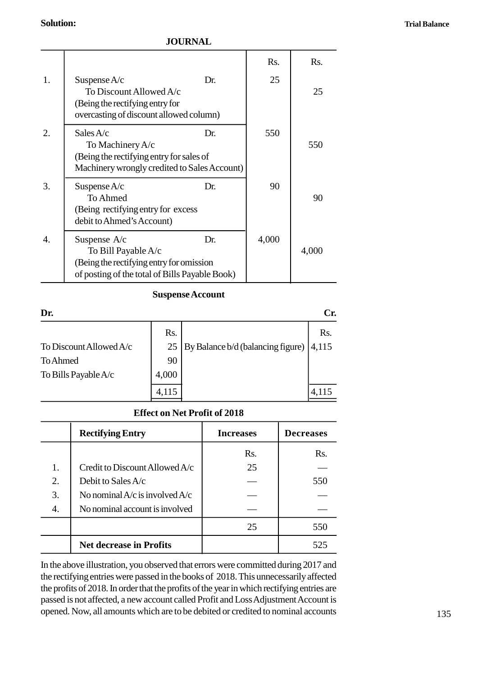**Trial Balance**

### **Solution:**

### **JOURNAL**

| <b>Solution:</b> |                                                                                                                                          |       |                |  |  |
|------------------|------------------------------------------------------------------------------------------------------------------------------------------|-------|----------------|--|--|
|                  | <b>JOURNAL</b>                                                                                                                           |       |                |  |  |
|                  |                                                                                                                                          | Rs.   | R <sub>S</sub> |  |  |
| 1.               | Suspense $A/c$<br>Dr.<br>To Discount Allowed A/c<br>(Being the rectifying entry for<br>overcasting of discount allowed column)           | 25    | 25             |  |  |
| 2.               | Sales $A/c$<br>Dr.<br>To Machinery A/c<br>(Being the rectifying entry for sales of<br>Machinery wrongly credited to Sales Account)       | 550   | 550            |  |  |
| 3.               | Suspense $A/c$<br>Dr.<br>To Ahmed<br>(Being rectifying entry for excess)<br>debit to Ahmed's Account)                                    | 90    | 90             |  |  |
| 4.               | Suspense A/c<br>Dr.<br>To Bill Payable A/c<br>(Being the rectifying entry for omission<br>of posting of the total of Bills Payable Book) | 4,000 | 4,000          |  |  |

| <b>Suspense Account</b> |       |                                   |       |
|-------------------------|-------|-----------------------------------|-------|
| Dr.                     |       |                                   | Cr.   |
|                         | Rs.   |                                   | Rs.   |
| To Discount Allowed A/c | 25    | By Balance b/d (balancing figure) | 4,115 |
| <b>To Ahmed</b>         | 90    |                                   |       |
| To Bills Payable A/c    | 4,000 |                                   |       |
|                         | 4,115 |                                   | 4,115 |

### **Effect on Net Profit of 2018**

|    | TO BILIS PAYADIC A/C<br>4,UUU<br>4,115 |                  | 4,115            |  |  |
|----|----------------------------------------|------------------|------------------|--|--|
|    | <b>Effect on Net Profit of 2018</b>    |                  |                  |  |  |
|    | <b>Rectifying Entry</b>                | <b>Increases</b> | <b>Decreases</b> |  |  |
|    |                                        | Rs.              | Rs.              |  |  |
| 1. | Credit to Discount Allowed $A/c$       | 25               |                  |  |  |
| 2. | Debit to Sales $A/c$                   |                  | 550              |  |  |
| 3. | No nominal $A/c$ is involved $A/c$     |                  |                  |  |  |
| 4. | No nominal account is involved         |                  |                  |  |  |
|    |                                        | 25               | 550              |  |  |
|    | <b>Net decrease in Profits</b>         |                  | 525              |  |  |

In the above illustration, you observed that errors were committed during 2017 and the rectifying entries were passed in the books of 2018. This unnecessarily affected the profits of 2018. In order that the profits of the year in which rectifying entries are passed is not affected, a new account called Profit and Loss Adjustment Account is opened. Now, all amounts which are to be debited or credited to nominal accounts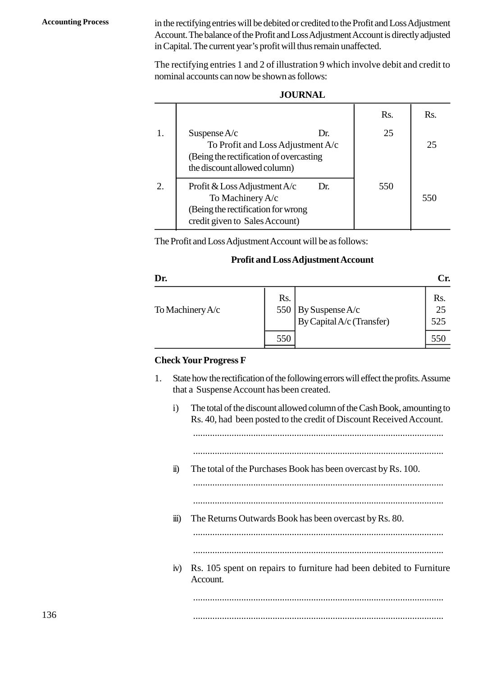**Accounting Process** in the rectifying entries will be debited or credited to the Profit and Loss Adjustment Account. The balance of the Profit and Loss Adjustment Account is directly adjusted in Capital. The current year's profit will thus remain unaffected.

**JOURNAL**

|    | <b>JOURNAL</b>                                                                                                                         |                  |     |
|----|----------------------------------------------------------------------------------------------------------------------------------------|------------------|-----|
|    |                                                                                                                                        | R <sub>s</sub> . | Rs. |
| 1. | Suspense $A/c$<br>Dr.<br>To Profit and Loss Adjustment A/c<br>(Being the rectification of overcasting)<br>the discount allowed column) | 25               | 25  |
| 2. | Profit & Loss Adjustment $A/c$<br>Dr.<br>To Machinery A/c<br>(Being the rectification for wrong)<br>credit given to Sales Account)     | 550              | 550 |

The Profit and Loss Adjustment Account will be as follows:

### **Profit and Loss Adjustment Account**

| <b>Profit and Loss Adjustment Account</b>                                                                                              |            |                                              |                  |  |
|----------------------------------------------------------------------------------------------------------------------------------------|------------|----------------------------------------------|------------------|--|
| Dr.                                                                                                                                    |            |                                              | Cr.              |  |
| To Machinery $A/c$                                                                                                                     | Rs.<br>550 | By Suspense A/c<br>By Capital A/c (Transfer) | Rs.<br>25<br>525 |  |
|                                                                                                                                        | 550        |                                              | 550              |  |
| <b>Check Your Progress F</b>                                                                                                           |            |                                              |                  |  |
| State how the rectification of the following errors will effect the profits. Assume<br>1.<br>that a Suspense Account has been created. |            |                                              |                  |  |

### **Check Your Progress F**

| eck Your Progress F                                                                                                                                            |
|----------------------------------------------------------------------------------------------------------------------------------------------------------------|
| State how the rectification of the following errors will effect the profits. Assume<br>that a Suspense Account has been created.                               |
| The total of the discount allowed column of the Cash Book, amounting to<br>$\mathbf{i}$<br>Rs. 40, had been posted to the credit of Discount Received Account. |
| The total of the Purchases Book has been overcast by Rs. 100.<br>$\ddot{u}$                                                                                    |
| $\dddot{\mathbf{m}}$ )<br>The Returns Outwards Book has been overcast by Rs. 80.                                                                               |
| Rs. 105 spent on repairs to furniture had been debited to Furniture<br>iv)<br>Account.                                                                         |
|                                                                                                                                                                |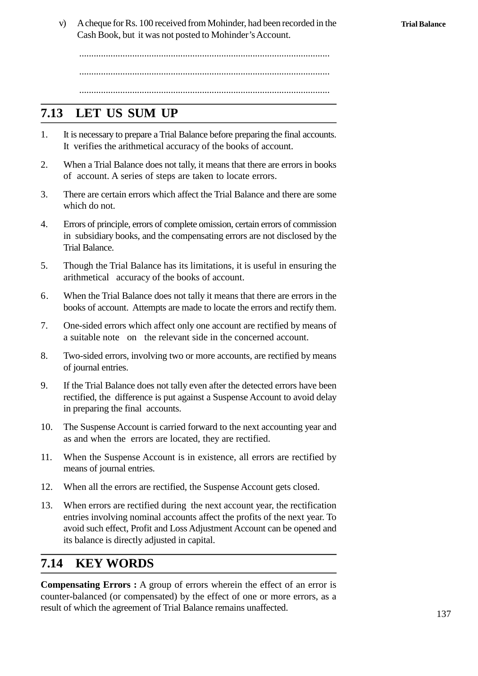v) A cheque for Rs. 100 received from Mohinder, had been recorded in the Cash Book, but it was not posted to Mohinder's Account.

........................................................................................................ ........................................................................................................ ........................................................................................................

## **2.13 LET US SUM UP**

- 2.13 LET US SUM UP<br>1. It is necessary to prepare a Trial Balance before preparing the final accounts.<br>1. It verifies the arithmetical accuracy of the books of account. It verifies the arithmetical accuracy of the books of account. 2.13 **LET US SUM UP**<br>1. It is necessary to prepare a Trial Balance before preparing the final accounts.<br>1. Verifies the arithmetical accuracy of the books of account.<br>2. When a Trial Balance does not tally, it means that t
- of account. A series of steps are taken to locate errors.
- 3. There are certain errors which affect the Trial Balance and there are some which do not. which do not.
- 4. Errors of principle, errors of complete omission, certain errors of commission<br>in subsidiary books, and the complete omission, certain errors of commission<br>in subsidiary books, and the compensating errors are not disclo in subsidiary books, and the compensating errors are not disclosed by the Trial Balance. 4. Errors of principle, errors of complete omission, certain errors of commission<br>in subsidiary books, and the compensating errors are not disclosed by the<br>Trial Balance.<br>5. Though the Trial Balance has its limitations, it
- arithmetical accuracy of the books of account.
- 6. Though the Trial Balance has its limitations, it is useful in ensuring the arithmetical accuracy of the books of account.<br>6. When the Trial Balance does not tally it means that there are errors in the books of account. books of account. Attempts are made to locate the errors and rectify them.
- 7. Though the That Balance has its inhitiations, it is useful in ensuring the arithmetical accuracy of the books of account.<br>6. When the Trial Balance does not tally it means that there are errors in the books of account. a suitable note on the relevant side in the concerned account. 8. When the That Batance does not dary it means that there are errors in the books of account. Attempts are made to locate the errors and rectify them.<br>
7. One-sided errors which affect only one account are rectified by me
- of journal entries.
- 9. She-sided errors which are complete to divide a suitable note on the relevant side in the concerned account.<br>
9. Two-sided errors, involving two or more accounts, are rectified by means of journal entries.<br>
9. If the Tr rectified, the difference is put against a Suspense Account to avoid delay in preparing the final accounts. 10. If the Trial Balance does not tally even after the detected errors have been rectified, the difference is put against a Suspense Account to avoid delay in preparing the final accounts.<br>
10. The Suspense Account is carr
- as and when the errors are located, they are rectified. 10. The Suspense Account is carried forward to the next accounting year and<br>10. The Suspense Account is carried forward to the next accounting year and<br>11. When the Suspense Account is in existence, all errors are rectifie
- means of journal entries. 10. The Suspense Account is carried forward to the next accounting year and<br>
11. When the Suspense Account is in existence, all errors are rectified by<br>
12. When all the errors are rectified, the Suspense Account gets clos
- 
- When errors are rectified during the next account year, the rectification entries involving nominal accounts affect the profits of the next year. To avoid such effect, Profit and Loss Adjustment Account can be opened and its balance is directly adjusted in capital.

## **2.14 KEY WORDS**

**Compensating Errors :** A group of errors wherein the effect of an error is counter-balanced (or compensated) by the effect of one or more errors, as a result of which the agreement of Trial Balance remains unaffected.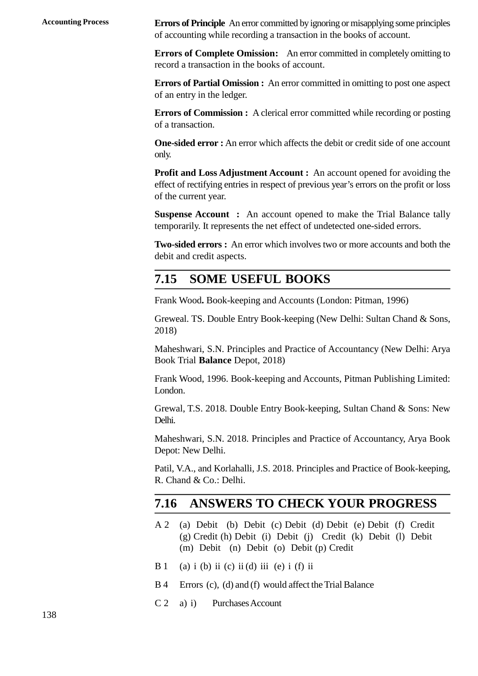**Accounting Process Errors of Principle** An error committed by ignoring or misapplying some principles of accounting while recording a transaction in the books of account.

> **Errors of Complete Omission:** An error committed in completely omitting to record a transaction in the books of account.

> **Errors of Partial Omission :** An error committed in omitting to post one aspect of an entry in the ledger.

> **Errors of Commission :** A clerical error committed while recording or posting of a transaction.

> **One-sided error :** An error which affects the debit or credit side of one account only.

> **Profit and Loss Adjustment Account :** An account opened for avoiding the effect of rectifying entries in respect of previous year's errors on the profit or loss of the current year.

> **Suspense Account :** An account opened to make the Trial Balance tally temporarily. It represents the net effect of undetected one-sided errors.

> **Two-sided errors :** An error which involves two or more accounts and both the debit and credit aspects.

### **2.15 SOME USEFUL BOOKS**

Frank Wood**.** Book-keeping and Accounts (London: Pitman, 1996)

Greweal. TS. Double Entry Book-keeping (New Delhi: Sultan Chand & Sons, 2018)

Maheshwari, S.N. Principles and Practice of Accountancy (New Delhi: Arya Book Trial **Balance** Depot, 2018)

Frank Wood, 1996. Book-keeping and Accounts, Pitman Publishing Limited: London.

Grewal, T.S. 2018. Double Entry Book-keeping, Sultan Chand & Sons: New Delhi.

Maheshwari, S.N. 2018. Principles and Practice of Accountancy, Arya Book Depot: New Delhi.

Patil, V.A., and Korlahalli, J.S. 2018. Principles and Practice of Book-keeping, R. Chand & Co.: Delhi.

## **2.16 ANSWERS TO CHECK YOUR PROGRESS**

- Patil, V.A., and Korlahalli, J.S. 2018. Principles and Practice of Book-keeping,<br>
R. Chand & Co.: Delhi.<br> **2.16 ANSWERS TO CHECK YOUR PROGRESS**<br>
A 2 (a) Debit (b) Debit (c) Debit (d) Debit (e) Debit (f) Credit (g) Credit ( (g) Credit (h) Debit (i) Debit (j) Credit (k) Debit (l) Debit (m) Debit (n) Debit (o) Debit (p) Credit  $A 2$  (a) Debit (b) Debit (c) Debit (d) D<br>(g) Credit (h) Debit (i) Debit (j) Cr<br>(m) Debit (n) Debit (o) Debit (p) C<br>B 1 (a) i (b) ii (c) ii (d) iii (e) i (f) ii<br>R 4 Errors (c) (d) and (f) would affect the Tr  $B = \begin{pmatrix} 1 & 0 \\ 0 & 0 \end{pmatrix}$  and  $B = \begin{pmatrix} 0 & 0 \\ 0 & 0 \end{pmatrix}$  and  $B = \begin{pmatrix} 0 & 0 \\ 0 & 0 \end{pmatrix}$  and  $B = \begin{pmatrix} 0 & 0 \\ 0 & 0 \end{pmatrix}$  is (d) iii (e) iii (d) iii (e) ii (f) iii<br>
B 4 Errors (c), (d) and (f) would affect the Trial Bal
- (m) Debit (n) Debit (o<br>
B 1 (a) i (b) ii (c) ii (d) iii (e<br>
B 4 Errors (c), (d) and (f) woul<br>
C 2 a) i) Purchases Account
- 
-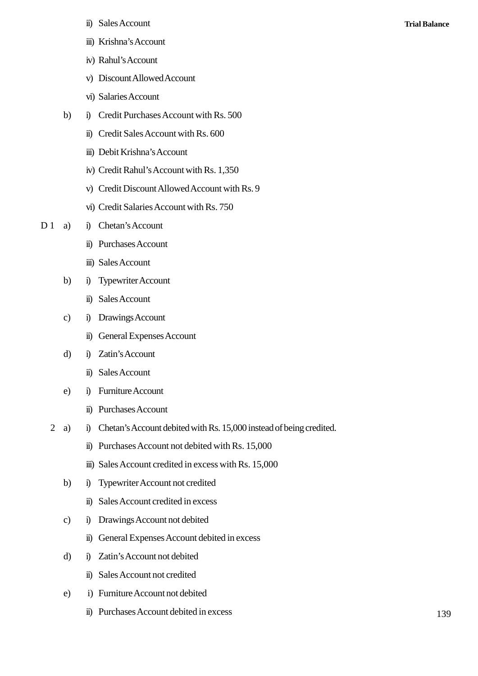- ii) Sales Account<br>iii) Krishna's Account
- iii) Krishna's Account
- iv) Rahul's Account
- ii) Sales Account<br>iii) Krishna's Account<br>iv) Rahul's Account<br>v) Discount Allowed Account<br>vi) Salaries Account v) Discount Allowed Account<br>vi) Salaries Account
- 
- iv) Rahul's Account<br>
v) Discount Allowed Account<br>
vi) Salaries Account<br>
b) i) Credit Purchases Account with Rs. 500<br>
ii) Credit Sales Account with Rs. 600 i) Credit Purchases Account with Rs. 500<br>ii) Credit Sales Account with Rs. 600
	-
	- iii) Debit Krishna's Account
	- iv) Credit Rahul's Account with Rs. 1,350
	- ii) Credit Sales Account with Rs. 600<br>iii) Debit Krishna's Account<br>iv) Credit Rahul's Account with Rs. 1,350<br>v) Credit Discount Allowed Account with Rs. 9<br>vi) Credit Salaries Account with Rs. 750 v) Credit Discount Allowed Account with Rs. 9<br>vi) Credit Salaries Account with Rs. 750<br>i) Chetan's Account
	- vi) Credit Salaries Account with Rs. 750<br>i) Chetan's Account<br>ii) Purchases Account<br>iii) Sales Account
- iv) Credit Rahul's Accoun<br>
v) Credit Discount Allowe<br>
vi) Credit Salaries Accoun<br>
D 1 a) i) Chetan's Account<br>
ii) Purchases Account
	- vi) Credit Salaries Acco<br>i) Chetan's Account<br>ii) Purchases Account<br>iii) Sales Account<br>i) Typewriter Account
	-
	- a) i) Chetan's Account<br>
	ii) Purchases Account<br>
	iii) Sales Account<br>
	b) i) Typewriter Account<br>
	ii) Sales Account i) Typewriter Account<br>ii) Sales Account<br>i) Drawings Account ii) Sales Account<br>
	b) i) Typewriter Account<br>
	ii) Sales Account<br>
	c) i) Drawings Account<br>
	ii) General Expenses Acco
		-
	- ii) Sales Account<br>
	c) i) Drawings Account<br>
	ii) General Expenses Ac<br>
	d) i) Zatin's Account<br>
	ii) Sales Account
- i) Typewriter Account<br>
ii) Sales Account<br>
ii) Drawings Account<br>
ii) General Expenses Account<br>
i) Zatin's Account i) Drawings Account<br>
ii) General Expenses A<br>
i) Zatin's Account<br>
ii) Sales Account<br>
i) Furniture Account
	- -
	- ii) General Expenses Acco<br>
	d) i) Zatin's Account<br>
	ii) Sales Account<br>
	e) i) Furniture Account<br>
	ii) Purchases Account
		- i) Zatin's Account<br>
		ii) Sales Account<br>
		i) Furniture Account<br>
		ii) Purchases Account<br>
		i) Chetan's Account debited
- i) Sales Account<br>
e) i) Furniture Account<br>
ii) Purchases Account debited with Rs. 15,000 instead of being credited.<br>
ii) Purchases Account not debited with Rs. 15,000 i) Furniture Account<br>
ii) Purchases Account debited with Rs. 15,000 instead of being (<br>
ii) Purchases Account not debited with Rs. 15,000<br>
iii) Sales Account credited in excess with Rs. 15,000 ii) Purchases Account<br>
i) Chetan's Account debited with Rs. 15,000 instead of being credit<br>
ii) Purchases Account not debited with Rs. 15,000<br>
iii) Sales Account credited in excess with Rs. 15,000<br>
i) Typewriter Account no i) Chetan's Account debited with Rs. 15,000 i<br>
ii) Purchases Account not debited with Rs. 1<br>
iii) Sales Account credited in excess with Rs.<br>
b) i) Typewriter Account not credited<br>
ii) Sales Account credited in excess
	-
	- ii) Purchases Account not debited with Rs. 15,000<br>iii) Sales Account credited in excess with Rs. 15,000<br>i) Typewriter Account not credited<br>ii) Sales Account credited in excess<br>i) Drawings Account not debited ii) Sales Account credited in excess with R<br>b) i) Typewriter Account not credited<br>ii) Sales Account credited in excess<br>c) i) Drawings Account not debited<br>ii) General Expenses Account debited in ex
	- -
	-
	- i) Typewriter Account not credited<br>
	ii) Sales Account credited in excess<br>
	i) Drawings Account not debited<br>
	ii) General Expenses Account debited in excess<br>
	i) Zatin's Account not debited ii) Sales Account credited in excess<br>c) i) Drawings Account not debited<br>ii) General Expenses Account debited in<br>d) i) Zatin's Account not debited<br>ii) Sales Account not credited ii) General Expenses Account debited in excess<br>i) Zatin's Account not debited<br>ii) Sales Account not credited<br>i) Furniture Account not debited ii) General Expenses Account debited in exercy<br>
	d) i) Zatin's Account not debited<br>
	ii) Sales Account not credited<br>
	e) i) Furniture Account not debited<br>
	ii) Purchases Account debited in excess
	- -
	-
- i) Zatin's Account not debited<br>ii) Sales Account not credited<br>ii) Furniture Account not debited<br>ii) Purchases Account debited in excess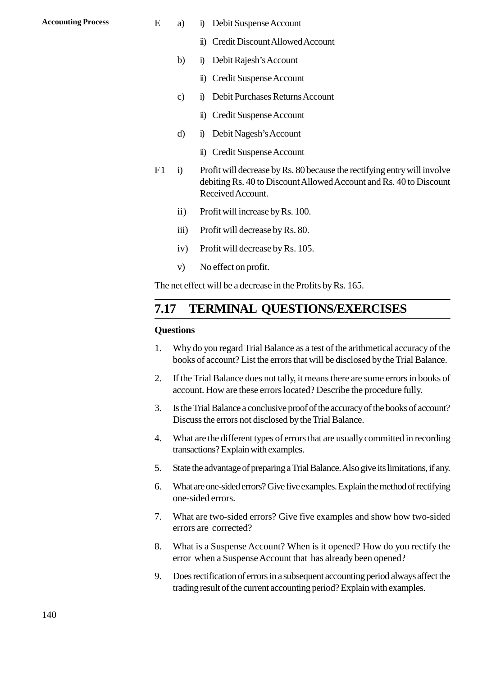- Accounting Process **E** a) i) Debit Suspense Account<br>
ii) Credit Discount Allowed Acco
	- i) Debit Suspense Account<br>
	ii) Credit Discount Allowed Account<br>
	i) Debit Rajesh's Account a) i) Debit Suspense Account<br>ii) Credit Discount Allowed Account<br>ii) Debit Rajesh's Account<br>ii) Credit Suspense Account i) Debit Suspense Account<br>
	ii) Credit Discount Allowed Acco<br>
	i) Debit Rajesh's Account<br>
	ii) Credit Suspense Account<br>
	i) Debit Purchases Returns Accou
	- -
	- ii) Credit Discount Allowed Account<br>
	b) i) Debit Rajesh's Account<br>
	ii) Credit Suspense Account<br>
	c) i) Debit Purchases Returns Account<br>
	ii) Credit Suspense Account i) Debit Rajesh's Account<br>ii) Credit Suspense Account<br>i) Debit Purchases Returns Account<br>ii) Credit Suspense Account<br>i) Debit Nagesh's Account ii) Credit Suspense Account<br>
	c) i) Debit Purchases Returns Acco<br>
	ii) Credit Suspense Account<br>
	d) i) Debit Nagesh's Account<br>
	ii) Credit Suspense Account i) Debit Purchases Returns Accou<br>
	ii) Credit Suspense Account<br>
	ii) Debit Nagesh's Account<br>
	ii) Credit Suspense Account<br>
	Profit will decrease by Rs. 80 beca
		-
	- -
	- ii) Credit Suspense Account<br>
	d) i) Debit Nagesh's Account<br>
	ii) Credit Suspense Account<br>
	F1 i) Profit will decrease by Rs. 80 because the rectifying entry will involve<br>
	debiting Rs. 40 to Discount Allowed Account and Rs. 40 debiting Rs. 40 to Discount Allowed Account and Rs. 40 to Discount Received Account. i) Profit will decrease by Rs. 80 because<br>debiting Rs. 40 to Discount Allowe<br>Received Account.<br>ii) Profit will increase by Rs. 100.<br>iii) Profit will decrease by Rs. 80. If the will decrease by Rs. 80 because<br>debiting Rs. 40 to Discount Allowe<br>Received Account.<br>ii) Profit will decrease by Rs. 80.<br>iv) Profit will decrease by Rs. 80. Received Account.<br>
	ii) Profit will increase by Rs. 100.<br>
	iii) Profit will decrease by Rs. 80.<br>
	iv) Profit will decrease by Rs. 105.<br>
	v) No effect on profit
		- ii) Profit will increase by R<br>iii) Profit will decrease by F<br>iv) Profit will decrease by F<br>v) No effect on profit.<br>et effect will be a decrease in the
		-
		-
		-

The net effect will be a decrease in the Profits by Rs. 165.

### **2.17 TERMINAL QUESTIONS/EXERCISES**

#### **Questions**

- **2.17 TERMINAL QUESTIONS/EXERCISES**<br>Questions<br>1. Why do you regard Trial Balance as a test of the arithmetical accuracy of the<br>books of account? List the errors that will be disclosed by the Trial Balance. books of account? List the errors that will be disclosed by the Trial Balance. 2. If the Trial Balance as a test of the arithmetical accuracy of the<br>books of account? List the errors that will be disclosed by the Trial Balance.<br>2. If the Trial Balance does not tally, it means there are some errors in
- account. How are these errors located? Describe the procedure fully.
- 3. Is the Trial Balance as a test of the antimetical accuracy of the books of account? List the errors that will be disclosed by the Trial Balance.<br>2. If the Trial Balance does not tally, it means there are some errors in Discuss the errors not disclosed by the Trial Balance. 4. The Firal Balance does not dary, it means there are some errors in books of account. How are these errors located? Describe the procedure fully.<br>3. Is the Trial Balance a conclusive proof of the accuracy of the books of 5. Is the Trial Balance a conclusive proof of the accuracy of the books of account?<br>
Discuss the errors not disclosed by the Trial Balance.<br>
4. What are the different types of errors that are usually committed in recording
- transactions? Explain with examples.
- 
- 4. What are the different types of errors that are usually committed in recording<br>transactions? Explain with examples.<br>5. State the advantage of preparing a Trial Balance. Also give its limitations, if any.<br>6. What are one one-sided errors. 5. State the advantage of preparing a Trial Balance. Also give its limitations, if any.<br>6. What are one-sided errors? Give five examples. Explain the method of rectifying<br>one-sided errors.<br>7. What are two-sided errors? Giv
- errors are corrected? 8. What are two-sided errors? Give five examples and show how two-sided errors are corrected?<br>8. What is a Suspense Account? When is it opened? How do you rectify the error when a Suspense Account that has already been ope
- error when a Suspense Account that has already been opened?
- 9. What is a Suspense Account? When is it opened? How do you rectify the error when a Suspense Account? When is it opened? How do you rectify the error when a Suspense Account that has already been opened?<br>9. Does rectific trading result of the current accounting period? Explain with examples.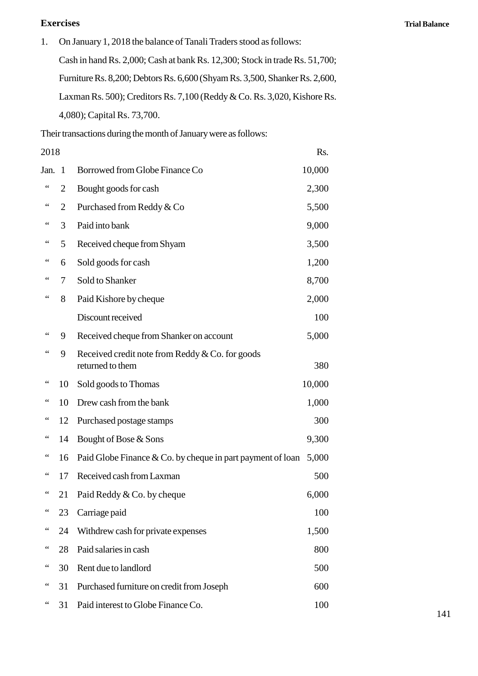### **Exercises**

1. On January 1, 2018 the balance of Tanali Traders stood as follows: Cash in hand Rs. 2,000; Cash at bank Rs. 12,300; Stock in trade Rs. 51,700; Furniture Rs. 8,200; Debtors Rs. 6,600 (Shyam Rs. 3,500, Shanker Rs. 2,600, Laxman Rs. 500); Creditors Rs. 7,100 (Reddy & Co. Rs. 3,020, Kishore Rs. 4,080); Capital Rs. 73,700.

|                | 4,080); Capital Rs. 73,700.                                         |                                                                 |
|----------------|---------------------------------------------------------------------|-----------------------------------------------------------------|
|                |                                                                     |                                                                 |
| 2018           |                                                                     | Rs.                                                             |
| Jan. 1         | Borrowed from Globe Finance Co                                      | 10,000                                                          |
| $\overline{2}$ | Bought goods for cash                                               | 2,300                                                           |
| 2              | Purchased from Reddy & Co                                           | 5,500                                                           |
| 3              | Paid into bank                                                      | 9,000                                                           |
| 5              | Received cheque from Shyam                                          | 3,500                                                           |
| 6              | Sold goods for cash                                                 | 1,200                                                           |
| 7              | Sold to Shanker                                                     | 8,700                                                           |
| 8              | Paid Kishore by cheque                                              | 2,000                                                           |
|                | Discount received                                                   | 100                                                             |
| 9              | Received cheque from Shanker on account                             | 5,000                                                           |
| 9              | Received credit note from Reddy & Co. for goods<br>returned to them | 380                                                             |
| 10             | Sold goods to Thomas                                                | 10,000                                                          |
| 10             | Drew cash from the bank                                             | 1,000                                                           |
| 12             | Purchased postage stamps                                            | 300                                                             |
| 14             | Bought of Bose & Sons                                               | 9,300                                                           |
| 16             | Paid Globe Finance $& Co.$ by cheque in part payment of loan        | 5,000                                                           |
| 17             | Received cash from Laxman                                           | 500                                                             |
| 21             | Paid Reddy & Co. by cheque                                          | 6,000                                                           |
| 23             | Carriage paid                                                       | 100                                                             |
| 24             | Withdrew cash for private expenses                                  | 1,500                                                           |
| 28             | Paid salaries in cash                                               | 800                                                             |
| 30             | Rent due to landlord                                                | 500                                                             |
| 31             | Purchased furniture on credit from Joseph                           | 600                                                             |
| 31             | Paid interest to Globe Finance Co.                                  | 100                                                             |
|                |                                                                     | Their transactions during the month of January were as follows: |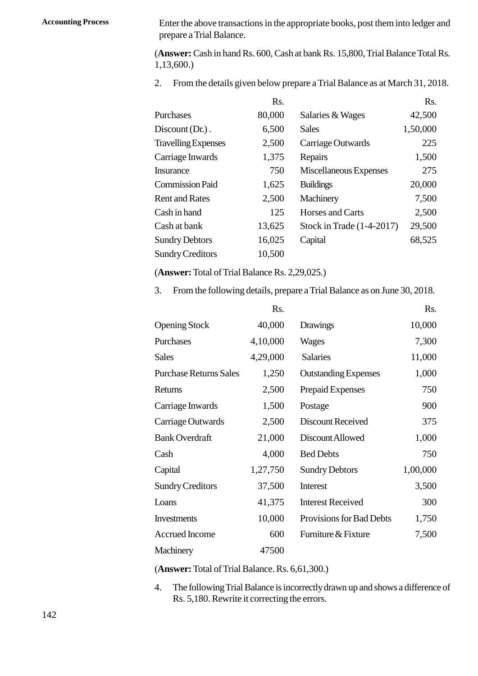**Accounting Process** Enter the above transactions in the appropriate books, post them into ledger and prepare a Trial Balance.

(**Answer:** Cash in hand Rs. 600, Cash at bank Rs. 15,800, Trial Balance Total Rs. 1,13,600.) 2. From the details given below prepare a Trial Balance as at March 31, 2018.<br>
Responsible and Responsible and Rs. 600, Cash at bank Rs. 15,800, Trial Balance Total Rs. 1,13,600.)<br>
2. From the details given below prepare a

| 1,13,600.                                      |           |                                                                            |          |
|------------------------------------------------|-----------|----------------------------------------------------------------------------|----------|
| 2.                                             |           | From the details given below prepare a Trial Balance as at March 31, 2018. |          |
|                                                | Rs.       |                                                                            | Rs.      |
| Purchases                                      | 80,000    | Salaries & Wages                                                           | 42,500   |
| Discount (Dr.).                                | 6,500     | <b>Sales</b>                                                               | 1,50,000 |
| <b>Travelling Expenses</b>                     | 2,500     | Carriage Outwards                                                          | 225      |
| Carriage Inwards                               | 1,375     | Repairs                                                                    | 1,500    |
| <b>Insurance</b>                               | 750       | Miscellaneous Expenses                                                     | 275      |
| <b>Commission Paid</b>                         | 1,625     | <b>Buildings</b>                                                           | 20,000   |
| <b>Rent and Rates</b>                          | 2,500     | Machinery                                                                  | 7,500    |
| Cash in hand                                   | 125       | Horses and Carts                                                           | 2,500    |
| Cash at bank                                   | 13,625    | Stock in Trade $(1-4-2017)$                                                | 29,500   |
| <b>Sundry Debtors</b>                          | 16,025    | Capital                                                                    | 68,525   |
| <b>Sundry Creditors</b>                        | 10,500    |                                                                            |          |
| (Answer: Total of Trial Balance Rs. 2,29,025.) |           |                                                                            |          |
| 3.                                             |           | From the following details, prepare a Trial Balance as on June 30, 2018.   |          |
|                                                | <b>Rs</b> |                                                                            | Rs       |

| (Answer: Total of Trial Balance Rs. 2,29,025.)                                 |          |                             |          |  |  |
|--------------------------------------------------------------------------------|----------|-----------------------------|----------|--|--|
| From the following details, prepare a Trial Balance as on June 30, 2018.<br>3. |          |                             |          |  |  |
|                                                                                | Rs.      |                             | Rs.      |  |  |
| <b>Opening Stock</b>                                                           | 40,000   | <b>Drawings</b>             | 10,000   |  |  |
| Purchases                                                                      | 4,10,000 | <b>Wages</b>                | 7,300    |  |  |
| <b>Sales</b>                                                                   | 4,29,000 | <b>Salaries</b>             | 11,000   |  |  |
| <b>Purchase Returns Sales</b>                                                  | 1,250    | <b>Outstanding Expenses</b> | 1,000    |  |  |
| Returns                                                                        | 2,500    | Prepaid Expenses            | 750      |  |  |
| Carriage Inwards                                                               | 1,500    | Postage                     | 900      |  |  |
| Carriage Outwards                                                              | 2,500    | <b>Discount Received</b>    | 375      |  |  |
| <b>Bank Overdraft</b>                                                          | 21,000   | Discount Allowed            | 1,000    |  |  |
| Cash                                                                           | 4,000    | <b>Bed Debts</b>            | 750      |  |  |
| Capital                                                                        | 1,27,750 | <b>Sundry Debtors</b>       | 1,00,000 |  |  |
| <b>Sundry Creditors</b>                                                        | 37,500   | Interest                    | 3,500    |  |  |
| Loans                                                                          | 41,375   | <b>Interest Received</b>    | 300      |  |  |
| Investments                                                                    | 10,000   | Provisions for Bad Debts    | 1,750    |  |  |
| Accrued Income                                                                 | 600      | Furniture & Fixture         | 7,500    |  |  |
| Machinery                                                                      | 47500    |                             |          |  |  |

(**Answer:** Total of Trial Balance. Rs. 6,61,300.)

4. The following Trial Balance is incorrectly drawn up and shows a difference of Rs. 5,180. Rewrite it correcting the errors.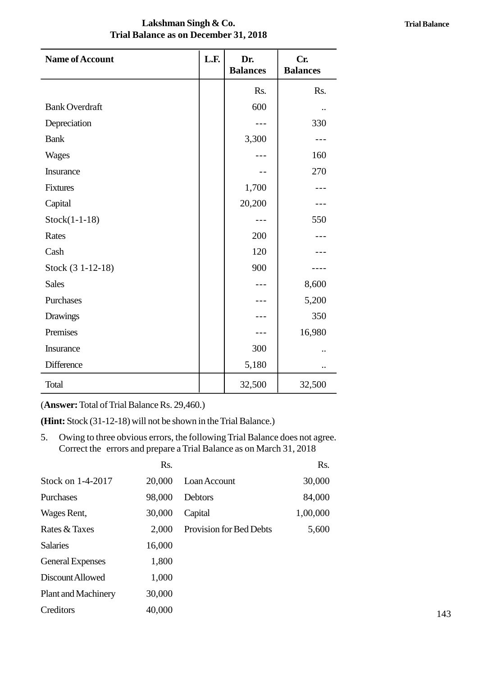### **Lakshman Singh & Co. Trial Balance as on December 31, 2018**

| Lakshman Singh & Co.<br><b>Trial Balance as on December 31, 2018</b> |      |                        |                        |
|----------------------------------------------------------------------|------|------------------------|------------------------|
| <b>Name of Account</b>                                               | L.F. | Dr.<br><b>Balances</b> | Cr.<br><b>Balances</b> |
|                                                                      |      | Rs.                    | Rs.                    |
| <b>Bank Overdraft</b>                                                |      | 600                    | $\ddot{\phantom{a}}$   |
| Depreciation                                                         |      | $- - -$                | 330                    |
| <b>Bank</b>                                                          |      | 3,300                  | $- - -$                |
| <b>Wages</b>                                                         |      |                        | 160                    |
| Insurance                                                            |      | $ -$                   | 270                    |
| <b>Fixtures</b>                                                      |      | 1,700                  |                        |
| Capital                                                              |      | 20,200                 |                        |
| $Stock(1-1-18)$                                                      |      | $---$                  | 550                    |
| Rates                                                                |      | 200                    |                        |
| Cash                                                                 |      | 120                    | - - -                  |
| Stock (3 1-12-18)                                                    |      | 900                    | ----                   |
| <b>Sales</b>                                                         |      |                        | 8,600                  |
| Purchases                                                            |      | ---                    | 5,200                  |
| <b>Drawings</b>                                                      |      | ---                    | 350                    |
| Premises                                                             |      | $- - -$                | 16,980                 |
| Insurance                                                            |      | 300                    |                        |
| Difference                                                           |      | 5,180                  | $\ddot{\phantom{0}}$   |
| Total                                                                |      | 32,500                 | 32,500                 |

(**Answer:** Total of Trial Balance Rs. 29,460.)

**(Hint:** Stock (31-12-18) will not be shown in the Trial Balance.)

5. Compare: Total of Trial Balance Rs. 29,460.)<br>
5. Owing to three obvious errors, the following Trial Balance does not agree.<br>
5. Correct the errors and prepare a Trial Balance as on March 31, 2018 Correct the errors and prepare a Trial Balance as on March 31, 2018

| $\mathbf{L}$ and $\mathbf{L}$ shock $\mathbf{L}$ is $\mathbf{L}$ and $\mathbf{L}$ and $\mathbf{L}$ is shown in the Trial Dalance. |                            |        |                                                                                                                                                   |          |  |
|-----------------------------------------------------------------------------------------------------------------------------------|----------------------------|--------|---------------------------------------------------------------------------------------------------------------------------------------------------|----------|--|
| 5.                                                                                                                                |                            |        | Owing to three obvious errors, the following Trial Balance does not agree.<br>Correct the errors and prepare a Trial Balance as on March 31, 2018 |          |  |
|                                                                                                                                   |                            | Rs.    |                                                                                                                                                   | Rs.      |  |
|                                                                                                                                   | Stock on 1-4-2017          | 20,000 | Loan Account                                                                                                                                      | 30,000   |  |
|                                                                                                                                   | Purchases                  | 98,000 | Debtors                                                                                                                                           | 84,000   |  |
|                                                                                                                                   | Wages Rent,                | 30,000 | Capital                                                                                                                                           | 1,00,000 |  |
|                                                                                                                                   | Rates & Taxes              | 2,000  | Provision for Bed Debts                                                                                                                           | 5,600    |  |
|                                                                                                                                   | <b>Salaries</b>            | 16,000 |                                                                                                                                                   |          |  |
|                                                                                                                                   | <b>General Expenses</b>    | 1,800  |                                                                                                                                                   |          |  |
|                                                                                                                                   | Discount Allowed           | 1,000  |                                                                                                                                                   |          |  |
|                                                                                                                                   | <b>Plant and Machinery</b> | 30,000 |                                                                                                                                                   |          |  |
|                                                                                                                                   | Creditors                  | 40,000 |                                                                                                                                                   |          |  |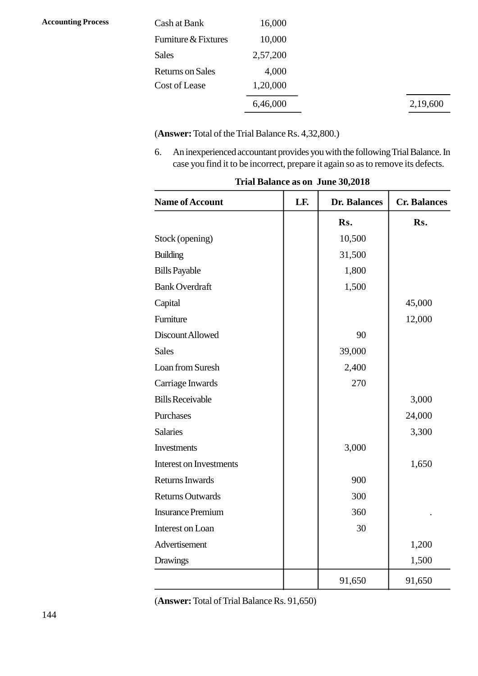| Cash at Bank            | 16,000   |
|-------------------------|----------|
| Furniture & Fixtures    | 10,000   |
| <b>Sales</b>            | 2,57,200 |
| <b>Returns on Sales</b> | 4,000    |
| Cost of Lease           | 1,20,000 |
|                         | 6,46,000 |

(**Answer:** Total of the Trial Balance Rs. 4,32,800.)

6,46,000<br>
(Answer: Total of the Trial Balance Rs. 4,32,800.)<br>
6. An inexperienced accountant provides you with the following Trial Balance. In<br>
case you find it to be incorrect, prepare it again so as to remove its defects

| Trial Balance as on June 30,2018 |     |                     |                     |  |  |  |
|----------------------------------|-----|---------------------|---------------------|--|--|--|
| <b>Name of Account</b>           | LF. | <b>Dr. Balances</b> | <b>Cr. Balances</b> |  |  |  |
|                                  |     | Rs.                 | Rs.                 |  |  |  |
| Stock (opening)                  |     | 10,500              |                     |  |  |  |
| <b>Building</b>                  |     | 31,500              |                     |  |  |  |
| <b>Bills Payable</b>             |     | 1,800               |                     |  |  |  |
| <b>Bank Overdraft</b>            |     | 1,500               |                     |  |  |  |
| Capital                          |     |                     | 45,000              |  |  |  |
| Furniture                        |     |                     | 12,000              |  |  |  |
| Discount Allowed                 |     | 90                  |                     |  |  |  |
| <b>Sales</b>                     |     | 39,000              |                     |  |  |  |
| Loan from Suresh                 |     | 2,400               |                     |  |  |  |
| Carriage Inwards                 |     | 270                 |                     |  |  |  |
| <b>Bills Receivable</b>          |     |                     | 3,000               |  |  |  |
| Purchases                        |     |                     | 24,000              |  |  |  |
| <b>Salaries</b>                  |     |                     | 3,300               |  |  |  |
| <b>Investments</b>               |     | 3,000               |                     |  |  |  |
| <b>Interest on Investments</b>   |     |                     | 1,650               |  |  |  |
| <b>Returns Inwards</b>           |     | 900                 |                     |  |  |  |
| <b>Returns Outwards</b>          |     | 300                 |                     |  |  |  |
| <b>Insurance Premium</b>         |     | 360                 |                     |  |  |  |
| Interest on Loan                 |     | 30                  |                     |  |  |  |
| Advertisement                    |     |                     | 1,200               |  |  |  |
| <b>Drawings</b>                  |     |                     | 1,500               |  |  |  |
|                                  |     | 91,650              | 91,650              |  |  |  |

**Trial Balance as on June 30,2018**

(**Answer:** Total of Trial Balance Rs. 91,650)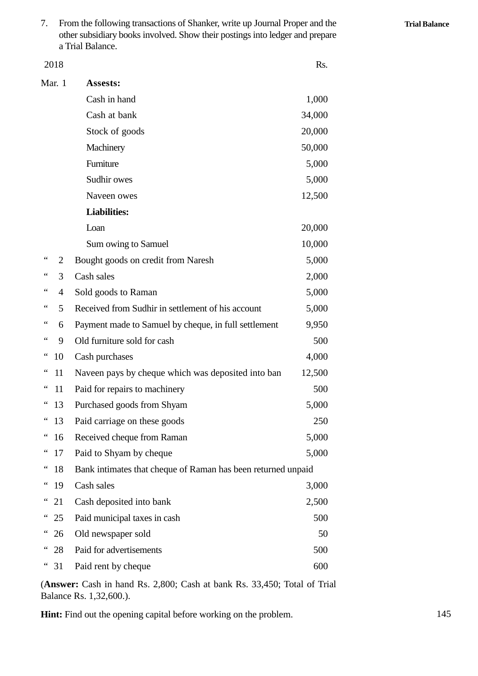7. From the following transactions of Shanker, write up Journal Proper and the other subsidiary books involved. Show their postings into ledger and prepare a Trial Balance.

|                 | 2018   |                                                                                 | Rs.    |  |  |
|-----------------|--------|---------------------------------------------------------------------------------|--------|--|--|
|                 | Mar. 1 | Assests:                                                                        |        |  |  |
|                 |        | Cash in hand                                                                    | 1,000  |  |  |
|                 |        | Cash at bank                                                                    | 34,000 |  |  |
|                 |        | Stock of goods                                                                  | 20,000 |  |  |
|                 |        | Machinery                                                                       | 50,000 |  |  |
|                 |        | Furniture                                                                       | 5,000  |  |  |
|                 |        | Sudhir owes                                                                     | 5,000  |  |  |
|                 |        | Naveen owes                                                                     | 12,500 |  |  |
|                 |        | <b>Liabilities:</b>                                                             |        |  |  |
|                 |        | Loan                                                                            | 20,000 |  |  |
|                 |        | Sum owing to Samuel                                                             | 10,000 |  |  |
| 66              | 2      | Bought goods on credit from Naresh                                              | 5,000  |  |  |
| 66              | 3      | Cash sales                                                                      | 2,000  |  |  |
| $\zeta$ $\zeta$ | 4      | Sold goods to Raman                                                             | 5,000  |  |  |
| 66              | 5      | Received from Sudhir in settlement of his account                               | 5,000  |  |  |
|                 | 6      | Payment made to Samuel by cheque, in full settlement                            | 9,950  |  |  |
| 66              | 9      | Old furniture sold for cash                                                     | 500    |  |  |
| 66              | 10     | Cash purchases                                                                  | 4,000  |  |  |
| $\epsilon$      | 11     | Naveen pays by cheque which was deposited into ban                              | 12,500 |  |  |
| $\epsilon$      | 11     | Paid for repairs to machinery                                                   | 500    |  |  |
|                 | 13     | Purchased goods from Shyam                                                      | 5,000  |  |  |
| 66              | 13     | Paid carriage on these goods                                                    | 250    |  |  |
| $\epsilon$      | 16     | Received cheque from Raman                                                      | 5,000  |  |  |
|                 | 17     | Paid to Shyam by cheque                                                         | 5,000  |  |  |
| $\epsilon$      | 18     | Bank intimates that cheque of Raman has been returned unpaid                    |        |  |  |
| $\ddotsc$       | 19     | Cash sales                                                                      | 3,000  |  |  |
| 66              | 21     | Cash deposited into bank                                                        | 2,500  |  |  |
| $\epsilon$      | 25     | Paid municipal taxes in cash                                                    | 500    |  |  |
| $\epsilon$      | 26     | Old newspaper sold                                                              | 50     |  |  |
| $\epsilon$      | 28     | Paid for advertisements                                                         | 500    |  |  |
| $\epsilon$      | 31     | Paid rent by cheque                                                             | 600    |  |  |
|                 |        | <b>(Answer:</b> Cash in hand Rs. 2.800; Cash at bank Rs. 33.450; Total of Trial |        |  |  |

(**Answer:** Cash in hand Rs. 2,800; Cash at bank Rs. 33,450; Total of Trial Balance Rs. 1,32,600.).

**Hint:** Find out the opening capital before working on the problem.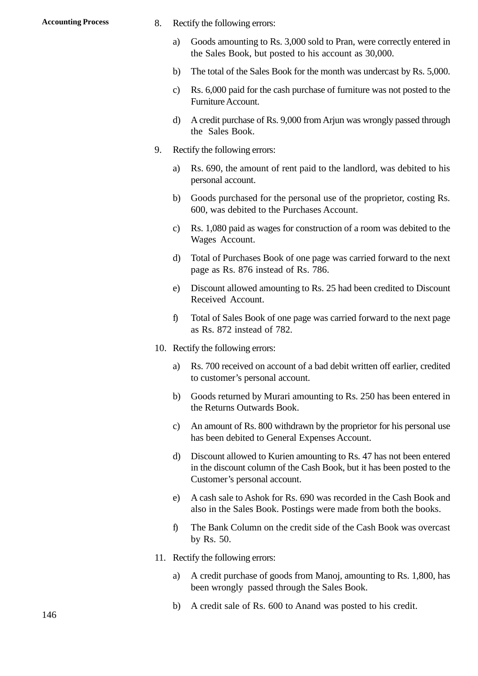- Accounting Process and S. Rectify the following errors:<br>
a Coods amounting to Rs 3 C
	- Rectify the following errors:<br>a) Goods amounting to Rs. 3,000 sold to Pran, were correctly entered in<br>the Sales Book, but posted to his account as 30,000. the Sales Book, but posted to his account as 30,000. Rectify the following errors:<br>
	a) Goods amounting to Rs. 3,000 sold to Pran, were correctly entered in<br>
	the Sales Book, but posted to his account as 30,000.<br>
	b) The total of the Sales Book for the month was undercast by Rs c) as a Goods amounting to Rs. 3,000 sold to Pran, were correctly entered in the Sales Book, but posted to his account as 30,000.<br>b) The total of the Sales Book for the month was undercast by Rs. 5,000.<br>c) Rs. 6,000 paid f
	-
	- Furniture Account.
	- d) the total of the Sales Book for the month was undercast by Rs. 5,000.<br>
	c) Rs. 6,000 paid for the cash purchase of furniture was not posted to the Furniture Account.<br>
	d) A credit purchase of Rs. 9,000 from Arjun was wron the Sales Book. 9. Rectify the following errors:<br>
	a) Rectify the following errors:<br>
	a) Rs. 690, the amount of rent a) A credit purchase of Rs. 9,000 from Arjun was wrongly passed through<br>the Sales Book.<br>Rectify the following errors:<br>a) Rs. 690, the amount of rent paid to the landlord, was debited to his<br>personal account.
	-
- personal account. Rectify the following errors:<br>
a) Rs. 690, the amount of rent paid to the landlord, was debited to his<br>
personal account.<br>
b) Goods purchased for the personal use of the proprietor, costing Rs.
	- 600, was debited to the Purchases Account.
	- c) and account.<br>
	Rs. 090, the amount of felt paid to the fantafold, was debited to fits<br>
	personal account.<br>
	C) Goods purchased for the personal use of the proprietor, costing Rs.<br>
	600, was debited to the Purchases Account. Wages Account.
	- d) doods purchased for the personal use of the prophetor, costing Ks.<br>600, was debited to the Purchases Account.<br>c) Rs. 1,080 paid as wages for construction of a room was debited to the Wages Account.<br>d) Total of Purchases page as Rs. 876 instead of Rs. 786. E) Externally and as wages for consulation of a footh was decided to the Wages Account.<br>
	d) Total of Purchases Book of one page was carried forward to the next page as Rs. 876 instead of Rs. 786.<br>
	e) Discount allowed amoun
	- Received Account. Fotal of Fuchases Book of one page was carried forward to the next<br>page as Rs. 876 instead of Rs. 786.<br>e) Discount allowed amounting to Rs. 25 had been credited to Discount<br>Received Account.<br>f) Total of Sales Book of one p
	- as Rs. 872 instead of 782. Eq. b) Biscount and the count.<br>
	10. Received Account.<br>
	10. Rectify the following errors:<br>
	20. Rectify the following errors: a) Total of Sales Book of one page was carried forward to the next page<br>as Rs. 872 instead of 782.<br>Rectify the following errors:<br>a) Rs. 700 received on account of a bad debit written off earlier, credited<br>to customer's per
	- - to customer's personal account.
- Rectify the following errors:<br>
a) Rs. 700 received on account of a bad debit written off earlier, credited<br>
to customer's personal account.<br>
b) Goods returned by Murari amounting to Rs. 250 has been entered in<br>
the Returns the Returns Outwards Book. For a set of a bad debth whiteh of earlier, credited<br>to customer's personal account.<br>b) Goods returned by Murari amounting to Rs. 250 has been entered in<br>the Returns Outwards Book.<br>c) An amount of Rs. 800 withdrawn by the
	- has been debited to General Expenses Account.
	- d) by Nutrian amounting to Rs. 250 has been entered in<br>the Returns Outwards Book.<br>c) An amount of Rs. 800 withdrawn by the proprietor for his personal use<br>has been debited to General Expenses Account.<br>d) Discount allowed t in the discount column of the Cash Book, but it has been posted to the Customer's personal account. d) Discount allowed to Kurien amounting to Rs. 47 has not been entered<br>in the discount column of the Cash Book, but it has been posted to the<br>Customer's personal account.<br>A cash sale to Ashok for Rs. 690 was recorded in th
	- also in the Sales Book. Postings were made from both the books. Fractional Existence Customer's personal account.<br>
	e) A cash sale to Ashok for Rs. 690 was recorded in the Cash Book and<br>
	also in the Sales Book. Postings were made from both the books.<br>
	f) The Bank Column on the credit si
	- by Rs. 50. 21. The Bank Column on the comparation of RS<br>11. Rectify the following errors:<br>21. Rectify the following errors:<br>31. A credit purchase of goods
	-
	- a) The Bank Column on the credit side of the Cash Book was overcast<br>by Rs. 50.<br>Rectify the following errors:<br>a) A credit purchase of goods from Manoj, amounting to Rs. 1,800, has<br>been wrongly passed through the Sales Book. been wrongly passed through the Sales Book. 11. Rectify the following errors:<br>
	a) A credit purchase of goods from Manoj, amounting to Rs. 1,800, has<br>
	been wrongly passed through the Sales Book.<br>
	b) A credit sale of Rs. 600 to Anand was posted to his credit.
		-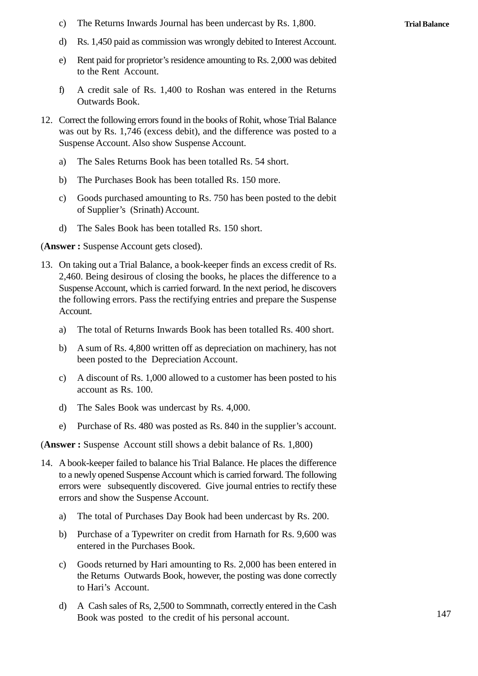c) The Returns Inwards Journal has been undercast by Rs. 1,800.<br>d) Rs. 1.450 paid as commission was wrongly debited to Interest Account

- c) The Returns Inwards Journal has been undercast by Rs. 1,800.<br>
d) Rs. 1,450 paid as commission was wrongly debited to Interest Account.<br>
e) Rent paid for proprietor's residence amounting to Rs. 2,000 was debited
- Rent paid for proprietor's residence amounting to Rs. 2,000 was debited to the Rent Account.
- f) A credit sale of Rs. 1,400 to Roshan was entered in the Returns Outwards Book.
- 12. Correct the following errors found in the books of Rohit, whose Trial Balance<br>was out by Rs. 1,746 (excess debit), and the difference was posted to a was out by Rs. 1,746 (excess debit), and the difference was posted to a Suspense Account. Also show Suspense Account. Correct the following errors found in the books of Rohit, whose Trial<br>was out by Rs. 1,746 (excess debit), and the difference was pos<br>Suspense Account. Also show Suspense Account.<br>a) The Sales Returns Book has been totalle France the following errors found in the books of Kolin, whose The<br>
was out by Rs. 1,746 (excess debit), and the difference was p<br>
Suspense Account. Also show Suspense Account.<br>
a) The Sales Returns Book has been totalled
	-
	-
	- Suspense Account. Also show Suspense Account.<br>
	a) The Sales Returns Book has been totalled Rs. 54 short.<br>
	b) The Purchases Book has been totalled Rs. 150 more.<br>
	c) Goods purchased amounting to Rs. 750 has been posted to th of Supplier's (Srinath) Account. b) The Purchases Book has been totalled Rs. 150 more.<br>
	c) Goods purchased amounting to Rs. 750 has been pos<br>
	of Supplier's (Srinath) Account.<br>
	d) The Sales Book has been totalled Rs. 150 short.<br>
	wer: Suspense Account gets
	-

(**Answer :** Suspense Account gets closed).

- of Supplier's (Srinath) Account.<br>
(Answer: Suspense Account gets closed).<br>
13. On taking out a Trial Balance, a book-keeper finds an excess credit of Rs.<br>
2,460. Being desirous of closing the books, he places the differenc Suspense Account, which is carried forward. In the next period, he discovers the following errors. Pass the rectifying entries and prepare the Suspense Account. 2,460. Being desirous of closing the books, he places the difference to a<br>Suspense Account, which is carried forward. In the next period, he discovers<br>the following errors. Pass the rectifying entries and prepare the Suspe Busperise Account, which is carried forward. In the fiext period, he discovers<br>the following errors. Pass the rectifying entries and prepare the Suspense<br>Account.<br>a) The total of Returns Inwards Book has been totalled Rs.
	- channel a) The total of Returns Inwards Book has been totalled Rs. 400 short.<br>b) A sum of Rs. 4,800 written off as depreciation on machinery, has not
	- been posted to the Depreciation Account.
	- account as Rs. 100. (c) Composed to A discount of Rs. 1,000 allowed to a customer has been posted to his account as Rs. 100.<br>
	d) The Sales Book was undercast by Rs. 4,000.<br>
	e) Purchase of Rs. 480 was posted as Rs. 840 in the supplier's accoun
	-
	- Purchase of Rs. 480 was posted as Rs. 840 in the supplier's account.

(**Answer :** Suspense Account still shows a debit balance of Rs. 1,800)

- 14. A book-keeper failed to balance his Trial Balance. He places the difference<br>14. A book-keeper failed to balance his Trial Balance. He places the difference<br>14. A book-keeper failed to balance his Trial Balance. He plac to a newly opened Suspense Account which is carried forward. The following errors were subsequently discovered. Give journal entries to rectify these errors and show the Suspense Account. A book-keeper failed to balance his Trial Balance. He places the difference<br>to a newly opened Suspense Account which is carried forward. The following<br>errors were subsequently discovered. Give journal entries to rectify th b) a hewly opened suspense Account which is called forward. The following<br>errors were subsequently discovered. Give journal entries to rectify these<br>errors and show the Suspense Account.<br>a) The total of Purchases Day Book
	-
	- entered in the Purchases Book.
	- (a) The total of Purchases Day Book had been undercast by Rs. 200.<br>
	b) Purchase of a Typewriter on credit from Harnath for Rs. 9,600 was<br>
	entered in the Purchases Book.<br>
	c) Goods returned by Hari amounting to Rs. 2,000 has to Hari's Account. c) Goods returned by Hari amounting to Rs. 2,000 has been entered in the Returns Outwards Book, however, the posting was done correctly to Hari's Account.<br>d) A Cash sales of Rs, 2,500 to Sommnath, correctly entered in the
	- Book was posted to the credit of his personal account.